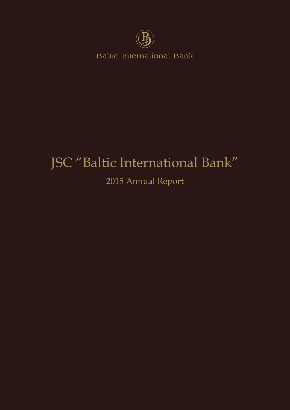

**Baltic International Bank** 

# JSC "Baltic International Bank" 2015 Annual Report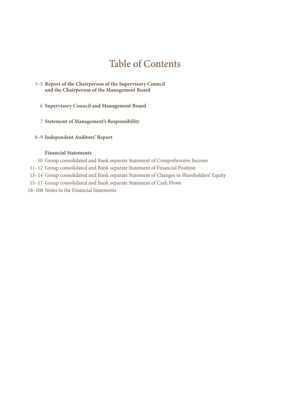## Table of Contents

#### 3–5 **Report of the Chairperson of the Supervisory Council and the Chairperson of the Management Board**

6 **Supervisory Council and Management Board**

7 **Statement of Management's Responsibility**

8–9 **Independent Auditors' Report**

### **Financial Statements**

10 Group consolidated and Bank separate Statement of Comprehensive Income

11–12 Group consolidated and Bank separate Statement of Financial Position

13–14 Group consolidated and Bank separate Statement of Changes in Shareholders' Equity

15–17 Group consolidated and Bank separate Statement of Cash Flows

18–108 Notes to the Financial Statements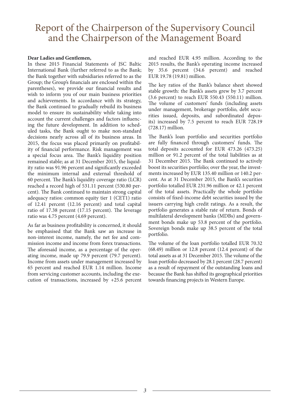## Report of the Chairperson of the Supervisory Council and the Chairperson of the Management Board

#### **Dear Ladies and Gentlemen,**

In these 2015 Financial Statements of JSC Baltic International Bank (further referred to as the Bank; the Bank together with subsidiaries referred to as the Group; the Group's financials are enclosed within the parentheses), we provide our financial results and wish to inform you of our main business priorities and achievements. In accordance with its strategy, the Bank continued to gradually rebuild its business model to ensure its sustainability while taking into account the current challenges and factors influencing the future development. In addition to scheduled tasks, the Bank ought to make non-standard decisions nearly across all of its business areas. In 2015, the focus was placed primarily on profitability of financial performance. Risk management was a special focus area. The Bank's liquidity position remained stable; as at 31 December 2015, the liquidity ratio was 91.96 percent and significantly exceeded the minimum internal and external threshold of 60 percent. The Bank's liquidity coverage ratio (LCR) reached a record high of 531.11 percent (530.80 percent). The Bank continued to maintain strong capital adequacy ratios: common equity tier 1 (CET1) ratio of 12.41 percent (12.16 percent) and total capital ratio of 17.38 percent (17.15 percent). The leverage ratio was 4.75 percent (4.69 percent).

As far as business profitability is concerned, it should be emphasised that the Bank saw an increase in non-interest income, namely, the net fee and commission income and income from forex transactions. The aforesaid income, as a percentage of the operating income, made up 79.9 percent (79.7 percent). Income from assets under management increased by 65 percent and reached EUR 1.14 million. Income from servicing customer accounts, including the execution of transactions, increased by +25.6 percent and reached EUR 4.95 million. According to the 2015 results, the Bank's operating income increased by 35.6 percent (34.6 percent) and reached EUR 19.78 (19.81) million.

The key ratios of the Bank's balance sheet showed stable growth: the Bank's assets grew by 3.7 percent (3.6 percent) to reach EUR 550.43 (550.11) million. The volume of customers' funds (including assets under management, brokerage portfolio, debt securities issued, deposits, and subordinated deposits) increased by 7.5 percent to reach EUR 728.19 (728.17) million.

The Bank's loan portfolio and securities portfolio are fully financed through customers' funds. The total deposits accounted for EUR 473.26 (473.25) million or 91.2 percent of the total liabilities as at 31 December 2015. The Bank continued to actively boost its securities portfolio; over the year, the investments increased by EUR 135.40 million or 140.2 percent. As at 31 December 2015, the Bank's securities portfolio totalled EUR 231.96 million or 42.1 percent of the total assets. Practically the whole portfolio consists of fixed-income debt securities issued by the issuers carrying high credit ratings. As a result, the portfolio generates a stable rate of return. Bonds of multilateral development banks (MDBs) and government bonds make up 53.8 percent of the portfolio. Sovereign bonds make up 38.5 percent of the total portfolio.

The volume of the loan portfolio totalled EUR 70.32 (68.49) million or 12.8 percent (12.4 percent) of the total assets as at 31 December 2015. The volume of the loan portfolio decreased by 28.1 percent (28.7 percent) as a result of repayment of the outstanding loans and because the Bank has shifted its geographical priorities towards financing projects in Western Europe.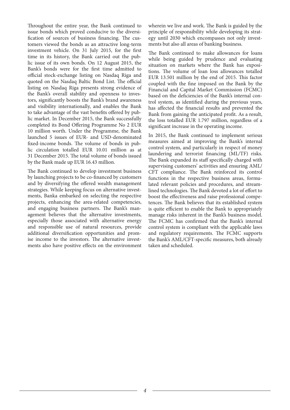Throughout the entire year, the Bank continued to issue bonds which proved conducive to the diversification of sources of business financing. The customers viewed the bonds as an attractive long-term investment vehicle. On 31 July 2015, for the first time in its history, the Bank carried out the public issue of its own bonds. On 12 August 2015, the Bank's bonds were for the first time admitted to official stock-exchange listing on Nasdaq Riga and quoted on the Nasdaq Baltic Bond List. The official listing on Nasdaq Riga presents strong evidence of the Bank's overall stability and openness to investors, significantly boosts the Bank's brand awareness and visibility internationally, and enables the Bank to take advantage of the vast benefits offered by public market. In December 2015, the Bank successfully completed its Bond Offering Programme No 2 EUR 10 million worth. Under the Programme, the Bank launched 5 issues of EUR- and USD-denominated fixed-income bonds. The volume of bonds in public circulation totalled EUR 10.01 million as at 31 December 2015. The total volume of bonds issued by the Bank made up EUR 16.43 million.

The Bank continued to develop investment business by launching projects to be co-financed by customers and by diversifying the offered wealth management strategies. While keeping focus on alternative investments, Banka embarked on selecting the respective projects, enhancing the area-related competencies, and engaging business partners. The Bank's management believes that the alternative investments, especially those associated with alternative energy and responsible use of natural resources, provide additional diversification opportunities and promise income to the investors. The alternative investments also have positive effects on the environment

wherein we live and work. The Bank is guided by the principle of responsibility while developing its strategy until 2030 which encompasses not only investments but also all areas of banking business.

The Bank continued to make allowances for loans while being guided by prudence and evaluating situation on markets where the Bank has expositions. The volume of loan loss allowances totalled EUR 13.501 million by the end of 2015. This factor coupled with the fine imposed on the Bank by the Financial and Capital Market Commission (FCMC) based on the deficiencies of the Bank's internal control system, as identified during the previous years, has affected the financial results and prevented the Bank from gaining the anticipated profit. As a result, the loss totalled EUR 1.797 million, regardless of a significant increase in the operating income.

In 2015, the Bank continued to implement serious measures aimed at improving the Bank's internal control system, and particularly in respect of money laundering and terrorist financing (ML/TF) risks. The Bank expanded its staff specifically charged with supervising customers' activities and ensuring AML/ CFT compliance. The Bank reinforced its control functions in the respective business areas, formulated relevant policies and procedures, and streamlined technologies. The Bank devoted a lot of effort to boost the effectiveness and raise professional competences. The Bank believes that its established system is quite efficient to enable the Bank to appropriately manage risks inherent in the Bank's business model. The FCMC has confirmed that the Bank's internal control system is compliant with the applicable laws and regulatory requirements. The FCMC supports the Bank's AML/CFT-specific measures, both already taken and scheduled.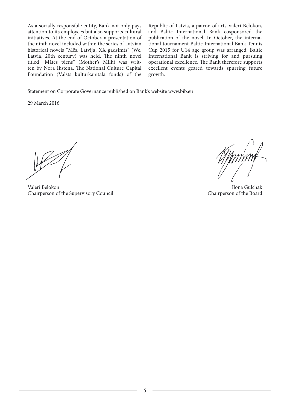As a socially responsible entity, Bank not only pays attention to its employees but also supports cultural initiatives. At the end of October, a presentation of the ninth novel included within the series of Latvian historical novels "Mēs. Latvija, XX gadsimts" (We. Latvia, 20th century) was held. The ninth novel titled "Mātes piens" (Mother's Milk) was written by Nora Ikstena. The National Culture Capital Foundation (Valsts kultūrkapitāla fonds) of the

Republic of Latvia, a patron of arts Valeri Belokon, and Baltic International Bank cosponsored the publication of the novel. In October, the international tournament Baltic International Bank Tennis Cup 2015 for U14 age group was arranged. Baltic International Bank is striving for and pursuing operational excellence. The Bank therefore supports excellent events geared towards spurring future growth.

Statement on Corporate Governance published on Bank's website www.bib.eu

29 March 2016

Valeri Belokon Chairperson of the Supervisory Council

Ilona Gulchak Chairperson of the Board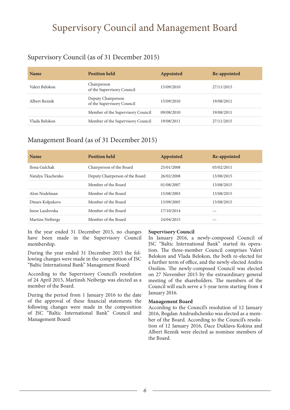## Supervisory Council and Management Board

### Supervisory Council (as of 31 December 2015)

| <b>Name</b>    | <b>Position held</b>                             | Appointed  | Re-appointed |
|----------------|--------------------------------------------------|------------|--------------|
| Valeri Belokon | Chairperson<br>of the Supervisory Council        | 15/09/2010 | 27/11/2015   |
| Albert Reznik  | Deputy Chairperson<br>of the Supervisory Council | 15/09/2010 | 19/08/2011   |
|                | Member of the Supervisory Council                | 09/08/2010 | 19/08/2011   |
| Vlada Belokon  | Member of the Supervisory Council                | 19/08/2011 | 27/11/2015   |

### Management Board (as of 31 December 2015)

| <b>Name</b>       | <b>Position held</b>            | Appointed  | Re-appointed |
|-------------------|---------------------------------|------------|--------------|
| Ilona Gulchak     | Chairperson of the Board        | 25/01/2008 | 03/02/2011   |
| Natalya Tkachenko | Deputy Chairperson of the Board | 26/02/2008 | 13/08/2015   |
|                   | Member of the Board             | 01/08/2007 | 13/08/2015   |
| Alon Nodelman     | Member of the Board             | 15/08/2003 | 13/08/2015   |
| Dinars Kolpakovs  | Member of the Board             | 13/09/2005 | 13/08/2015   |
| Inese Lazdovska   | Member of the Board             | 17/10/2014 |              |
| Martins Neibergs  | Member of the Board             | 24/04/2015 |              |

In the year ended 31 December 2015, no changes have been made in the Supervisory Council membership.

During the year ended 31 December 2015 the following changes were made in the composition of JSC "Baltic International Bank" Management Board:

According to the Supervisory Council's resolution of 24 April 2015, Martinsh Neibergs was elected as a member of the Board.

During the period from 1 January 2016 to the date of the approval of these financial statements the following changes were made in the composition of JSC "Baltic International Bank" Council and Management Board:

### **Supervisory Council**

In January 2016, a newly-composed Council of JSC "Baltiс International Bank" started its operation. The three-member Council comprises Valeri Belokon and Vlada Belokon, the both re-elected for a further term of office, and the newly-elected Andris Ozolins. The newly-composed Council was elected on 27 November 2015 by the extraordinary general meeting of the shareholders. The members of the Council will each serve a 5-year term starting from 4 January 2016.

### **Management Board**

According to the Council's resolution of 12 January 2016, Bogdan Andrushchenko was elected as a member of the Board. According to the Council's resolution of 12 January 2016, Dace Duklava-Kokina and Albert Reznik were elected as nominee members of the Board.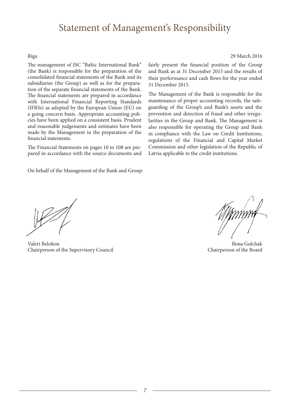## Statement of Management's Responsibility

The management of JSC "Baltic International Bank" (the Bank) is responsible for the preparation of the consolidated financial statements of the Bank and its subsidiaries (the Group) as well as for the preparation of the separate financial statements of the Bank. The financial statements are prepared in accordance with International Financial Reporting Standards (IFRSs) as adopted by the European Union (EU) on a going concern basis. Appropriate accounting policies have been applied on a consistent basis. Prudent and reasonable judgements and estimates have been made by the Management in the preparation of the financial statements.

The Financial Statements on pages 10 to 108 are prepared in accordance with the source documents and

On behalf of the Management of the Bank and Group:

### Riga 29 March 2016

fairly present the financial position of the Group and Bank as at 31 December 2015 and the results of their performance and cash flows for the year ended 31 December 2015.

The Management of the Bank is responsible for the maintenance of proper accounting records, the safeguarding of the Group's and Bank's assets and the prevention and detection of fraud and other irregularities in the Group and Bank. The Management is also responsible for operating the Group and Bank in compliance with the Law on Credit Institutions, regulations of the Financial and Capital Market Commission and other legislation of the Republic of Latvia applicable to the credit institutions.

Valeri Belokon Chairperson of the Supervisory Council

Ilona Gulchak Chairperson of the Board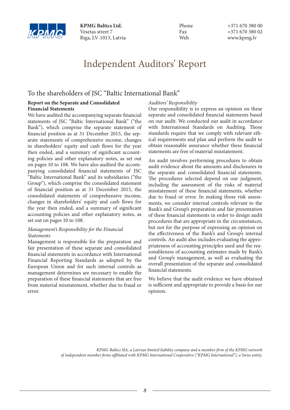

**KPMG Baltics Ltd.** Vesetas street 7 Riga, LV-1013, Latvia

Phone  $+371\,670\,380\,00$ Fax +371 670 380 02 Web www.kpmg.lv

## Independent Auditors' Report

### To the shareholders of JSC "Baltic International Bank"

### **Report on the Separate and Consolidated Financial Statements**

We have audited the accompanying separate financial statements of JSC "Baltic International Bank" ("the Bank"), which comprise the separate statement of financial position as at 31 December 2015, the separate statements of comprehensive income, changes in shareholders' equity and cash flows for the year then ended, and a summary of significant accounting policies and other explanatory notes, as set out on pages 10 to 108. We have also audited the accompanying consolidated financial statements of JSC "Baltic International Bank" and its subsidiaries ("the Group"), which comprise the consolidated statement of financial position as at 31 December 2015, the consolidated statements of comprehensive income, changes in shareholders' equity and cash flows for the year then ended, and a summary of significant accounting policies and other explanatory notes, as set out on pages 10 to 108.

### *Management's Responsibility for the Financial Statements*

Management is responsible for the preparation and fair presentation of these separate and consolidated financial statements in accordance with International Financial Reporting Standards as adopted by the European Union and for such internal controls as management determines are necessary to enable the preparation of these financial statements that are free from material misstatement, whether due to fraud or error.

### *Auditors' Responsibility*

Our responsibility is to express an opinion on these separate and consolidated financial statements based on our audit. We conducted our audit in accordance with International Standards on Auditing. Those standards require that we comply with relevant ethical requirements and plan and perform the audit to obtain reasonable assurance whether these financial statements are free of material misstatement.

An audit involves performing procedures to obtain audit evidence about the amounts and disclosures in the separate and consolidated financial statements. The procedures selected depend on our judgment, including the assessment of the risks of material misstatement of these financial statements, whether due to fraud or error. In making those risk assessments, we consider internal controls relevant to the Bank's and Group's preparation and fair presentation of these financial statements in order to design audit procedures that are appropriate in the circumstances, but not for the purpose of expressing an opinion on the effectiveness of the Bank's and Group's internal controls. An audit also includes evaluating the appropriateness of accounting principles used and the reasonableness of accounting estimates made by Bank's and Group's management, as well as evaluating the overall presentation of the separate and consolidated financial statements.

We believe that the audit evidence we have obtained is sufficient and appropriate to provide a basis for our opinion.

*KPMG Baltics SlA, a Latvian limited liability company and a member firm of the KPMG network of independent member firms affiliated with KPMG International Cooperative ("KPMG International"), a Swiss entity.*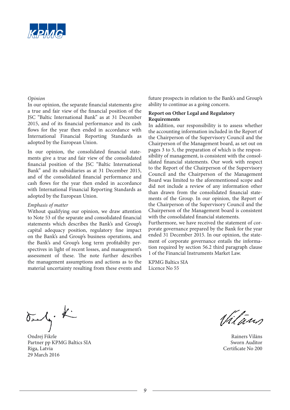

#### *Opinion*

In our opinion, the separate financial statements give a true and fair view of the financial position of the JSC "Baltic International Bank" as at 31 December 2015, and of its financial performance and its cash flows for the year then ended in accordance with International Financial Reporting Standards as adopted by the European Union.

In our opinion, the consolidated financial statements give a true and fair view of the consolidated financial position of the JSC "Baltic International Bank" and its subsidiaries as at 31 December 2015, and of the consolidated financial performance and cash flows for the year then ended in accordance with International Financial Reporting Standards as adopted by the European Union.

#### *Emphasis of matter*

Without qualifying our opinion, we draw attention to Note 53 of the separate and consolidated financial statements which describes the Bank's and Group's capital adequacy position, regulatory fine impact on the Bank's and Group's business operations, and the Bank's and Group's long term profitabilty perspectives in light of recent losses, and management's assessment of these. The note further describes the management assumptions and actions as to the material uncertainty resulting from these events and future prospects in relation to the Bank's and Group's ability to continue as a going concern.

#### **Report on Other Legal and Regulatory Requirements**

In addition, our responsibility is to assess whether the accounting information included in the Report of the Chairperson of the Supervisory Council and the Chairperson of the Management board, as set out on pages 3 to 5, the preparation of which is the responsibility of management, is consistent with the consolidated financial statements. Our work with respect to the Report of the Chairperson of the Supervisory Council and the Chairperson of the Management Board was limited to the aforementioned scope and did not include a review of any information other than drawn from the consolidated financial statements of the Group. In our opinion, the Report of the Chairperson of the Supervisory Council and the Chairperson of the Management board is consistent with the consolidated financial statements.

Furthermore, we have received the statement of corporate governance prepared by the Bank for the year ended 31 December 2015. In our opinion, the statement of corporate governance entails the information required by section 56.2 third paragraph clause 1 of the Financial Instruments Market Law.

KPMG Baltics SIA Licence No 55

deady. Ki

Ondrej Fikrle Partner pp KPMG Baltics SIA Riga, Latvia 29 March 2016

Vilans

Rainers Vilāns Sworn Auditor Certificate No 200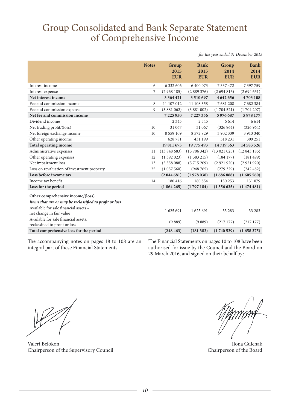## Group Consolidated and Bank Separate Statement of Comprehensive Income

*for the year ended 31 December 2015*

|                                                                        | <b>Notes</b> | Group<br>2015<br><b>EUR</b> | <b>Bank</b><br>2015<br><b>EUR</b> | Group<br>2014<br><b>EUR</b> | <b>Bank</b><br>2014<br><b>EUR</b> |
|------------------------------------------------------------------------|--------------|-----------------------------|-----------------------------------|-----------------------------|-----------------------------------|
| Interest income                                                        | 6            | 6 332 606                   | 6400073                           | 7 337 472                   | 7 397 759                         |
| Interest expense                                                       | 7            | (2968185)                   | (2889376)                         | (2694816)                   | (2694651)                         |
| Net interest income                                                    |              | 3 3 6 4 4 2 1               | 3 5 10 6 9 7                      | 4 642 656                   | 4703108                           |
| Fee and commission income                                              | 8            | 11 107 012                  | 11 108 358                        | 7681208                     | 7682384                           |
| Fee and commission expense                                             | 9            | (3881062)                   | (3881002)                         | (1704521)                   | (1704207)                         |
| Net fee and commission income                                          |              | 7 225 950                   | 7 227 356                         | 5976687                     | 5978177                           |
| Dividend income                                                        |              | 2 3 4 5                     | 2 3 4 5                           | 6614                        | 6614                              |
| Net trading profit/(loss)                                              | 10           | 31 067                      | 31 067                            | (326964)                    | (326964)                          |
| Net foreign exchange income                                            | 10           | 8 5 5 9 1 0 9               | 8 572 829                         | 3 902 339                   | 3 913 340                         |
| Other operating income                                                 |              | 628781                      | 431 199                           | 518 231                     | 309 251                           |
| Total operating income                                                 |              | 19811673                    | 19 775 493                        | 14719563                    | 14 583 526                        |
| Administrative expenses                                                | 11           | (13848683)                  | (13706342)                        | (13021025)                  | (12843185)                        |
| Other operating expenses                                               | 12           | (1392023)                   | (1383215)                         | (184177)                    | (181 499)                         |
| Net impairment loss                                                    | 13           | (5558088)                   | (5715209)                         | (2921920)                   | (2921920)                         |
| Loss on revaluation of investment property                             | 25           | (1057560)                   | (948765)                          | (279 329)                   | (242 482)                         |
| Loss before income tax                                                 |              | (2044681)                   | (1978038)                         | (168688)                    | (1605560)                         |
| Income tax benefit                                                     | 14           | 180416                      | 180854                            | 130 253                     | 131 079                           |
| Loss for the period                                                    |              | (1864265)                   | (1797184)                         | (1556635)                   | (1474481)                         |
| Other comprehensive income/(loss)                                      |              |                             |                                   |                             |                                   |
| Items that are or may be reclassified to profit or loss                |              |                             |                                   |                             |                                   |
| Available for sale financial assets -<br>net change in fair value      |              | 1625691                     | 1625691                           | 33 28 3                     | 33 28 3                           |
| Available for sale financial assets,<br>reclassified to profit or loss |              | (9889)                      | (9889)                            | (217177)                    | (217177)                          |
| Total comprehensive loss for the period                                |              | (248 463)                   | (181 382)                         | (1740529)                   | (1658375)                         |

The accompanying notes on pages 18 to 108 are an integral part of these Financial Statements.

Valeri Belokon Chairperson of the Supervisory Council

mmm

Ilona Gulchak Chairperson of the Board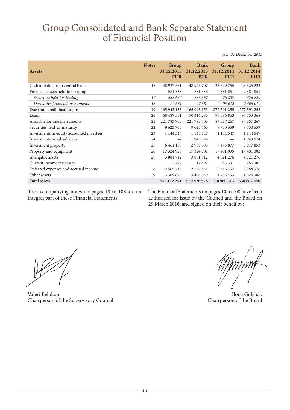## Group Consolidated and Bank Separate Statement of Financial Position

*as at 31 December 2015*

| <b>Assets</b>                             | <b>Notes</b> | Group<br>31.12.2015<br><b>EUR</b> | <b>Bank</b><br>31.12.2015<br><b>EUR</b> | Group<br>31.12.2014<br><b>EUR</b> | <b>Bank</b><br>31.12.2014<br><b>EUR</b> |
|-------------------------------------------|--------------|-----------------------------------|-----------------------------------------|-----------------------------------|-----------------------------------------|
| Cash and due from central banks           | 15           | 48 927 561                        | 48 925 707                              | 23 529 755                        | 23 525 223                              |
| Financial assets held-for-trading         |              | 581 338                           | 581 338                                 | 2881851                           | 2881851                                 |
| Securities held-for-trading               | 17           | 553 657                           | 553 657                                 | 476839                            | 476839                                  |
| Derivative financial instruments          | 18           | 27 681                            | 27 681                                  | 2 405 012                         | 2 405 012                               |
| Due from credit institutions              | 19           | 165 943 153                       | 165 943 153                             | 277 591 255                       | 277 591 255                             |
| Loans                                     | 20           | 68 487 551                        | 70 316 285                              | 96 086 863                        | 97 753 368                              |
| Available for sale instruments            | 21           | 221 783 703                       | 221 783 703                             | 87 357 267                        | 87 357 267                              |
| Securities held-to-maturity               | 22           | 9 623 763                         | 9 623 763                               | 8730659                           | 8730659                                 |
| Investments in equity accounted investees | 23           | 1 144 547                         | 1 144 547                               | 1 144 547                         | 1 144 547                               |
| Investments in subsidiaries               | 24           |                                   | 1943074                                 |                                   | 1943074                                 |
| Investment property                       | 25           | 6461188                           | 2969088                                 | 7475877                           | 3 917 853                               |
| Property and equipment                    | 26           | 17 324 928                        | 17 324 901                              | 17 401 095                        | 17 401 002                              |
| Intangible assets                         | 27           | 3 881 712                         | 3 881 712                               | 4 3 2 1 2 7 6                     | 4 3 2 1 2 7 6                           |
| Current income tax assets                 |              | 17497                             | 17497                                   | 285 301                           | 285 301                                 |
| Deferred expenses and accrued income      | 28           | 2 5 6 5 4 1 5                     | 2 5 6 4 8 5 1                           | 2 3 8 6 3 3 4                     | 2 3 8 3 3 7 6                           |
| Other assets                              | 29           | 3 3 6 9 8 9 5                     | 3 406 959                               | 1768433                           | 1626388                                 |
| <b>Total assets</b>                       |              | 550 112 251                       | 550 426 578                             | 530 960 513                       | 530 867 440                             |

The accompanying notes on pages 18 to 108 are an integral part of these Financial Statements.

Valeri Belokon Chairperson of the Supervisory Council

Mmmm

Ilona Gulchak Chairperson of the Board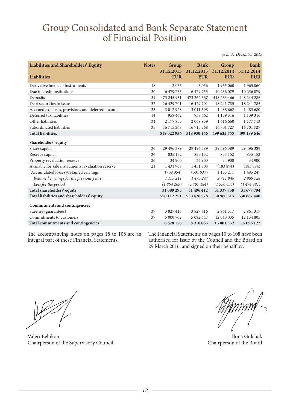## Group Consolidated and Bank Separate Statement of Financial Position

*as at 31 December 2015*

| Liabilities and Shareholders' Equity<br>Liabilities | <b>Notes</b> | Group<br>31.12.2015<br><b>EUR</b> | <b>Bank</b><br>31.12.2015<br><b>EUR</b> | <b>Group</b><br>31.12.2014<br><b>EUR</b> | <b>Bank</b><br>31.12.2014<br><b>EUR</b> |
|-----------------------------------------------------|--------------|-----------------------------------|-----------------------------------------|------------------------------------------|-----------------------------------------|
| Derivative financial instruments                    | 18           | 3 0 5 6                           | 3 0 5 6                                 | 1 965 060                                | 1 965 060                               |
| Due to credit institutions                          | 30           | 6 479 755                         | 6 479 755                               | 10 236 079                               | 10 236 079                              |
| Deposits                                            | 31           | 473 245 931                       | 473 262 367                             | 448 233 466                              | 448 244 286                             |
| Debt securities in issue                            | 32           | 16 429 701                        | 16 429 701                              | 18 241 785                               | 18 241 785                              |
| Accrued expenses, provisions and deferred income    | 33           | 3 012 928                         | 3 011 598                               | 1 488 662                                | 1 483 680                               |
| Deferred tax liabilities                            | 14           | 958 462                           | 958 462                                 | 1 139 316                                | 1 139 316                               |
| Other liabilities                                   | 34           | 2 177 855                         | 2 069 959                               | 1 616 660                                | 1 177 713                               |
| Subordinated liabilities                            | 35           | 16 715 268                        | 16 715 268                              | 16 701 727                               | 16 701 727                              |
| <b>Total liabilities</b>                            |              | 519 022 956                       | 518 930 166                             | 499 622 755                              | 499 189 646                             |
| Shareholders' equity                                |              |                                   |                                         |                                          |                                         |
| Share capital                                       | 36           | 29 496 389                        | 29 49 6 389                             | 29 496 389                               | 29 49 6 389                             |
| Reserve capital                                     | 36           | 835 152                           | 835 152                                 | 835 152                                  | 835 152                                 |
| Property revaluation reserve                        | 26           | 34 900                            | 34 900                                  | 34 900                                   | 34 900                                  |
| Available for sale instruments revaluation reserve  | 21           | 1 431 908                         | 1431908                                 | (183 894)                                | (183 894)                               |
| (Accumulated losses)/retained earnings              |              | (709054)                          | (301937)                                | 1 1 5 2 1 1                              | 1 495 247                               |
| Retained earnings for the previous years            |              | 1 155 211                         | 1495247                                 | 2711846                                  | 2969728                                 |
| Loss for the period                                 |              | (1864265)                         | (1797184)                               | (1556635)                                | (1474481)                               |
| Total shareholders' equity                          |              | 31 089 295                        | 31 496 412                              | 31 337 758                               | 31 677 794                              |
| Total liabilities and shareholders' equity          |              | 550 112 251                       | 550 426 578                             | 530 960 513                              | 530 867 440                             |
| Commitments and contingencies                       |              |                                   |                                         |                                          |                                         |
| Sureties (guarantees)                               | 37           | 3 827 416                         | 3 827 416                               | 2961317                                  | 2961317                                 |
| Commitments to customers                            | 37           | 5 000 762                         | 5 082 647                               | 12 040 035                               | 12 134 805                              |
| Total commitments and contingencies                 |              | 8828178                           | 8910063                                 | 15 001 352                               | 15 096 122                              |

The accompanying notes on pages 18 to 108 are an integral part of these Financial Statements.

Valeri Belokon Chairperson of the Supervisory Council

Mimmmt

Ilona Gulchak Chairperson of the Board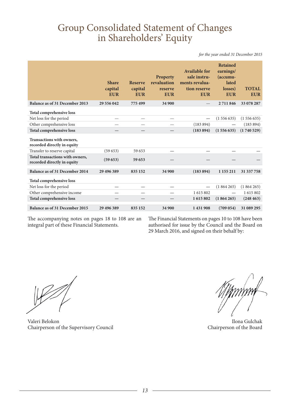## Group Consolidated Statement of Changes in Shareholders' Equity

*for the year ended 31 December 2015*

|                                                                | <b>Share</b><br>capital<br><b>EUR</b> | <b>Reserve</b><br>capital<br><b>EUR</b> | <b>Property</b><br>revaluation<br>reserve<br><b>EUR</b> | <b>Available for</b><br>sale instru-<br>ments revalua-<br>tion reserve<br><b>EUR</b> | Retained<br>earnings/<br>$(\text{accumu}-$<br>lated<br>losses)<br><b>EUR</b> | <b>TOTAL</b><br><b>EUR</b> |
|----------------------------------------------------------------|---------------------------------------|-----------------------------------------|---------------------------------------------------------|--------------------------------------------------------------------------------------|------------------------------------------------------------------------------|----------------------------|
| Balance as of 31 December 2013                                 | 29 556 042                            | 775499                                  | 34 900                                                  |                                                                                      | 2711846                                                                      | 33 078 287                 |
| <b>Total comprehensive loss</b>                                |                                       |                                         |                                                         |                                                                                      |                                                                              |                            |
| Net loss for the period                                        |                                       |                                         |                                                         |                                                                                      | (1556635)                                                                    | (1556635)                  |
| Other comprehensive loss                                       |                                       |                                         |                                                         | (183 894)                                                                            |                                                                              | (183 894)                  |
| <b>Total comprehensive loss</b>                                |                                       |                                         |                                                         | (183 894)                                                                            | (1556635)                                                                    | (1740529)                  |
| Transactions with owners,<br>recorded directly in equity       |                                       |                                         |                                                         |                                                                                      |                                                                              |                            |
| Transfer to reserve capital                                    | (59653)                               | 59 653                                  |                                                         |                                                                                      |                                                                              |                            |
| Total transactions with owners,<br>recorded directly in equity | (59653)                               | 59 653                                  |                                                         |                                                                                      |                                                                              |                            |
| Balance as of 31 December 2014                                 | 29 496 389                            | 835 152                                 | 34 900                                                  | (183 894)                                                                            | 1 1 5 2 1 1                                                                  | 31 337 758                 |
| <b>Total comprehensive loss</b>                                |                                       |                                         |                                                         |                                                                                      |                                                                              |                            |
| Net loss for the period                                        |                                       |                                         |                                                         |                                                                                      | (1864265)                                                                    | (1864265)                  |
| Other comprehensive income                                     | —                                     |                                         |                                                         | 1 615 802                                                                            |                                                                              | 1615802                    |
| <b>Total comprehensive loss</b>                                |                                       |                                         |                                                         | 1615802                                                                              | (1864265)                                                                    | (248463)                   |
| Balance as of 31 December 2015                                 | 29 496 389                            | 835 152                                 | 34 900                                                  | 1431908                                                                              | (709 054)                                                                    | 31 089 295                 |

The accompanying notes on pages 18 to 108 are an integral part of these Financial Statements.

Valeri Belokon Chairperson of the Supervisory Council

Ilona Gulchak Chairperson of the Board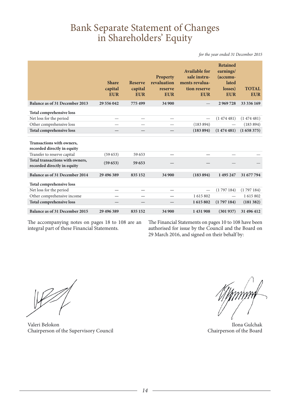## Bank Separate Statement of Changes in Shareholders' Equity

*for the year ended 31 December 2015*

|                                                                | <b>Share</b><br>capital<br><b>EUR</b> | <b>Reserve</b><br>capital<br><b>EUR</b> | <b>Property</b><br>revaluation<br>reserve<br><b>EUR</b> | <b>Available for</b><br>sale instru-<br>ments revalua-<br>tion reserve<br><b>EUR</b> | Retained<br>earnings/<br>(accumu-<br>lated<br>losses)<br><b>EUR</b> | <b>TOTAL</b><br><b>EUR</b> |
|----------------------------------------------------------------|---------------------------------------|-----------------------------------------|---------------------------------------------------------|--------------------------------------------------------------------------------------|---------------------------------------------------------------------|----------------------------|
| Balance as of 31 December 2013                                 | 29 556 042                            | 775 499                                 | 34 900                                                  |                                                                                      | 2969728                                                             | 33 336 169                 |
| <b>Total comprehensive loss</b>                                |                                       |                                         |                                                         |                                                                                      |                                                                     |                            |
| Net loss for the period                                        | $\overline{\phantom{0}}$              |                                         |                                                         |                                                                                      | (1474481)                                                           | (1474481)                  |
| Other comprehensive loss                                       |                                       |                                         |                                                         | (183 894)                                                                            |                                                                     | (183 894)                  |
| <b>Total comprehensive loss</b>                                |                                       |                                         |                                                         | (183 894)                                                                            | (1474481)                                                           | (1658375)                  |
| Transactions with owners.<br>recorded directly in equity       |                                       |                                         |                                                         |                                                                                      |                                                                     |                            |
| Transfer to reserve capital                                    | (59653)                               | 59 653                                  |                                                         |                                                                                      |                                                                     |                            |
| Total transactions with owners,<br>recorded directly in equity | (59653)                               | 59 653                                  |                                                         |                                                                                      |                                                                     |                            |
| Balance as of 31 December 2014                                 | 29 496 389                            | 835 152                                 | 34 900                                                  | (183 894)                                                                            | 1495247                                                             | 31 677 794                 |
| <b>Total comprehensive loss</b>                                |                                       |                                         |                                                         |                                                                                      |                                                                     |                            |
| Net loss for the period                                        |                                       |                                         |                                                         |                                                                                      | (1797184)                                                           | (1797184)                  |
| Other comprehensive income                                     |                                       |                                         |                                                         | 1 615 802                                                                            |                                                                     | 1615802                    |
| <b>Total comprehensive loss</b>                                |                                       |                                         |                                                         | 1615802                                                                              | (1797184)                                                           | (181 382)                  |
| Balance as of 31 December 2015                                 | 29 496 389                            | 835 152                                 | 34 900                                                  | 1431908                                                                              | (301937)                                                            | 31 496 412                 |

The accompanying notes on pages 18 to 108 are an integral part of these Financial Statements.

Valeri Belokon Chairperson of the Supervisory Council

<u>Afimmad</u>

Ilona Gulchak Chairperson of the Board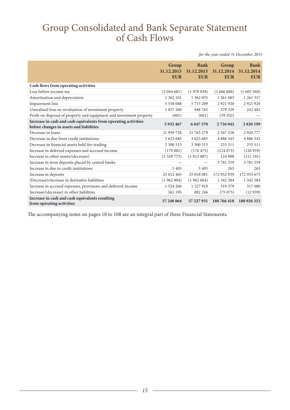## Group Consolidated and Bank Separate Statement of Cash Flows

*for the year ended 31 December 2015*

|                                                                                                             | Group<br>31.12.2015<br><b>EUR</b> | <b>Bank</b><br>31.12.2015<br><b>EUR</b> | Group<br>31.12.2014<br><b>EUR</b> | <b>Bank</b><br>31.12.2014<br><b>EUR</b> |
|-------------------------------------------------------------------------------------------------------------|-----------------------------------|-----------------------------------------|-----------------------------------|-----------------------------------------|
| Cash flows from operating activities                                                                        |                                   |                                         |                                   |                                         |
| Loss before income tax                                                                                      | (2044681)                         | (1978038)                               | (168688)                          | (1605560)                               |
| Amortisation and depreciation                                                                               | 1 362 101                         | 1 362 035                               | 1 261 683                         | 1 261 357                               |
| Impairment loss                                                                                             | 5 5 5 8 0 8 8                     | 5715209                                 | 2 9 2 1 9 2 0                     | 2921920                                 |
| Unrealised loss on revaluation of investment property                                                       | 1 057 560                         | 948 765                                 | 279 329                           | 242 482                                 |
| Profit on disposal of property and equipment and investment property                                        | (601)                             | (601)                                   | (39102)                           |                                         |
| Increase in cash and cash equivalents from operating activities<br>before changes in assets and liabilities | 5932467                           | 6 047 370                               | 2736942                           | 2820199                                 |
| Decrease in loans                                                                                           | 21 959 728                        | 21 763 279                              | 2 5 6 7 2 5 8                     | 2920777                                 |
| Decrease in due from credit institutions                                                                    | 3 623 685                         | 3 623 685                               | 4886343                           | 4 886 343                               |
| Decrease in financial assets held-for-trading                                                               | 2 300 513                         | 2 300 513                               | 253 511                           | 253 511                                 |
| Increase in deferred expenses and accrued income                                                            | (179081)                          | (176 475)                               | (124073)                          | (126959)                                |
| Increase in other assets/(decrease)                                                                         | (1529775)                         | (1812087)                               | 124 988                           | (211 541)                               |
| Increase in term deposits placed by central banks                                                           |                                   | $\hspace{0.05cm}$                       | 3781559                           | 3781559                                 |
| Increase in due to credit institutions                                                                      | 5 4 0 5                           | 5405                                    | 263                               | 263                                     |
| Increase in deposits                                                                                        | 25 012 465                        | 25 018 081                              | 172 952 939                       | 172 955 675                             |
| (Decrease)/increase in derivative liabilities                                                               | (1962004)                         | (1962004)                               | 1 342 384                         | 1 342 384                               |
| Increase in accrued expenses, provisions and deferred income                                                | 1 524 266                         | 1527918                                 | 319 379                           | 317 080                                 |
| Increase/(decrease) in other liabilities                                                                    | 561 195                           | 892 246                                 | (75075)                           | (12939)                                 |
| Increase in cash and cash equivalents resulting<br>from operating activities                                | 57 248 864                        | 57 227 931                              | 188766418                         | 188 926 352                             |

The accompanying notes on pages 18 to 108 are an integral part of these Financial Statements.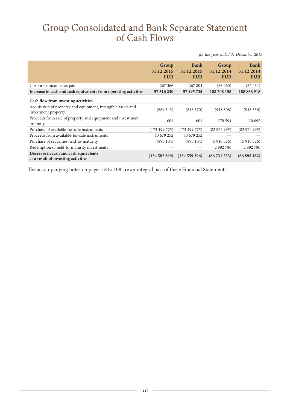## Group Consolidated and Bank Separate Statement of Cash Flows

*for the year ended 31 December 2015*

|                                                                                     | Group<br>31.12.2015<br><b>EUR</b> | <b>Bank</b><br>31.12.2015<br><b>EUR</b> | Group<br>31.12.2014<br><b>EUR</b> | <b>Bank</b><br>31.12.2014<br><b>EUR</b> |
|-------------------------------------------------------------------------------------|-----------------------------------|-----------------------------------------|-----------------------------------|-----------------------------------------|
| Corporate income tax paid                                                           | 267 366                           | 267 804                                 | (58260)                           | (57 434)                                |
| Increase in cash and cash equivalents from operating activities                     | 57 516 230                        | 57 495 735                              | 188 708 158                       | 188 868 918                             |
| Cash flow from investing activities                                                 |                                   |                                         |                                   |                                         |
| Acquisition of property and equipment, intangible assets and<br>investment property | (869543)                          | (846370)                                | (918306)                          | (913336)                                |
| Proceeds from sale of property and equipment and investment<br>property             | 601                               | 601                                     | 179 594                           | 10 695                                  |
| Purchase of available-for-sale instruments                                          | (173 499 775)                     | (173 499 775)                           | (82974995)                        | (82974995)                              |
| Proceeds from available-for-sale instruments                                        | 40 679 252                        | 40 679 252                              |                                   |                                         |
| Purchase of securities held-to-maturity                                             | (893104)                          | (893104)                                | (5910326)                         | (5910326)                               |
| Redemption of held-to-maturity investments                                          |                                   |                                         | 2892780                           | 2892780                                 |
| Decrease in cash and cash equivalents<br>as a result of investing activities        | (134582569)                       | (134559396)                             | (86731253)                        | (86 895 182)                            |

The accompanying notes on pages 18 to 108 are an integral part of these Financial Statements.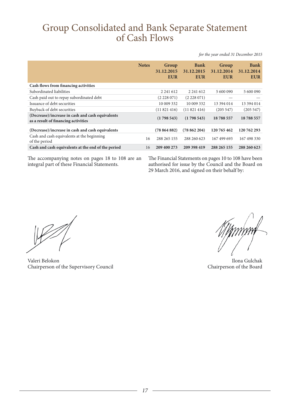## Group Consolidated and Bank Separate Statement of Cash Flows

*for the year ended 31 December 2015*

|                                                                                         | <b>Notes</b> | Group<br>31.12.2015<br><b>EUR</b> | <b>Bank</b><br>31.12.2015<br><b>EUR</b> | <b>Group</b><br>31.12.2014<br><b>EUR</b> | <b>Bank</b><br>31.12.2014<br><b>EUR</b> |
|-----------------------------------------------------------------------------------------|--------------|-----------------------------------|-----------------------------------------|------------------------------------------|-----------------------------------------|
| Cash flows from financing activities                                                    |              |                                   |                                         |                                          |                                         |
| Subordinated liabilities                                                                |              | 2 241 612                         | 2 241 612                               | 5 600 090                                | 5 600 090                               |
| Cash paid out to repay subordinated debt                                                |              | (2228071)                         | (2228071)                               |                                          |                                         |
| Issuance of debt securities                                                             |              | 10 009 332                        | 10 009 332                              | 13 394 014                               | 13 394 014                              |
| Buyback of debt securities                                                              |              | (11821416)                        | (11821416)                              | (205547)                                 | (205 547)                               |
| (Decrease)/increase in cash and cash equivalents<br>as a result of financing activities |              | (1798543)                         | (1798543)                               | 18788557                                 | 18788557                                |
| (Decrease)/increase in cash and cash equivalents                                        |              | (78864882)                        | (78862204)                              | 120 765 462                              | 120 762 293                             |
| Cash and cash equivalents at the beginning<br>of the period                             | 16           | 288 265 155                       | 288 260 623                             | 167 499 693                              | 167 498 330                             |
| Cash and cash equivalents at the end of the period                                      | 16           | 209 400 273                       | 209 398 419                             | 288 265 155                              | 288 260 623                             |

The accompanying notes on pages 18 to 108 are an integral part of these Financial Statements.

Valeri Belokon Chairperson of the Supervisory Council

Mpmmmf

Ilona Gulchak Chairperson of the Board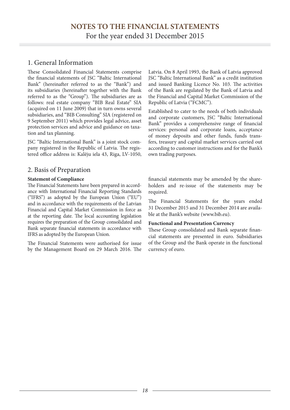### 1. General Information

These Consolidated Financial Statements comprise the financial statements of JSC "Baltic International Bank" (hereinafter referred to as the "Bank") and its subsidiaries (hereinafter together with the Bank referred to as the "Group"). The subsidiaries are as follows: real estate company "BIB Real Estate" SIA (acquired on 11 June 2009) that in turn owns several subsidiaries, and "BIB Consulting" SIA (registered on 9 September 2011) which provides legal advice, asset protection services and advice and guidance on taxation and tax planning.

JSC "Baltic International Bank" is a joint stock company registered in the Republic of Latvia. The registered office address is: Kalēju iela 43, Riga, LV-1050,

### 2. Basis of Preparation

### **Statement of Compliance**

The Financial Statements have been prepared in accordance with International Financial Reporting Standards ("IFRS") as adopted by the European Union ("EU") and in accordance with the requirements of the Latvian Financial and Capital Market Commission in force as at the reporting date. The local accounting legislation requires the preparation of the Group consolidated аnd Bank separate financial statements in accordance with IFRS as adopted by the European Union.

The Financial Statements were authorised for issue by the Management Board on 29 March 2016. The Latvia. On 8 April 1993, the Bank of Latvia approved JSC "Baltic International Bank" as a credit institution and issued Banking Licence No. 103. The activities of the Bank are regulated by the Bank of Latvia and the Financial and Capital Market Commission of the Republic of Latvia ("FCMC").

Established to cater to the needs of both individuals and corporate customers, JSC "Baltic International Bank" provides a comprehensive range of financial services: personal and corporate loans, acceptance of money deposits and other funds, funds transfers, treasury and capital market services carried out according to customer instructions and for the Bank's own trading purposes.

financial statements may be amended by the shareholders and re-issue of the statements may be required.

The Financial Statements for the years ended 31 December 2015 and 31 December 2014 are available at the Bank's website (www.bib.eu).

### **Functional and Presentation Currency**

These Group consolidated and Bank separate financial statements are presented in euro. Subsidiaries of the Group and the Bank operate in the functional currencу of euro.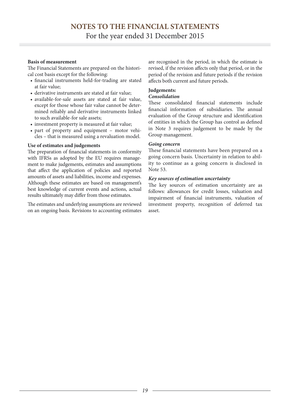### **Basis of measurement**

The Financial Statements are prepared on the historical cost basis except for the following:

- financial instruments held-for-trading are stated at fair value;
- derivative instruments are stated at fair value;
- available-for-sale assets are stated at fair value, except for those whose fair value cannot be determined reliably and derivative instruments linked to such available-for sale assets;
- investment property is measured at fair value;
- part of property and equipment motor vehicles – that is measured using a revaluation model.

### **Use of estimates and judgements**

The preparation of financial statements in conformity with IFRSs as adopted by the EU requires management to make judgements, estimates and assumptions that affect the application of policies and reported amounts of assets and liabilities, income and expenses. Although these estimates are based on management's best knowledge of current events and actions, actual results ultimately may differ from those estimates.

The estimates and underlying assumptions are reviewed on an ongoing basis. Revisions to accounting estimates are recognised in the period, in which the estimate is revised, if the revision affects only that period, or in the period of the revision and future periods if the revision affects both current and future periods.

### **Judgements:**

### *Consolidation*

These consolidated financial statements include financial information of subsidiaries. The annual evaluation of the Group structure and identification of entities in which the Group has control as defined in Note 3 requires judgement to be made by the Group management.

### *Going concern*

These financial statements have been prepared on a going concern basis. Uncertainty in relation to ability to continue as a going concern is disclosed in Note 53.

### *Key sources of estimation uncertainty*

The key sources of estimation uncertainty are as follows: allowances for credit losses, valuation and impairment of financial instruments, valuation of investment property, recognition of deferred tax asset.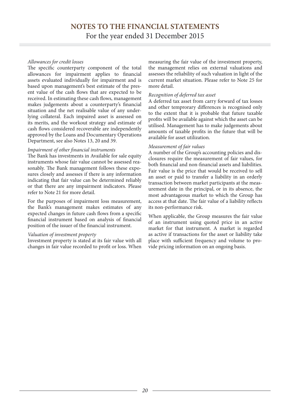### *Allowances for credit losses*

The specific counterparty component of the total allowances for impairment applies to financial assets evaluated individually for impairment and is based upon management's best estimate of the present value of the cash flows that are expected to be received. In estimating these cash flows, management makes judgements about a counterparty's financial situation and the net realisable value of any underlying collateral. Each impaired asset is assessed on its merits, and the workout strategy and estimate of cash flows considered recoverable are independently approved by the Loans and Documentary Оperations Department, see also Notes 13, 20 and 39.

### *Impairment of other financial instruments*

The Bank has investments in Available for sale equity instruments whose fair value cannot be assessed reasonably. The Bank management follows these exposures closely and assesses if there is any information indicating that fair value can be determined reliably or that there are any impairment indicators. Please refer to Note 21 for more detail.

For the purposes of impairment loss measurement, the Bank's management makes estimates of any expected changes in future cash flows from a specific financial instrument based on analysis of financial position of the issuer of the financial instrument.

### *Valuation of investment property*

Investment property is stated at its fair value with all changes in fair value recorded to profit or loss. When measuring the fair value of the investment property, the management relies on external valuations and assesses the reliability of such valuation in light of the current market situation. Please refer to Note 25 for more detail.

### *Recognition of deferred tax asset*

A deferred tax asset from carry forward of tax losses and other temprorary differences is recognised only to the extent that it is probable that future taxable profits will be available against which the asset can be utilised. Management has to make judgements about amounts of taxable profits in the future that will be available for asset utilization.

### *Measurement of fair values*

A number of the Group's accounting policies and disclosures require the measurement of fair values, for both financial and non-financial assets and liabilities. Fair value is the price that would be received to sell an asset or paid to transfer a liability in an orderly transaction between market participants at the measurement date in the principal, or in its absence, the most advantageous market to which the Group has access at that date. The fair value of a liability reflects its non-performance risk.

When applicable, the Group measures the fair value of an instrument using quoted price in an active market for that instrument. A market is regarded as active if transactions for the asset or liability take place with sufficient frequency and volume to provide pricing information on an ongoing basis.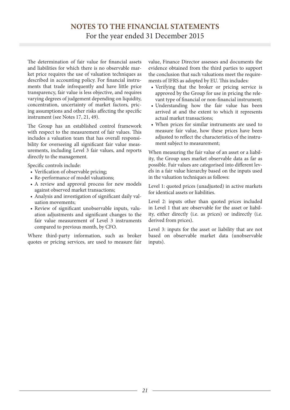The determination of fair value for financial assets and liabilities for which there is no observable market price requires the use of valuation techniques as described in accounting policy. For financial instruments that trade infrequently and have little price transparency, fair value is less objective, and requires varying degrees of judgement depending on liquidity, concentration, uncertainty of market factors, pricing assumptions and other risks affecting the specific instrument (see Notes 17, 21, 49).

The Group has an established control framework with respect to the measurement of fair values. This includes a valuation team that has overall responsibility for overseeing all significant fair value measurements, including Level 3 fair values, and reports directly to the management.

Specific controls include:

- Verification of observable pricing;
- Re-performance of model valuations;
- A review and approval process for new models against observed market transactions;
- Analysis and investigation of significant daily valuation movements;
- Review of significant unobservable inputs, valuation adjustments and significant changes to the fair value measurement of Level 3 instruments compared to previous month, by CFO.

Where third-party information, such as broker quotes or pricing services, are used to measure fair value, Finance Director assesses and documents the evidence obtained from the third parties to support the conclusion that such valuations meet the requirements of IFRS as adopted by EU. This includes:

- Verifying that the broker or pricing service is approved by the Group for use in pricing the relevant type of financial or non-financial instrument;
- Understanding how the fair value has been arrived at and the extent to which it represents actual market transactions;
- When prices for similar instruments are used to measure fair value, how these prices have been adjusted to reflect the characteristics of the instrument subject to measurement;

When measuring the fair value of an asset or a liability, the Group uses market observable data as far as possible. Fair values are categorised into different levels in a fair value hierarchy based on the inputs used in the valuation techniques as follows:

Level 1: quoted prices (unadjusted) in active markets for identical assets or liabilities.

Level 2: inputs other than quoted prices included in Level 1 that are observable for the asset or liability, either directly (i.e. as prices) or indirectly (i.e. derived from prices).

Level 3: inputs for the asset or liability that are not based on observable market data (unobservable inputs).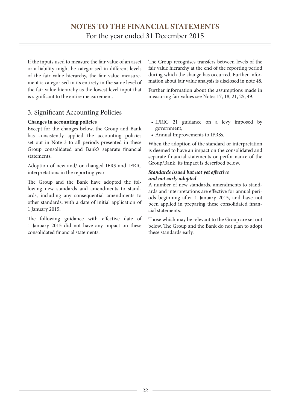If the inputs used to measure the fair value of an asset or a liability might be categorised in different levels of the fair value hierarchy, the fair value measurement is categorised in its entirety in the same level of the fair value hierarchy as the lowest level input that is significant to the entire measurement.

### 3. Significant Accounting Policies

### **Changes in accounting policies**

Except for the changes below, the Group and Bank has consistently applied the accounting policies set out in Note 3 to all periods presented in these Group consolidated and Bank's separate financial statements.

Adoption of new and/ or changed IFRS and IFRIC interpretations in the reporting year

The Group and the Bank have adopted the following new standards and amendments to standards, including any consequential amendments to other standards, with a date of initial application of 1 January 2015.

The following guidance with effective date of 1 January 2015 did not have any impact on these consolidated financial statements:

The Group recognises transfers between levels of the fair value hierarchy at the end of the reporting period during which the change has occurred. Further information about fair value analysis is disclosed in note 48.

Further information about the assumptions made in measuring fair values see Notes 17, 18, 21, 25, 49.

- IFRIC 21 guidance on a levy imposed by government;
- Annual Improvements to IFRSs.

When the adoption of the standard or interpretation is deemed to have an impact on the consolidated and separate financial statements or performance of the Group/Bank, its impact is described below.

### *Standards issued but not yet effective and not early adopted*

A number of new standards, amendments to standards and interpretations are effective for annual periods beginning after 1 January 2015, and have not been applied in preparing these consolidated financial statements.

Those which may be relevant to the Group are set out below. The Group and the Bank do not plan to adopt these standards early.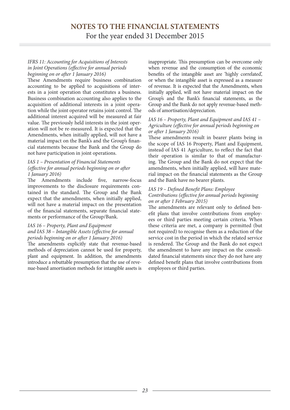### *IFRS 11: Accounting for Acquisitions of Interests in Joint Operations (effective for annual periods beginning on or after 1 January 2016)*

These Amendments require business combination accounting to be applied to acquisitions of interests in a joint operation that constitutes a business. Business combination accounting also applies to the acquisition of additional interests in a joint operation while the joint operator retains joint control. The additional interest acquired will be measured at fair value. The previously held interests in the joint operation will not be re-measured. It is expected that the Amendments, when initially applied, will not have a material impact on the Bank's and the Group's financial statements because the Bank and the Group do not have participation in joint operations.

### *IAS 1 – Presentation of Financial Statements (effective for annual periods beginning on or after 1 January 2016)*

The Amendments include five, narrow-focus improvements to the disclosure requirements contained in the standard. The Group and the Bank expect that the amendments, when initially applied, will not have a material impact on the presentation of the financial statements, separate financial statements or performance of the Group/Bank.

#### *IAS 16 – Property, Plant and Equipment and IAS 38 – Intangible Assets (effective for annual periods beginning on or after 1 January 2016)*

The amendments explicitly state that revenue-based methods of depreciation cannot be used for property, plant and equipment. In addition, the amendments introduce a rebuttable presumption that the use of revenue-based amortisation methods for intangible assets is inappropriate. This presumption can be overcome only when revenue and the consumption of the economic benefits of the intangible asset are 'highly correlated', or when the intangible asset is expressed as a measure of revenue. It is expected that the Amendments, when initially applied, will not have material impact on the Group's and the Bank's financial statements, as the Group and the Bank do not apply revenue-based methods of amortisation/depreciation.

### *IAS 16 – Property, Plant and Equipment and IAS 41 – Agriculture (effective for annual periods beginning on or after 1 January 2016)*

These amendments result in bearer plants being in the scope of IAS 16 Property, Plant and Equipment, instead of IAS 41 Agriculture, to reflect the fact that their operation is similar to that of manufacturing. The Group and the Bank do not expect that the amendments, when initially applied, will have material impact on the financial statements as the Group and the Bank have no bearer plants.

### *IAS 19 – Defined Benefit Plans: Employee*

### *Contributions (effective for annual periods beginning on or after 1 February 2015)*

The amendments are relevant only to defined benefit plans that involve contributions from employees or third parties meeting certain criteria. When these criteria are met, a company is permitted (but not required) to recognise them as a reduction of the service cost in the period in which the related service is rendered. The Group and the Bank do not expect the amendment to have any impact on the consolidated financial statements since they do not have any defined benefit plans that involve contributions from employees or third parties.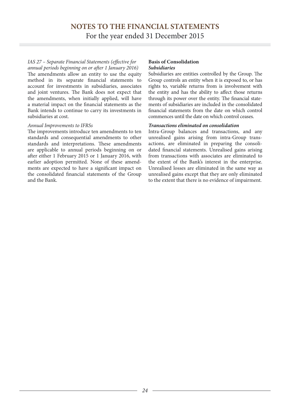### *IAS 27 – Separate Financial Statements (effective for*

*annual periods beginning on or after 1 January 2016)* The amendments allow an entity to use the equity method in its separate financial statements to account for investments in subsidiaries, associates and joint ventures. The Bank does not expect that the amendments, when initially applied, will have a material impact on the financial statements as the Bank intends to continue to carry its investments in subsidiaries at cost.

### *Annual Improvements to IFRSs*

The improvements introduce ten amendments to ten standards and consequential amendments to other standards and interpretations. These amendments are applicable to annual periods beginning on or after either 1 February 2015 or 1 January 2016, with earlier adoption permitted. None of these amendments are expected to have a significant impact on the consolidated financial statements of the Group and the Bank.

### **Basis of Consolidation** *Subsidiaries*

Subsidiaries are entities controlled by the Group. The Group controls an entity when it is exposed to, or has rights to, variable returns from is involvement with the entity and has the ability to affect those returns through its power over the entity. The financial statements of subsidiaries are included in the consolidated financial statements from the date on which control commences until the date on which control ceases.

### *Transactions eliminated on consolidation*

Intra-Group balances and transactions, and any unrealised gains arising from intra-Group transactions, are eliminated in preparing the consolidated financial statements. Unrealised gains arising from transactions with associates are eliminated to the extent of the Bank's interest in the enterprise. Unrealised losses are eliminated in the same way as unrealised gains except that they are only eliminated to the extent that there is no evidence of impairment.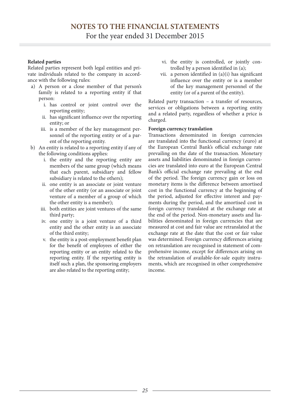### **Related parties**

Related parties represent both legal entities and private individuals related to the company in accordance with the following rules:

- a) A person or a close member of that person's family is related to a reporting entity if that person:
	- i. has control or joint control over the reporting entity;
	- ii. has significant influence over the reporting entity; or
	- iii. is a member of the key management personnel of the reporting entity or of a parent of the reporting entity.
- b) An entity is related to a reporting entity if any of the following conditions applies:
	- i. the entity and the reporting entity are members of the same group (which means that each parent, subsidiary and fellow subsidiary is related to the others);
	- ii. one entity is an associate or joint venture of the other entity (or an associate or joint venture of a member of a group of which the other entity is a member);
	- iii. both entities are joint ventures of the same third party;
	- iv. one entity is a joint venture of a third entity and the other entity is an associate of the third entity;
	- v. the entity is a post-employment benefit plan for the benefit of employees of either the reporting entity or an entity related to the reporting entity. If the reporting entity is itself such a plan, the sponsoring employers are also related to the reporting entity;
- vi. the entity is controlled, or jointly controlled by a person identified in (a);
- vii. a person identified in (a)(i) has significant influence over the entity or is a member of the key management personnel of the entity (or of a parent of the entity).

Related party transaction – a transfer of resources, services or obligations between a reporting entity and a related party, regardless of whether a price is charged.

### **Foreign currency translation**

Transactions denominated in foreign currencies are translated into the functional currency (euro) at the European Central Bank's official exchange rate prevailing on the date of the transaction. Monetary assets and liabilities denominated in foreign currencies are translated into euro at the European Central Bank's official exchange rate prevailing at the end of the period. The foreign currency gain or loss on monetary items is the difference between amortised cost in the functional currency at the beginning of the period, adjusted for effective interest and payments during the period, and the amortised cost in foreign currency translated at the exchange rate at the end of the period. Non-monetary assets and liabilities denominated in foreign currencies that are measured at cost and fair value are retranslated at the exchange rate at the date that the cost or fair value was determined. Foreign currency differences arising on retranslation are recognised in statement of comprehensive income, except for differences arising on the retranslation of available-for-sale equity instruments, which are recognised in other comprehensive income.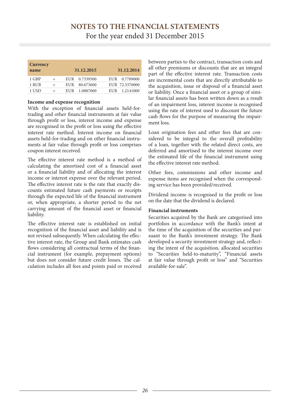| Currency<br>name |     | 31.12.2015        | 31.12.2014     |
|------------------|-----|-------------------|----------------|
| 1 GBP            | $=$ | EUR 0.7339500     | EUR 0.7789000  |
| 1 RUB            | $=$ | 80.673600<br>EUR  | EUR 72.3370000 |
| 1 USD            | $=$ | 1.0887000<br>EUR. | EUR 1.2141000  |

### **Income and expense recognition**

With the exception of financial assets held-fortrading and other financial instruments at fair value through profit or loss, interest income and expense are recognised in the profit or loss using the effective interest rate method. Interest income on financial assets held-for-trading and on other financial instruments at fair value through profit or loss comprises coupon interest received.

The effective interest rate method is a method of calculating the amortised cost of a financial asset or a financial liability and of allocating the interest income or interest expense over the relevant period. The effective interest rate is the rate that exactly discounts estimated future cash payments or receipts through the expected life of the financial instrument or, when appropriate, a shorter period to the net carrying amount of the financial asset or financial liability.

The effective interest rate is established on initial recognition of the financial asset and liability and is not revised subsequently. When calculating the effective interest rate, the Group and Bank estimates cash flows considering all contractual terms of the financial instrument (for example, prepayment options) but does not consider future credit losses. The calculation includes all fees and points paid or received between parties to the contract, transaction costs and all other premiums or discounts that are an integral part of the effective interest rate. Transaction costs are incremental costs that are directly attributable to the acquisition, issue or disposal of a financial asset or liability. Once a financial asset or a group of similar financial assets has been written down as a result of an impairment loss, interest income is recognised using the rate of interest used to discount the future cash flows for the purpose of measuring the impairment loss.

Loan origination fees and other fees that are considered to be integral to the overall profitability of a loan, together with the related direct costs, are deferred and amortised to the interest income over the estimated life of the financial instrument using the effective interest rate method.

Other fees, commissions and other income and expense items are recognised when the corresponding service has been provided/received.

Dividend income is recognised in the profit or loss on the date that the dividend is declared.

### **Financial instruments**

Securities acquired by the Bank are categorised into portfolios in accordance with the Bank's intent at the time of the acquisition of the securities and pursuant to the Bank's investment strategy. The Bank developed a security investment strategy and, reflecting the intent of the acquisition, allocated securities to "Securities held-to-maturity", "Financial assets at fair value through profit or loss" and "Securities available-for-sale".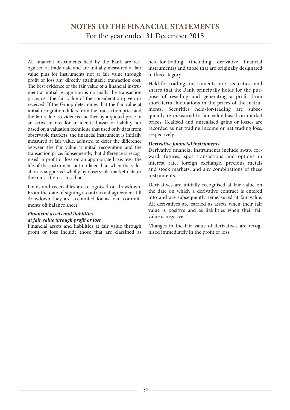All financial instruments held by the Bank are recognised at trade date and are initially measured at fair value plus for instruments not at fair value through profit or loss any directly attributable transaction cost. The best evidence of the fair value of a financial instrument at initial recognition is normally the transaction price, i.e., the fair value of the consideration given or received. If the Group determines that the fair value at initial recognition differs from the transaction price and the fair value is evidenced neither by a quoted price in an active market for an identical asset or liability nor based on a valuation technique that used only data from observable markets, the financial instrument is initially measured at fair value, adjusted to defer the difference between the fair value at initial recognition and the transaction price. Subsequently, that difference is recognised in profit or loss on an appropriate basis over the life of the instrument but no later than when the valuation is supported wholly by observable market data or the transaction is closed out.

Loans and receivables are recognised on drawdown. From the date of signing a contractual agreement till drawdown they are accounted for as loan commitments off balance sheet.

### *Financial assets and liabilities at fair value through profit or loss*

Financial assets and liabilities at fair value through profit or loss include those that are classified as held-for-trading (including derivative financial instruments) and those that are originally designated in this category.

Held-for-trading instruments are securities and shares that the Bank principally holds for the purpose of reselling and generating a profit from short-term fluctuations in the prices of the instruments. Securities held-for-trading are subsequently re-measured to fair value based on market prices. Realised and unrealised gains or losses are recorded as net trading income or net trading loss, respectively.

### *Derivative financial instruments*

Derivative financial instruments include swap, forward, futures, spot transactions and options in interest rate, foreign exchange, precious metals and stock markets, and any combinations of these instruments.

Derivatives are initially recognised at fair value on the date on which a derivative contract is entered into and are subsequently remeasured at fair value. All derivatives are carried as assets when their fair value is positive and as liabilities when their fair value is negative.

Changes in the fair value of derivatives are recognised immediately in the profit or loss.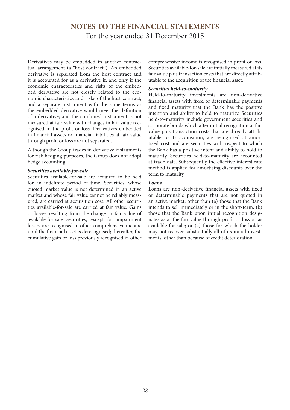Derivatives may be embedded in another contractual arrangement (a "host contract"). An embedded derivative is separated from the host contract and it is accounted for as a derivative if, and only if the economic characteristics and risks of the embedded derivative are not closely related to the economic characteristics and risks of the host contract, and a separate instrument with the same terms as the embedded derivative would meet the definition of a derivative; and the combined instrument is not measured at fair value with changes in fair value recognised in the profit or loss. Derivatives embedded in financial assets or financial liabilities at fair value through profit or loss are not separated.

Although the Group trades in derivative instruments for risk hedging purposes, the Group does not adopt hedge accounting.

### *Securities available-for-sale*

Securities available-for-sale are acquired to be held for an indefinite period of time. Securities, whose quoted market value is not determined in an active market and whose fair value cannot be reliably measured, are carried at acquisition cost. All other securities available-for-sale are carried at fair value. Gains or losses resulting from the change in fair value of available-for-sale securities, except for impairment losses, are recognised in other comprehensive income until the financial asset is derecognised; thereafter, the cumulative gain or loss previously recognised in other comprehensive income is recognised in profit or loss. Securities available-for-sale are initially measured at its fair value plus transaction costs that are directly attributable to the acquisition of the financial asset.

### *Securities held-to-maturity*

Held-to-maturity investments are non-derivative financial assets with fixed or determinable payments and fixed maturity that the Bank has the positive intention and ability to hold to maturity. Securities held-to-maturity include government securities and corporate bonds which after initial recognition at fair value plus transaction costs that are directly attributable to its acquisition, are recognised at amortised cost and are securities with respect to which the Bank has a positive intent and ability to hold to maturity. Securities held-to-maturity are accounted at trade date. Subsequently the effective interest rate method is applied for amortising discounts over the term to maturity.

### *Loans*

Loans are non-derivative financial assets with fixed or determinable payments that are not quoted in an active market, other than (a) those that the Bank intends to sell immediately or in the short-term, (b) those that the Bank upon initial recognition designates as at the fair value through profit or loss or as available-for-sale; or (c) those for which the holder may not recover substantially all of its initial investments, other than because of credit deterioration.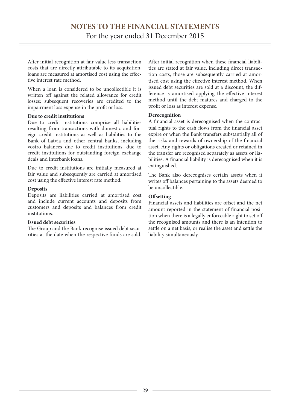After initial recognition at fair value less transaction costs that are directly attributable to its acquisition, loans are measured at amortised cost using the effective interest rate method.

When a loan is considered to be uncollectible it is written off against the related allowance for credit losses; subsequent recoveries are credited to the impairment loss expense in the profit or loss.

### **Due to credit institutions**

Due to credit institutions comprise all liabilities resulting from transactions with domestic and foreign credit institutions as well as liabilities to the Bank of Latvia and other central banks, including vostro balances due to credit institutions, due to credit institutions for outstanding foreign exchange deals and interbank loans.

Due to credit institutions are initially measured at fair value and subsequently are carried at amortised cost using the effective interest rate method.

### **Deposits**

Deposits are liabilities carried at amortised cost and include current accounts and deposits from customers and deposits and balances from credit institutions.

### **Issued debt securities**

The Group and the Bank recognise issued debt securities at the date when the respective funds are sold. After initial recognition when these financial liabilities are stated at fair value, including direct transaction costs, those are subsequently carried at amortised cost using the effective interest method. When issued debt securities are sold at a discount, the difference is amortised applying the effective interest method until the debt matures and charged to the profit or loss as interest expense.

### **Derecognition**

A financial asset is derecognised when the contractual rights to the cash flows from the financial asset expire or when the Bank transfers substantially all of the risks and rewards of ownership of the financial asset. Any rights or obligations created or retained in the transfer are recognised separately as assets or liabilities. A financial liability is derecognised when it is extinguished.

The Bank also derecognises certain assets when it writes off balances pertaining to the assets deemed to be uncollectible.

### **Offsetting**

Financial assets and liabilities are offset and the net amount reported in the statement of financial position when there is a legally enforceable right to set off the recognised amounts and there is an intention to settle on a net basis, or realise the asset and settle the liability simultaneously.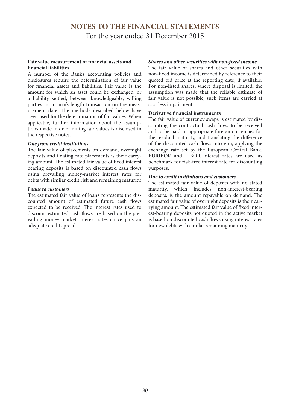#### **Fair value measurement of financial assets and financial liabilities**

A number of the Bank's accounting policies and disclosures require the determination of fair value for financial assets and liabilities. Fair value is the amount for which an asset could be exchanged, or a liability settled, between knowledgeable, willing parties in an arm's length transaction on the measurement date. The methods described below have been used for the determination of fair values. When applicable, further information about the assumptions made in determining fair values is disclosed in the respective notes.

### *Due from credit institutions*

The fair value of placements on demand, overnight deposits and floating rate placements is their carrying amount. The estimated fair value of fixed interest bearing deposits is based on discounted cash flows using prevailing money-market interest rates for debts with similar credit risk and remaining maturity.

### *Loans to customers*

The estimated fair value of loans represents the discounted amount of estimated future cash flows expected to be received. The interest rates used to discount estimated cash flows are based on the prevailing money-market interest rates curve plus an adequate credit spread.

### *Shares and other securities with non-fixed income*

The fair value of shares and other securities with non-fixed income is determined by reference to their quoted bid price at the reporting date, if available. For non-listed shares, where disposal is limited, the assumption was made that the reliable estimate of fair value is not possible; such items are carried at cost less impairment.

### **Derivative financial instruments**

The fair value of currency swaps is estimated by discounting the contractual cash flows to be received and to be paid in appropriate foreign currencies for the residual maturity, and translating the difference of the discounted cash flows into eiro, applying the exchange rate set by the European Central Bank. EURIBOR and LIBOR interest rates are used as benchmark for risk-free interest rate for discounting purposes.

### *Due to credit institutions and customers*

The estimated fair value of deposits with no stated maturity, which includes non-interest-bearing deposits, is the amount repayable on demand. The estimated fair value of overnight deposits is their carrying amount. The estimated fair value of fixed interest-bearing deposits not quoted in the active market is based on discounted cash flows using interest rates for new debts with similar remaining maturity.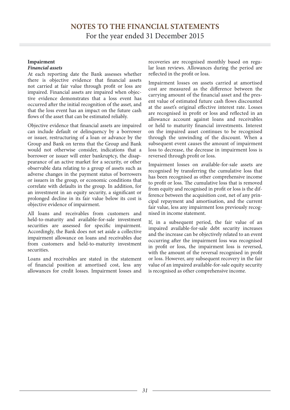### **Impairment**

### *Financial assets*

At each reporting date the Bank assesses whether there is objective evidence that financial assets not carried at fair value through profit or loss are impaired. Financial assets are impaired when objective evidence demonstrates that a loss event has occurred after the initial recognition of the asset, and that the loss event has an impact on the future cash flows of the asset that can be estimated reliably.

Objective evidence that financial assets are impaired can include default or delinquency by a borrower or issuer, restructuring of a loan or advance by the Group and Bank on terms that the Group and Bank would not otherwise consider, indications that a borrower or issuer will enter bankruptcy, the disappearance of an active market for a security, or other observable data relating to a group of assets such as adverse changes in the payment status of borrowers or issuers in the group, or economic conditions that correlate with defaults in the group. In addition, for an investment in an equity security, a significant or prolonged decline in its fair value below its cost is objective evidence of impairment.

All loans and receivables from customers and held-to-maturity and available-for-sale investment securities are assessed for specific impairment. Accordingly, the Bank does not set aside a collective impairment allowance on loans and receivables due from customers and held-to-maturity investment securities.

Loans and receivables are stated in the statement of financial position at amortised cost, less any allowances for credit losses. Impairment losses and recoveries are recognised monthly based on regular loan reviews. Allowances during the period are reflected in the profit or loss.

Impairment losses on assets carried at amortised cost are measured as the difference between the carrying amount of the financial asset and the present value of estimated future cash flows discounted at the asset's original effective interest rate. Losses are recognised in profit or loss and reflected in an allowance account against loans and receivables or held to maturity financial investments. Interest on the impaired asset continues to be recognised through the unwinding of the discount. When a subsequent event causes the amount of impairment loss to decrease, the decrease in impairment loss is reversed through profit or loss.

Impairment losses on available-for-sale assets are recognised by transferring the cumulative loss that has been recognised as other comprehensive income to profit or loss. The cumulative loss that is removed from equity and recognised in profit or loss is the difference between the acquisition cost, net of any principal repayment and amortisation, and the current fair value, less any impairment loss previously recognised in income statement.

If, in a subsequent period, the fair value of an impaired available-for-sale debt security increases and the increase can be objectively related to an event occurring after the impairment loss was recognised in profit or loss, the impairment loss is reversed, with the amount of the reversal recognised in profit or loss. However, any subsequent recovery in the fair value of an impaired available-for-sale equity security is recognised as other comprehensive income.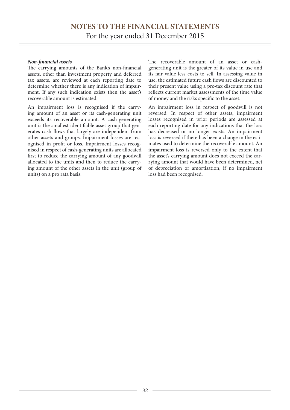#### *Non-financial assets*

The carrying amounts of the Bank's non-financial assets, other than investment property and deferred tax assets, are reviewed at each reporting date to determine whether there is any indication of impairment. If any such indication exists then the asset's recoverable amount is estimated.

An impairment loss is recognised if the carrying amount of an asset or its cash-generating unit exceeds its recoverable amount. A cash-generating unit is the smallest identifiable asset group that generates cash flows that largely are independent from other assets and groups. Impairment losses are recognised in profit or loss. Impairment losses recognised in respect of cash-generating units are allocated first to reduce the carrying amount of any goodwill allocated to the units and then to reduce the carrying amount of the other assets in the unit (group of units) on a pro rata basis.

The recoverable amount of an asset or cashgenerating unit is the greater of its value in use and its fair value less costs to sell. In assessing value in use, the estimated future cash flows are discounted to their present value using a pre-tax discount rate that reflects current market assessments of the time value of money and the risks specific to the asset.

An impairment loss in respect of goodwill is not reversed. In respect of other assets, impairment losses recognised in prior periods are assessed at each reporting date for any indications that the loss has decreased or no longer exists. An impairment loss is reversed if there has been a change in the estimates used to determine the recoverable amount. An impairment loss is reversed only to the extent that the asset's carrying amount does not exceed the carrying amount that would have been determined, net of depreciation or amortisation, if no impairment loss had been recognised.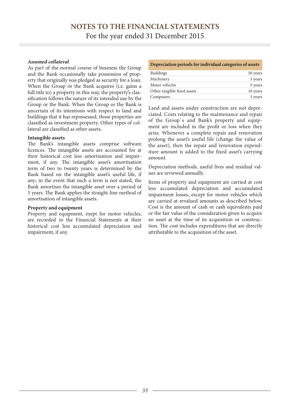### *Assumed collateral*

As part of the normal course of business the Group and the Bank occasionally take possession of property that originally was pledged as security for a loan. When the Group or the Bank acquires (i.e. gains a full title to) a property in this way, the property's classification follows the nature of its intended use by the Group or the Bank. When the Group or the Bank is uncertain of its intentions with respect to land and buildings that it has repossessed, those properties are classified as investment property. Other types of collateral are classified as other assets.

### **Intangible assets**

The Bank's intangible assets comprise software licences. The intangible assets are accounted for at their historical cost less amortisation and impairment, if any. The intangible asset's amortisation term of two to twenty years is determined by the Bank based on the intangible asset's useful life, if any; in the event that such a term is not stated, the Bank amortises the intangible asset over a period of 5 years. The Bank applies the straight-line method of amortisation of intangible assets.

### **Property and equipment**

Property and equipment, exept for motor vehicles, are recorded in the Financial Statements at their historical cost less accumulated depreciation and impairment, if any.

| Depreciation periods for individual categories of assets |          |  |  |
|----------------------------------------------------------|----------|--|--|
| <b>Buildings</b>                                         | 50 years |  |  |
| Machinery                                                | 5 years  |  |  |
| Motor vehicles                                           | 5 years  |  |  |
| Other tangible fixed assets                              | 10 years |  |  |
| Computers                                                | 5 years  |  |  |

Land and assets under construction are not depreciated. Costs relating to the maintenance and repair of the Group`s and Bank's property and equipment are included in the profit or loss when they arise. Whenever a complete repair and renovation prolong the asset's useful life (change the value of the asset), then the repair and renovation expenditure amount is added to the fixed asset's carrying amount.

Depreciation methods, useful lives and residual values are reviewed annually.

Items of property and equipment are carried at cost less accumulated depreciation and accumulated impairment losses, except for motor vehicles which are carried at revalued amounts as described below. Cost is the amount of cash or cash equivalents paid or the fair value of the consideration given to acquire an asset at the time of its acquisition or construction. The cost includes expenditures that are directly attributable to the acquisition of the asset.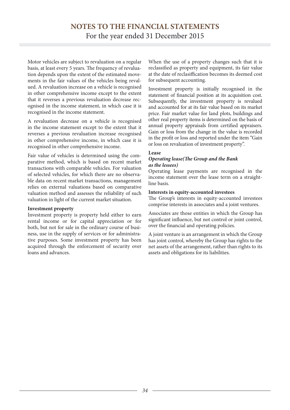Motor vehicles are subject to revaluation on a regular basis, at least every 5 years. The frequency of revaluation depends upon the extent of the estimated movements in the fair values of the vehicles being revalued. A revaluation increase on a vehicle is recognised in other comprehensive income except to the extent that it reverses a previous revaluation decrease recognised in the income statement, in which case it is recognised in the income statement.

A revaluation decrease on a vehicle is recognised in the income statement except to the extent that it reverses a previous revaluation increase recognised in other comprehensive income, in which case it is recognised in other comprehensive income.

Fair value of vehicles is determined using the comparative method, which is based on recent market transactions with comparable vehicles. For valuation of selected vehicles, for which there are no observable data on recent market transactions, management relies on external valuations based on comparative valuation method and assesses the reliability of such valuation in light of the current market situation.

### **Investment property**

Investment property is property held either to earn rental income or for capital appreciation or for both, but not for sale in the ordinary course of business, use in the supply of services or for administrative purposes. Some investment property has been acquired through the enforcement of security over loans and advances.

When the use of a property changes such that it is reclassified as property and equipment, its fair value at the date of reclasiffication becomes its deemed cost for subsequent accounting.

Investment property is initially recognised in the statement of financial position at its acquisition cost. Subsequently, the investment property is revalued and accounted for at its fair value based on its market price. Fair market value for land plots, buildings and other real property items is determined on the basis of annual property appraisals from certified appraisers. Gain or loss from the change in the value is recorded in the profit or loss and reported under the item "Gain or loss on revaluation of investment property".

### **Lease**

### *Operating lease(The Group and the Bank as the lessees)*

Operating lease payments are recognised in the income statement over the lease term on a straightline basis.

### **Interests in equity-accounted investees**

The Group's interests in equity-accounted investees comprise interests in associates and a joint ventures.

Associates are those entities in which the Group has significant influence, but not control or joint control, over the financial and operating policies.

A joint venture is an arrangement in which the Group has joint control, whereby the Group has rights to the net assets of the arrangement, rather than rights to its assets and obligations for its liabilities.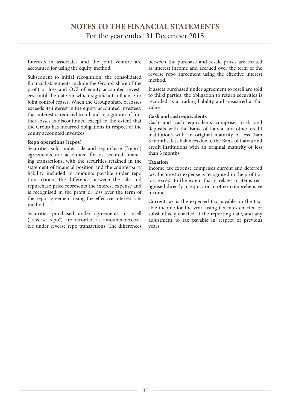Interests in associates and the joint venture are accounted for using the equity method.

Subsequent to initial recognition, the consolidated financial statements include the Group's share of the profit or loss and OCI of equity-accounted investees, until the date on which significant influence or joint control ceases. When the Group's share of losses exceeds its interest in the equity accounted investees, that interest is reduced to nil and recognition of further losses is discontinued except to the extent that the Group has incurred obligations in respect of the equity accounted investees.

### **Repo operations (repos)**

Securities sold under sale and repurchase ("repo") agreements are accounted for as secured financing transactions, with the securities retained in the statement of financial position and the counterparty liability included in amounts payable under repo transactions. The difference between the sale and repurchase price represents the interest expense and is recognised in the profit or loss over the term of the repo agreement using the effective interest rate method.

Securities purchased under agreements to resell ("reverse repo") are recorded as amounts receivable under reverse repo transactions. The differences between the purchase and resale prices are treated as interest income and accrued over the term of the reverse repo agreement using the effective interest method.

If assets purchased under agreement to resell are sold to third parties, the obligation to return securities is recorded as a trading liability and measured at fair value.

### **Cash and cash equivalents**

Cash and cash equivalents comprises cash and deposits with the Bank of Latvia and other credit institutions with an original maturity of less than 3 months, less balances due to the Bank of Latvia and credit institutions with an original maturity of less than 3 months.

### **Taxation**

Income tax expense comprises current and deferred tax. Income tax expense is recognised in the profit or loss except to the extent that it relates to items recognised directly in equity or in other comprehensive income.

Current tax is the expected tax payable on the taxable income for the year, using tax rates enacted or substantively enacted at the reporting date, and any adjustment to tax payable in respect of previous years.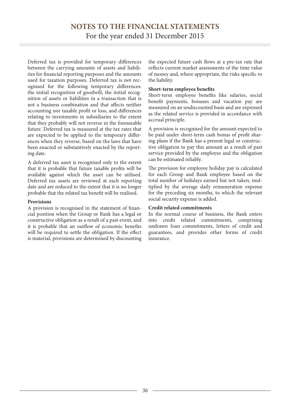Deferred tax is provided for temporary differences between the carrying amounts of assets and liabilities for financial reporting purposes and the amounts used for taxation purposes. Deferred tax is not recognised for the following temporary differences: the initial recognition of goodwill, the initial recognition of assets or liabilities in a transaction that is not a business combination and that affects neither accounting nor taxable profit or loss, and differences relating to investments in subsidiaries to the extent that they probably will not reverse in the foreseeable future. Deferred tax is measured at the tax rates that are expected to be applied to the temporary differences when they reverse, based on the laws that have been enacted or substantively enacted by the reporting date.

A deferred tax asset is recognised only to the extent that it is probable that future taxable profits will be available against which the asset can be utilised. Deferred tax assets are reviewed at each reporting date and are reduced to the extent that it is no longer probable that the related tax benefit will be realised.

### **Provisions**

A provision is recognised in the statement of financial position when the Group or Bank has a legal or constructive obligation as a result of a past event, and it is probable that an outflow of economic benefits will be required to settle the obligation. If the effect is material, provisions are determined by discounting the expected future cash flows at a pre-tax rate that reflects current market assessments of the time value of money and, where appropriate, the risks specific to the liability.

### **Short-term employee benefits**

Short-term employee benefits like salaries, social benefit payments, bonuses and vacation pay are measured on an undiscounted basis and are expensed as the related service is provided in accordance with accrual principle.

A provision is recognised for the amount expected to be paid under short-term cash bonus of profit sharing plans if the Bank has a present legal or constructive obligation to pay this amount as a result of past service provided by the employee and the obligation can be estimated reliably.

The provision for employee holiday pay is calculated for each Group and Bank employee based on the total number of holidays earned but not taken, multiplied by the average daily remuneration expense for the preceding six months, to which the relevant social security expense is added.

### **Credit related commitments**

In the normal course of business, the Bank enters into credit related commitments, comprising undrawn loan commitments, letters of credit and guarantees, and provides other forms of credit insurance.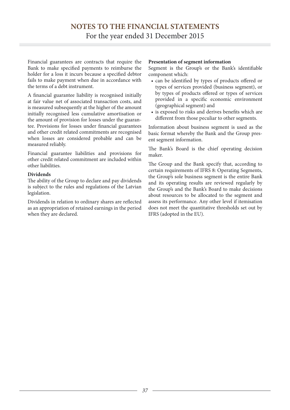Financial guarantees are contracts that require the Bank to make specified payments to reimburse the holder for a loss it incurs because a specified debtor fails to make payment when due in accordance with the terms of a debt instrument.

A financial guarantee liability is recognised initially at fair value net of associated transaction costs, and is measured subsequently at the higher of the amount initially recognised less cumulative amortisation or the amount of provision for losses under the guarantee. Provisions for losses under financial guarantees and other credit related commitments are recognised when losses are considered probable and can be measured reliably.

Financial guarantee liabilities and provisions for other credit related commitment are included within other liabilities.

### **Dividends**

The ability of the Group to declare and pay dividends is subject to the rules and regulations of the Latvian legislation.

Dividends in relation to ordinary shares are reflected as an appropriation of retained earnings in the period when they are declared.

#### **Presentation of segment information**

Segment is the Group's or the Bank's identifiable component which:

- can be identified by types of products offered or types of services provided (business segment), or by types of products offered or types of services provided in a specific economic environment (geographical segment) and
- is exposed to risks and derives benefits which are different from those peculiar to other segments.

Information about business segment is used as the basic format whereby the Bank and the Group present segment information.

The Bank's Board is the chief operating decision maker.

The Group and the Bank specify that, according to certain requirements of IFRS 8: Operating Segments, the Group's sole business segment is the entire Bank and its operating results are reviewed regularly by the Group's and the Bank's Board to make decisions about resources to be allocated to the segment and assess its performance. Any other level if itemisation does not meet the quantitative thresholds set out by IFRS (adopted in the EU).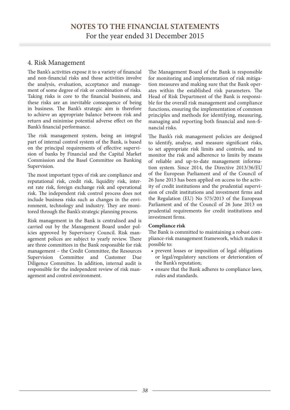### 4. Risk Management

The Bank's activities expose it to a variety of financial and non-financial risks and those activities involve the analysis, evaluation, acceptance and management of some degree of risk or combination of risks. Taking risks is core to the financial business, and these risks are an inevitable consequence of being in business. The Bank's strategic aim is therefore to achieve an appropriate balance between risk and return and minimise potential adverse effect on the Bank's financial performance.

The risk management system, being an integral part of internal control system of the Bank, is based on the principal requirements of effective supervision of banks by Financial and the Capital Market Commission and the Basel Committee on Banking Supervision.

The most important types of risk are compliance and reputational risk, credit risk, liquidity risk, interest rate risk, foreign exchange risk and operational risk. The independent risk control process does not include business risks such as changes in the environment, technology and industry. They are monitored through the Bank's strategic planning process.

Risk management in the Bank is centralised and is carried out by the Management Board under policies approved by Supervisory Council. Risk management polices are subject to yearly review. There are three committees in the Bank responsible for risk management – the Credit Committee, the Resources Supervision Committee and Customer Due Diligence Committee. In addition, internal audit is responsible for the independent review of risk management and control environment.

The Management Board of the Bank is responsible for monitoring and implementation of risk mitigation measures and making sure that the Bank operates within the established risk parameters. The Head of Risk Department of the Bank is responsible for the overall risk management and compliance functions, ensuring the implementation of common principles and methods for identifying, measuring, managing and reporting both financial and non-financial risks.

The Bank's risk management policies are designed to identify, analyse, and measure significant risks, to set appropriate risk limits and controls, and to monitor the risk and adherence to limits by means of reliable and up-to-date management information system. Since 2014, the Directive 2013/36/EU of the European Parliament and of the Council of 26 June 2013 has been applied on access to the activity of credit institutions and the prudential supervision of credit institutions and investment firms and the Regulation (EU) No 575/2013 of the European Parliament and of the Council of 26 June 2013 on prudential requirements for credit institutions and investment firms.

### **Compliance risk**

The Bank is committed to maintaining a robust compliance-risk management framework, which makes it possible to:

- prevent losses or imposition of legal obligations or legal/regulatory sanctions or deterioration of the Bank's reputation;
- ensure that the Bank adheres to compliance laws, rules and standards.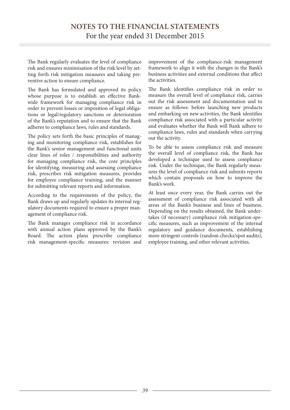The Bank regularly evaluates the level of compliance risk and ensures minimisation of the risk level by setting forth risk mitigation measures and taking preventive action to ensure compliance.

The Bank has formulated and approved its policy whose purpose is to establish an effective Bankwide framework for managing compliance risk in order to prevent losses or imposition of legal obligations or legal/regulatory sanctions or deterioration of the Bank's reputation and to ensure that the Bank adheres to compliance laws, rules and standards.

The policy sets forth the basic principles of managing and monitoring compliance risk, establishes for the Bank's senior management and functional units clear lines of roles / responsibilities and authority for managing compliance risk, the core principles for identifying, measuring and assessing compliance risk, prescribes risk mitigation measures, provides for employee compliance training, and the manner for submitting relevant reports and information.

According to the requirements of the policy, the Bank draws up and regularly updates its internal regulatory documents required to ensure a proper management of compliance risk.

The Bank manages compliance risk in accordance with annual action plans approved by the Bank's Board. The action plans prescribe compliance risk management-specific measures: revision and improvement of the compliance-risk management framework to align it with the changes in the Bank's business activities and external conditions that affect the activities.

The Bank identifies compliance risk in order to measure the overall level of compliance risk, carries out the risk assessment and documentation and to ensure as follows: before launching new products and embarking on new activities, the Bank identifies compliance risk associated with a particular activity and evaluates whether the Bank will Bank adhere to compliance laws, rules and standards when carrying out the activity.

To be able to assess compliance risk and measure the overall level of compliance risk, the Bank has developed a technique used to assess compliance risk. Under the technique, the Bank regularly measures the level of compliance risk and submits reports which contain proposals on how to improve the Bank's work.

At least once every year, the Bank carries out the assessment of compliance risk associated with all areas of the Bank's business and lines of business. Depending on the results obtained, the Bank undertakes (if necessary) compliance risk mitigation-specific measures, such as improvement of the internal regulatory and guidance documents, establishing more stringent controls (random checks/spot audits), employee training, and other relevant activities.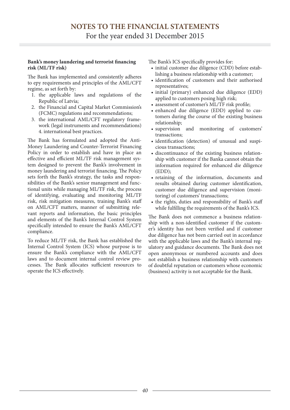#### **Bank's money laundering and terrorist financing risk (ML/TF risk)**

The Bank has implemented and consistently adheres to еру requirements and principles of the AML/CFT regime, as set forth by:

- 1. the applicable laws and regulations of the Republic of Latvia;
- 2. the Financial and Capital Market Commission's (FCMC) regulations and recommendations;
- 3. the international AML/CFT regulatory framework (legal instruments and recommendations) 4. international best practices.

The Bank has formulated and adopted the Anti-Money Laundering and Counter-Terrorist Financing Policy in order to establish and have in place an effective and efficient ML/TF risk management system designed to prevent the Bank's involvement in money laundering and terrorist financing. The Policy sets forth the Bank's strategy, the tasks and responsibilities of the Bank's senior management and functional units while managing ML/TF risk, the process of identifying, evaluating and monitoring ML/TF risk, risk mitigation measures, training Bank's staff on AML/CFT matters, manner of submitting relevant reports and information, the basic principles and elements of the Bank's Internal Control System specifically intended to ensure the Bank's AML/CFT compliance.

To reduce ML/TF risk, the Bank has established the Internal Control System (ICS) whose purpose is to ensure the Bank's compliance with the AML/CFT laws and to document internal control review processes. The Bank allocates sufficient resources to operate the ICS effectively.

The Bank's ICS specifically provides for:

- initial customer due diligence (CDD) before establishing a business relationship with a customer;
- identification of customers and their authorised representatives;
- initial (primary) enhanced due diligence (EDD) applied to customers posing high risk;
- assessment of customer's ML/TF risk profile;
- enhanced due diligence (EDD) applied to customers during the course of the existing business relationship;
- supervision and monitoring of customers' transactions;
- identification (detection) of unusual and suspicious transactions;
- discontinuance of the existing business relationship with customer if the Banka cannot obtain the information required for enhanced die diligence (EDD);
- retaining of the information, documents and results obtained during customer identification, customer due diligence and supervision (monitoring) of customers' transactions;
- the rights, duties and responsibility of Bank's staff while fulfilling the requirements of the Bank's ICS.

The Bank does not commence a business relationship with a non-identified customer if the customer's identity has not been verified and if customer due diligence has not been carried out in accordance with the applicable laws and the Bank's internal regulatory and guidance documents. The Bank does not open anonymous or numbered accounts and does not establish a business relationship with customers of doubtful reputation or customers whose economic (business) activity is not acceptable for the Bank.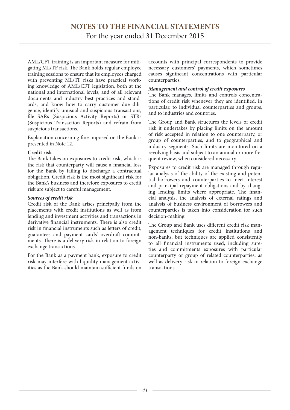AML/CFT training is an important measure for mitigating ML/TF risk. The Bank holds regular employee training sessions to ensure that its employees charged with preventing ML/TF risks have practical working knowledge of AML/CFT legislation, both at the national and international levels, and of all relevant documents and industry best practices and standards, and know how to carry customer due diligence, identify unusual and suspicious transactions, file SARs (Suspicious Activity Reports) or STRs (Suspicious Transaction Reports) and refrain from suspicious transactions.

Explanation concerning fine imposed on the Bank is presented in Note 12.

#### **Credit risk**

The Bank takes on exposures to credit risk, which is the risk that counterparty will cause a financial loss for the Bank by failing to discharge a contractual obligation. Credit risk is the most significant risk for the Bank's business and therefore exposures to credit risk are subject to careful management.

#### *Sources of credit risk*

Credit risk of the Bank arises principally from the placements with credit institutions as well as from lending and investment activities and transactions in derivative financial instruments. There is also credit risk in financial instruments such as letters of credit, guarantees and payment cards' overdraft commitments. There is a delivery risk in relation to foreign exchange transactions.

For the Bank as a payment bank, exposure to credit risk may interfere with liquidity management activities as the Bank should maintain sufficient funds on accounts with principal correspondents to provide necessary customers' payments, which sometimes causes significant concentrations with particular counterparties.

### *Management and control of credit exposures*

The Bank manages, limits and controls concentrations of credit risk whenever they are identified, in particular, to individual counterparties and groups, and to industries and countries.

The Group and Bank structures the levels of credit risk it undertakes by placing limits on the amount of risk accepted in relation to one counterparty, or group of counterparties, and to geographical and industry segments. Such limits are monitored on a revolving basis and subject to an annual or more frequent review, when considered necessary.

Exposures to credit risk are managed through regular analysis of the ability of the existing and potential borrowers and counterparties to meet interest and principal repayment obligations and by changing lending limits where appropriate. The financial analysis, the analysis of external ratings and analysis of business environment of borrowers and counterparties is taken into consideration for such decision-making.

The Group and Bank uses different credit risk management techniques for credit institutions and non-banks, but techniques are applied consistently to all financial instruments used, including sureties and commitments exposures with particular counterparty or group of related counterparties, as well as delivery risk in relation to foreign exchange transactions.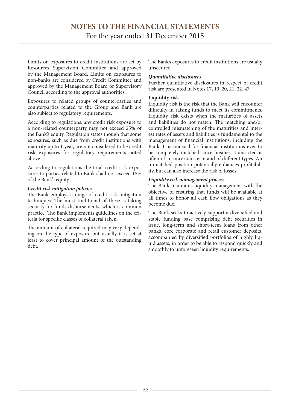Limits on exposures to credit institutions are set by Resources Supervision Committee and approved by the Management Board. Limits on exposures to non-banks are considered by Credit Committee and approved by the Management Board or Supervisory Council according to the approval authorities.

Exposures to related groups of counterparties and counterparties related to the Group and Bank are also subject to regulatory requirements.

According to regulations, any credit risk exposure to a non-related counterparty may not exceed 25% of the Bank's equity. Regulation states though that some exposures, such as due from credit institutions with maturity up to 1 year, are not considered to be credit risk exposures for regulatory requirements noted above.

According to regulations the total credit risk exposures to parties related to Bank shall not exceed 15% of the Bank's equity.

#### *Credit risk mitigation policies*

The Bank employs a range of credit risk mitigation techniques. The most traditional of these is taking security for funds disbursements, which is common practice. The Bank implements guidelines on the criteria for specific classes of collateral taken.

The amount of collateral required may vary depending on the type of exposure but usually it is set at least to cover principal amount of the outstanding debt.

The Bank's exposures to credit institutions are usually unsecured.

#### *Quantitative disclosures*

Further quantitative disclosures in respect of credit risk are presented in Notes 17, 19, 20, 21, 22, 47.

#### **Liquidity risk**

Liquidity risk is the risk that the Bank will encounter difficulty in raising funds to meet its commitments. Liquidity risk exists when the maturities of assets and liabilities do not match. The matching and/or controlled mismatching of the maturities and interest rates of assets and liabilities is fundamental to the management of financial institutions, including the Bank. It is unusual for financial institutions ever to be completely matched since business transacted is often of an uncertain term and of different types. An unmatched position potentially enhances profitability, but can also increase the risk of losses.

#### *Liquidity risk management process*

The Bank maintains liquidity management with the objective of ensuring that funds will be available at all times to honor all cash flow obligations as they become due.

The Bank seeks to actively support a diversified and stable funding base comprising debt securities in issue, long-term and short-term loans from other banks, core corporate and retail customer deposits, accompanied by diversified portfolios of highly liquid assets, in order to be able to respond quickly and smoothly to unforeseen liquidity requirements.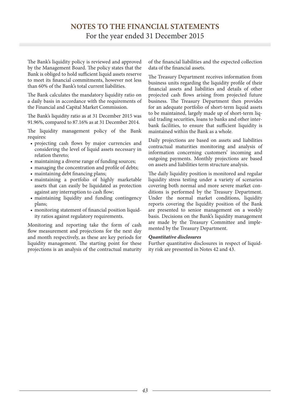The Bank's liquidity policy is reviewed and approved by the Management Board. The policy states that the Bank is obliged to hold sufficient liquid assets reserve to meet its financial commitments, however not less than 60% of the Bank's total current liabilities.

The Bank calculates the mandatory liquidity ratio on a daily basis in accordance with the requirements of the Financial and Capital Market Commission.

The Bank's liquidity ratio as at 31 December 2015 was 91.96%, compared to 87.16% as at 31 December 2014.

The liquidity management policy of the Bank requires:

- projecting cash flows by major currencies and considering the level of liquid assets necessary in relation thereto;
- maintaining a diverse range of funding sources;
- managing the concentration and profile of debts;
- maintaining debt financing plans;
- maintaining a portfolio of highly marketable assets that can easily be liquidated as protection against any interruption to cash flow;
- maintaining liquidity and funding contingency plans;
- monitoring statement of financial position liquidity ratios against regulatory requirements.

Monitoring and reporting take the form of cash flow measurement and projections for the next day and month respectively, as these are key periods for liquidity management. The starting point for these projections is an analysis of the contractual maturity of the financial liabilities and the expected collection data of the financial assets.

The Treasury Department receives information from business units regarding the liquidity profile of their financial assets and liabilities and details of other projected cash flows arising from projected future business. The Treasury Department then provides for an adequate portfolio of short-term liquid assets to be maintained, largely made up of short-term liquid trading securities, loans to banks and other interbank facilities, to ensure that sufficient liquidity is maintained within the Bank as a whole.

Daily projections are based on assets and liabilities contractual maturities monitoring and analysis of information concerning customers' incoming and outgoing payments. Monthly projections are based on assets and liabilities term structure analysis.

The daily liquidity position is monitored and regular liquidity stress testing under a variety of scenarios covering both normal and more severe market conditions is performed by the Treasury Department. Under the normal market conditions, liquidity reports covering the liquidity position of the Bank are presented to senior management on a weekly basis. Decisions on the Bank's liquidity management are made by the Treasury Committee and implemented by the Treasury Department.

#### *Quantitative disclosures*

Further quantitative disclosures in respect of liquidity risk are presented in Notes 42 and 43.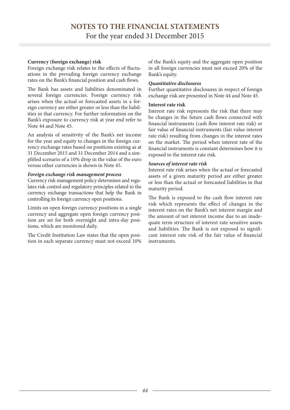#### **Currency (foreign exchange) risk**

Foreign exchange risk relates to the effects of fluctuations in the prevailing foreign currency exchange rates on the Bank's financial position and cash flows.

The Bank has assets and liabilities denominated in several foreign currencies. Foreign currency risk arises when the actual or forecasted assets in a foreign currency are either greater or less than the liabilities in that currency. For further information on the Bank's exposure to currency risk at year end refer to Note 44 and Note 45.

An analysis of sensitivity of the Bank's net income for the year and equity to changes in the foreign currency exchange rates based on positions existing as at 31 December 2015 and 31 December 2014 and a simplified scenario of a 10% drop in the value of the euro versus other currencies is shown in Note 45.

#### *Foreign exchange risk management process*

Currency risk management policy determines and regulates risk control and regulatory principles related to the currency exchange transactions that help the Bank in controlling its foreign currency open positions.

Limits on open foreign currency positions in a single currency and aggregate open foreign currency position are set for both overnight and intra-day positions, which are monitored daily.

The Credit Institution Law states that the open position in each separate currency must not exceed 10% of the Bank's equity and the aggregate open position in all foreign currencies must not exceed 20% of the Bank's equity.

#### *Quantitative disclosures*

Further quantitative disclosures in respect of foreign exchange risk are presented in Note 44 and Note 45.

#### **Interest rate risk**

Interest rate risk represents the risk that there may be changes in the future cash flows connected with financial instruments (cash flow interest rate risk) or fair value of financial instruments (fair value interest rate risk) resulting from changes in the interest rates on the market. The period when interest rate of the financial instruments is constant determines how it is exposed to the interest rate risk.

#### *Sources of interest rate risk*

Interest rate risk arises when the actual or forecasted assets of a given maturity period are either greater or less than the actual or forecasted liabilities in that maturity period.

The Bank is exposed to the cash flow interest rate risk which represents the effect of changes in the interest rates on the Bank's net interest margin and the amount of net interest income due to an inadequate term structure of interest rate sensitive assets and liabilities. The Bank is not exposed to significant interest rate risk of the fair value of financial instruments.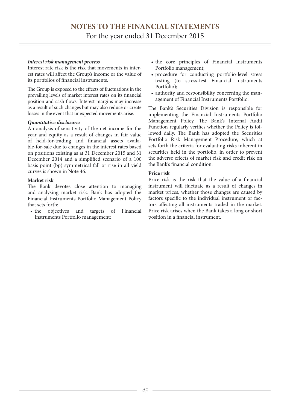#### *Interest risk management process*

Interest rate risk is the risk that movements in interest rates will affect the Group's income or the value of its portfolios of financial instruments.

The Group is exposed to the effects of fluctuations in the prevailing levels of market interest rates on its financial position and cash flows. Interest margins may increase as a result of such changes but may also reduce or create losses in the event that unexpected movements arise.

### *Quantitative disclosures*

An analysis of sensitivity of the net income for the year and equity as a result of changes in fair value of held-for-trading and financial assets available-for-sale due to changes in the interest rates based on positions existing as at 31 December 2015 and 31 December 2014 and a simplified scenario of a 100 basis point (bp) symmetrical fall or rise in all yield curves is shown in Note 46.

#### **Market risk**

The Bank devotes close attention to managing and analysing market risk. Bank has adopted the Financial Instruments Portfolio Management Policy that sets forth:<br>• the objectives

and targets of Financial Instruments Portfolio management;

- the core principles of Financial Instruments Portfolio management;
- procedure for conducting portfolio-level stress testing (to stress-test Financial Instruments Portfolio);
- authority and responsibility concerning the management of Financial Instruments Portfolio.

The Bank's Securities Division is responsible for implementing the Financial Instruments Portfolio Management Policy. The Bank's Internal Audit Function regularly verifies whether the Policy is followed daily. The Bank has adopted the Securities Portfolio Risk Management Procedure, which at sets forth the criteria for evaluating risks inherent in securities held in the portfolio, in order to prevent the adverse effects of market risk and credit risk on the Bank's financial condition.

### **Price risk**

Price risk is the risk that the value of a financial instrument will fluctuate as a result of changes in market prices, whether those changes are caused by factors specific to the individual instrument or factors affecting all instruments traded in the market. Price risk arises when the Bank takes a long or short position in a financial instrument.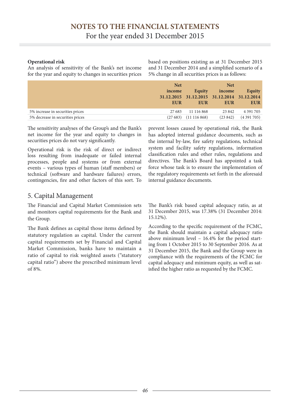#### **Operational risk**

An analysis of sensitivity of the Bank's net income for the year and equity to changes in securities prices based on positions existing as at 31 December 2015 and 31 December 2014 and a simplified scenario of a 5% change in all securities prices is as follows:

|                                  | <b>Net</b><br>income<br><b>EUR</b> | Equity<br>EUR | <b>Net</b><br>income<br>31.12.2015 31.12.2015 31.12.2014 31.12.2014<br><b>EUR</b> | <b>Equity</b><br><b>EUR</b> |
|----------------------------------|------------------------------------|---------------|-----------------------------------------------------------------------------------|-----------------------------|
| 5% increase in securities prices | 27 683                             | 11 116 868    | 23 842                                                                            | 4 3 9 1 7 0 5               |
| 5% decrease in securities prices | (27683)                            | (11116868)    | (23842)                                                                           | (4391705)                   |

The sensitivity analyses of the Group's and the Bank's net income for the year and equity to changes in securities prices do not vary significantly.

Operational risk is the risk of direct or indirect loss resulting from inadequate or failed internal processes, people and systems or from external events – various types of human (staff members) or technical (software and hardware failures) errors, contingencies, fire and other factors of this sort. To prevent losses caused by operational risk, the Bank has adopted internal guidance documents, such as the internal by-law, fire safety regulations, technical system and facility safety regulations, information classification rules and other rules, regulations and directives. The Bank's Board has appointed a task force whose task is to ensure the implementation of the regulatory requirements set forth in the aforesaid internal guidance documents.

### 5. Capital Management

The Financial and Capital Market Commission sets and monitors capital requirements for the Bank and the Group.

The Bank defines as capital those items defined by statutory regulation as capital. Under the current capital requirements set by Financial and Capital Market Commission, banks have to maintain a ratio of capital to risk weighted assets ("statutory capital ratio") above the prescribed minimum level of 8%.

The Bank's risk based capital adequacy ratio, as at 31 December 2015, was 17.38% (31 December 2014: 15.12%).

Аccording to the specific requirement of the FCMC, the Bank should maintain a capital adequacy ratio above minimum level – 16.4% for the period starting from 1 Оctober 2015 to 30 September 2016. As at 31 December 2015, the Bank and the Group were in compliance with the requirements of the FCMC for capital adequacy and minimum equity, as well as satisfied the higher ratio as requested by the FCMC.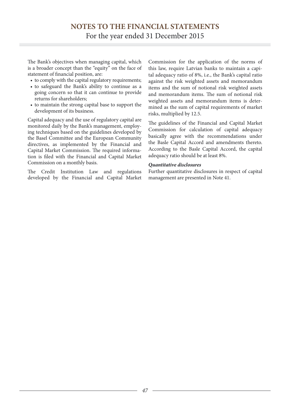The Bank's objectives when managing capital, which is a broader concept than the "equity" on the face of statement of financial position, are:

- to comply with the capital regulatory requirements;
- to safeguard the Bank's ability to continue as a going concern so that it can continue to provide returns for shareholders;
- to maintain the strong capital base to support the development of its business.

Capital adequacy and the use of regulatory capital are monitored daily by the Bank's management, employing techniques based on the guidelines developed by the Basel Committee and the European Community directives, as implemented by the Financial and Capital Market Commission. The required information is filed with the Financial and Capital Market Commission on a monthly basis.

The Credit Institution Law and regulations developed by the Financial and Capital Market Commission for the application of the norms of this law, require Latvian banks to maintain a capital adequacy ratio of 8%, i.e., the Bank's capital ratio against the risk weighted assets and memorandum items and the sum of notional risk weighted assets and memorandum items. The sum of notional risk weighted assets and memorandum items is determined as the sum of capital requirements of market risks, multiplied by 12.5.

The guidelines of the Financial and Capital Market Commission for calculation of capital adequacy basically agree with the recommendations under the Basle Capital Accord and amendments thereto. According to the Basle Capital Accord, the capital adequacy ratio should be at least 8%.

### *Quantitative disclosures*

Further quantitative disclosures in respect of capital management are presented in Note 41.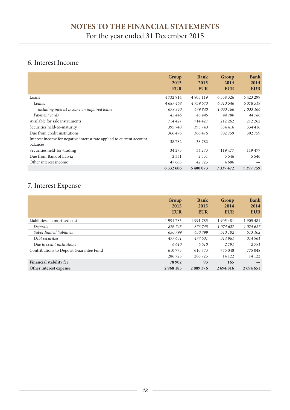### 6. Interest Income

|                                                                                   | Group<br>2015<br><b>EUR</b> | <b>Bank</b><br>2015<br><b>EUR</b> | Group<br>2014<br><b>EUR</b> | <b>Bank</b><br>2014<br><b>EUR</b> |
|-----------------------------------------------------------------------------------|-----------------------------|-----------------------------------|-----------------------------|-----------------------------------|
| Loans                                                                             | 4732914                     | 4 805 119                         | 6 3 5 8 3 2 6               | 6 423 299                         |
| Loans,                                                                            | 4 687 468                   | 4759673                           | 6 3 1 3 5 4 6               | 6378519                           |
| including interest income on impaired loans                                       | 679 840                     | 679 840                           | 1 033 166                   | 1 033 166                         |
| Payment cards                                                                     | 45 446                      | 45 446                            | 44 780                      | 44 780                            |
| Available for sale instruments                                                    | 714 427                     | 714 427                           | 212 262                     | 212 262                           |
| Securities held-to-maturity                                                       | 395 740                     | 395 740                           | 334 416                     | 334 416                           |
| Due from credit institutions                                                      | 366 476                     | 366 476                           | 302 759                     | 302 759                           |
| Interest income for negative interest rate applied to current account<br>balances | 38782                       | 38782                             |                             |                                   |
| Securities held-for-trading                                                       | 34 273                      | 34 273                            | 119 477                     | 119 477                           |
| Due from Bank of Latvia                                                           | 2 3 3 1                     | 2 3 3 1                           | 5 5 4 6                     | 5 5 4 6                           |
| Other interest income                                                             | 47 663                      | 42 9 25                           | 4 6 8 6                     |                                   |
|                                                                                   | 6 332 606                   | 6400073                           | 7 337 472                   | 7397759                           |

# 7. Interest Expense

|                                         | Group<br>2015<br><b>EUR</b> | <b>Bank</b><br>2015<br><b>EUR</b> | Group<br>2014<br><b>EUR</b> | <b>Bank</b><br>2014<br><b>EUR</b> |
|-----------------------------------------|-----------------------------|-----------------------------------|-----------------------------|-----------------------------------|
| Liabilities at amortised cost           | 1991785                     | 1991785                           | 1905481                     | 1905481                           |
| Deposits                                | 876745                      | 876745                            | 1 074 627                   | 1 074 627                         |
| Subordinated liabilities                | 630799                      | 630799                            | 513 102                     | 513 102                           |
| Debt securities                         | 477 631                     | 477 631                           | 314 961                     | 314 961                           |
| Due to credit institutions              | 6610                        | 6610                              | 2 7 9 1                     | 2 7 9 1                           |
| Contributions to Deposit Guarantee Fund | 610 773                     | 610 773                           | 775 048                     | 775 048                           |
|                                         | 286725                      | 286725                            | 14 122                      | 14 122                            |
| <b>Financial stability fee</b>          | 78 902                      | 93                                | 165                         |                                   |
| Other interest expense                  | 2968185                     | 2889376                           | 2694816                     | 2694651                           |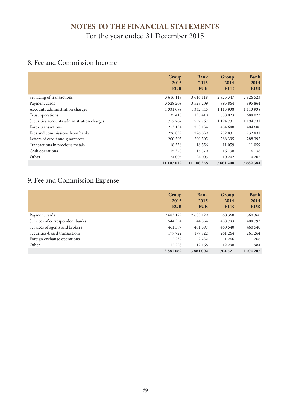### 8. Fee and Commission Income

|                                            | Group<br>2015<br><b>EUR</b> | <b>Bank</b><br>2015<br><b>EUR</b> | Group<br>2014<br><b>EUR</b> | <b>Bank</b><br>2014<br><b>EUR</b> |
|--------------------------------------------|-----------------------------|-----------------------------------|-----------------------------|-----------------------------------|
| Servicing of transactions                  | 3 6 1 6 1 1 8               | 3 6 1 6 1 1 8                     | 2 8 2 5 3 4 7               | 2 8 2 6 5 2 3                     |
| Payment cards                              | 3 5 2 8 2 0 9               | 3 5 28 209                        | 895 864                     | 895 864                           |
| Accounts administration charges            | 1 3 3 1 0 9 9               | 1 3 3 2 4 4 5                     | 1 1 1 3 9 3 8               | 1 1 1 3 9 3 8                     |
| Trust operations                           | 1 135 410                   | 1 1 3 5 4 1 0                     | 688 023                     | 688 023                           |
| Securities accounts administration charges | 757767                      | 757767                            | 1 194 731                   | 1 194 731                         |
| Forex transactions                         | 253 134                     | 253 134                           | 404 680                     | 404 680                           |
| Fees and commissions from banks            | 226839                      | 226839                            | 232 831                     | 232 831                           |
| Letters of credit and guarantees           | 200 505                     | 200 505                           | 288 395                     | 288 395                           |
| Transactions in precious metals            | 18 5 5 6                    | 18 5 5 6                          | 11 0 59                     | 11 0 59                           |
| Cash operations                            | 15 370                      | 15 370                            | 16 138                      | 16 138                            |
| Other                                      | 24 005                      | 24 005                            | 10 202                      | 10 202                            |
|                                            | 11 107 012                  | 11 108 358                        | 7681208                     | 7682384                           |

# 9. Fee and Commission Expense

|                                 | Group<br>2015<br><b>EUR</b> | <b>Bank</b><br>2015<br><b>EUR</b> | Group<br>2014<br><b>EUR</b> | <b>Bank</b><br>2014<br><b>EUR</b> |
|---------------------------------|-----------------------------|-----------------------------------|-----------------------------|-----------------------------------|
| Payment cards                   | 2 683 129                   | 2683129                           | 560 360                     | 560 360                           |
| Services of correspondent banks | 544 354                     | 544 354                           | 408 793                     | 408 793                           |
| Services of agents and brokers  | 461 397                     | 461 397                           | 460 540                     | 460 540                           |
| Securities-based transactions   | 177722                      | 177 722                           | 261 264                     | 261 264                           |
| Foreign exchange operations     | 2 2 3 2                     | 2 2 3 2                           | 1 2 6 6                     | 1 2 6 6                           |
| Other                           | 12 2 2 8                    | 12 168                            | 12 298                      | 11984                             |
|                                 | 3881062                     | 3881002                           | 1704521                     | 1704207                           |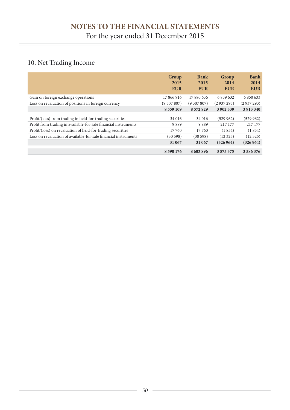# 10. Net Trading Income

|                                                                                                                              | Group<br>2015<br><b>EUR</b> | <b>Bank</b><br>2015<br><b>EUR</b> | Group<br>2014<br><b>EUR</b> | <b>Bank</b><br>2014<br><b>EUR</b> |
|------------------------------------------------------------------------------------------------------------------------------|-----------------------------|-----------------------------------|-----------------------------|-----------------------------------|
| Gain on foreign exchange operations                                                                                          | 17 866 916                  | 17 880 636                        | 6839632                     | 6 850 633                         |
| Loss on revaluation of positions in foreign currency                                                                         | (9307807)                   | (9307807)                         | (2937293)                   | (2937293)                         |
|                                                                                                                              | 8 5 5 9 1 0 9               | 8 572 829                         | 3902339                     | 3913340                           |
| Profit/(loss) from trading in held-for-trading securities<br>Profit from trading in available-for-sale financial instruments | 34 016<br>9889              | 34 016<br>9889                    | (529962)<br>217 177         | (529962)<br>217 177               |
| Profit/(loss) on revaluation of held-for-trading securities                                                                  | 17 760                      | 17 760                            | (1854)                      | (1854)                            |
| Loss on revaluation of available-for-sale financial instruments                                                              | (30 598)                    | (30598)                           | (12325)                     | (12325)                           |
|                                                                                                                              | 31 067                      | 31 067                            | (326964)                    | (326964)                          |
|                                                                                                                              | 8 5 9 1 7 6                 | 8603896                           | 3 5 7 5 3 7 5               | 3 5 8 6 3 7 6                     |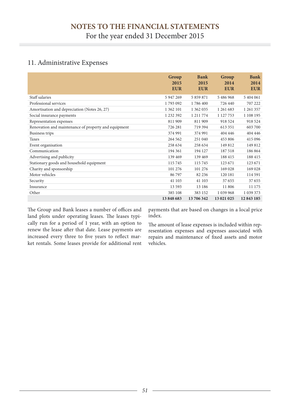### 11. Administrative Expenses

|                                                      | Group<br>2015<br><b>EUR</b> | <b>Bank</b><br>2015<br><b>EUR</b> | Group<br>2014<br><b>EUR</b> | <b>Bank</b><br>2014<br><b>EUR</b> |
|------------------------------------------------------|-----------------------------|-----------------------------------|-----------------------------|-----------------------------------|
| Staff salaries                                       | 5 947 269                   | 5 859 871                         | 5486968                     | 5 404 061                         |
| Professional services                                | 1793092                     | 1786400                           | 726 440                     | 707 222                           |
| Amortisation and depreciation (Notes 26, 27)         | 1 362 101                   | 1 362 035                         | 1 261 683                   | 1 261 357                         |
| Social insurance payments                            | 1 232 392                   | 1 211 774                         | 1 127 753                   | 1 108 195                         |
| Representation expenses                              | 811 909                     | 811909                            | 918 524                     | 918 524                           |
| Renovation and maintenance of property and equipment | 726 281                     | 719 394                           | 613 351                     | 603 700                           |
| <b>Business trips</b>                                | 374 991                     | 374 991                           | 404 446                     | 404 446                           |
| Taxes                                                | 264 562                     | 251 040                           | 453 806                     | 415 096                           |
| Event organisation                                   | 258 634                     | 258 634                           | 149 812                     | 149 812                           |
| Communication                                        | 194 361                     | 194 127                           | 187 518                     | 186 864                           |
| Advertising and publicity                            | 139 469                     | 139 469                           | 188 415                     | 188 415                           |
| Stationary goods and household equipment             | 115 745                     | 115 745                           | 123 671                     | 123 671                           |
| Charity and sponsorship                              | 101 276                     | 101 276                           | 169 028                     | 169 028                           |
| Motor vehicles                                       | 86 797                      | 82 236                            | 120 181                     | 114 591                           |
| Security                                             | 41 103                      | 41 103                            | 37 655                      | 37 655                            |
| Insurance                                            | 13 5 93                     | 13 18 6                           | 11 806                      | 11 175                            |
| Other                                                | 385 108                     | 383 152                           | 1 039 968                   | 1 0 3 9 3 7 3                     |
|                                                      | 13848683                    | 13706342                          | 13 021 025                  | 12843185                          |

The Group and Bank leases a number of offices and land plots under operating leases. The leases typically run for a period of 1 year, with an option to renew the lease after that date. Lease payments are increased every three to five years to reflect market rentals. Some leases provide for additional rent payments that are based on changes in a local price index.

The amount of lease expenses is included within representation expenses and expenses associated with repairs and maintenance of fixed assets and motor vehicles.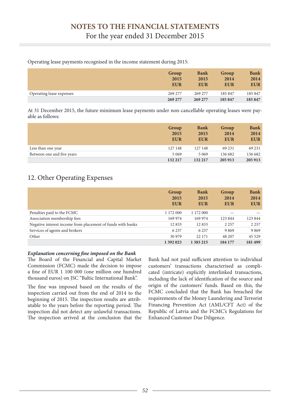Operating lease payments recognised in the income statement during 2015:

|                          | Group<br>2015<br><b>EUR</b> | <b>Bank</b><br>2015<br><b>EUR</b> | Group<br>2014<br><b>EUR</b> | <b>Bank</b><br>2014<br><b>EUR</b> |
|--------------------------|-----------------------------|-----------------------------------|-----------------------------|-----------------------------------|
| Operating lease expenses | 269 277                     | 269 277                           | 185 847                     | 185 847                           |
|                          | 269 277                     | 269 277                           | 185 847                     | 185 847                           |

At 31 December 2015, the future minimum lease payments under non-cancellable operating leases were payable as follows:

|                            | Group<br>2015<br><b>EUR</b> | <b>Bank</b><br>2015<br><b>EUR</b> | Group<br>2014<br><b>EUR</b> | <b>Bank</b><br>2014<br><b>EUR</b> |
|----------------------------|-----------------------------|-----------------------------------|-----------------------------|-----------------------------------|
| Less than one year         | 127 148                     | 127 148                           | 69 231                      | 69 231                            |
| Between one and five years | 5 0 6 9                     | 5 0 6 9                           | 136 682                     | 136 682                           |
|                            | 132 217                     | 132 217                           | 205 913                     | 205 913                           |

### 12. Other Operating Expenses

|                                                             | Group<br>2015<br><b>EUR</b> | <b>Bank</b><br>2015<br><b>EUR</b> | Group<br>2014<br><b>EUR</b> | <b>Bank</b><br>2014<br><b>EUR</b> |
|-------------------------------------------------------------|-----------------------------|-----------------------------------|-----------------------------|-----------------------------------|
| Penalties paid to the FCMC                                  | 1 172 000                   | 1 172 000                         |                             |                                   |
| Association membership fees                                 | 169 974                     | 169 974                           | 123 844                     | 123 844                           |
| Negative interest income from placement of funds with banks | 12833                       | 12833                             | 2 2 5 7                     | 2 2 5 7                           |
| Services of agents and brokers                              | 6 2 3 7                     | 6 2 3 7                           | 9869                        | 9869                              |
| Other                                                       | 30 979                      | 22 171                            | 48 207                      | 45 5 29                           |
|                                                             | 1 392 023                   | 1 3 8 3 2 1 5                     | 184 177                     | 181499                            |

### *Explanation concerning fine imposed on the Bank*

The Board of the Financial and Capital Market Commission (FCMC) made the decision to impose a fine of EUR 1 100 000 (one million one hundred thousand euros) on JSC "Baltic International Bank".

The fine was imposed based on the results of the inspection carried out from the end of 2014 to the beginning of 2015. The inspection results are attributable to the years before the reporting period. The inspection did not detect any unlawful transactions. The inspection arrived at the conclusion that the Bank had not paid sufficient attention to individual customers' transactions characterised as complicated (intricate) explicitly interlinked transactions, including the lack of identification of the source and origin of the customers' funds. Based on this, the FCMC concluded that the Bank has breached the requirements of the Money Laundering and Terrorist Financing Prevention Act (AML/CFT Act) of the Republic of Latvia and the FCMC's Regulations for Enhanced Customer Due Diligence.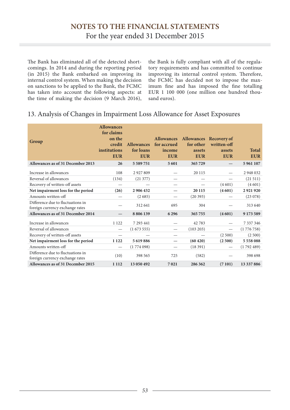The Bank has eliminated all of the detected shortcomings. In 2014 and during the reporting period (in 2015) the Bank embarked on improving its internal control system. When making the decision on sanctions to be applied to the Bank, the FCMC has taken into account the following aspects: at the time of making the decision (9 March 2016),

the Bank is fully compliant with all of the regulatory requirements and has committed to continue improving its internal control system. Therefore, the FCMC has decided not to impose the maximum fine and has imposed the fine totalling EUR 1 100 000 (one million one hundred thousand euros).

### 13. Analysis of Changes in Impairment Loss Allowance for Asset Exposures

| Group                                                                | <b>Allowances</b><br>for claims<br>on the<br>credit<br>institutions<br><b>EUR</b> | <b>Allowances</b><br>for loans<br><b>EUR</b> | <b>Allowances</b><br>for accrued<br>income<br><b>EUR</b> | for other<br>assets<br><b>EUR</b> | <b>Allowances</b> Recovery of<br>written-off<br>assets<br><b>EUR</b> | <b>Total</b><br><b>EUR</b> |
|----------------------------------------------------------------------|-----------------------------------------------------------------------------------|----------------------------------------------|----------------------------------------------------------|-----------------------------------|----------------------------------------------------------------------|----------------------------|
| Allowances as of 31 December 2013                                    | 26                                                                                | 5 5 8 9 7 5 1                                | 5 601                                                    | 365729                            |                                                                      | 5961107                    |
| Increase in allowances                                               | 108                                                                               | 2 9 2 7 8 0 9                                |                                                          | 20 115                            |                                                                      | 2948032                    |
| Reversal of allowances                                               | (134)                                                                             | (21377)                                      |                                                          |                                   |                                                                      | (21511)                    |
| Recovery of written-off assets                                       |                                                                                   |                                              |                                                          |                                   | (4601)                                                               | (4601)                     |
| Net impairment loss for the period                                   | (26)                                                                              | 2906432                                      |                                                          | 20 11 5                           | (4601)                                                               | 2921920                    |
| Amounts written-off                                                  |                                                                                   | (2685)                                       |                                                          | (20393)                           |                                                                      | (23078)                    |
| Difference due to fluctuations in<br>foreign currency exchange rates |                                                                                   | 312 641                                      | 695                                                      | 304                               |                                                                      | 313 640                    |
| Allowances as of 31 December 2014                                    |                                                                                   | 8 806 139                                    | 6296                                                     | 365 755                           | (4601)                                                               | 9 173 589                  |
| Increase in allowances                                               | 1 1 2 2                                                                           | 7 293 441                                    |                                                          | 42783                             |                                                                      | 7 3 3 7 3 4 6              |
| Reversal of allowances                                               | $\overline{\phantom{0}}$                                                          | (167355)                                     |                                                          | (103 203)                         |                                                                      | (1776758)                  |
| Recovery of written-off assets                                       | $\overline{\phantom{0}}$                                                          |                                              |                                                          |                                   | (2500)                                                               | (2500)                     |
| Net impairment loss for the period                                   | 1 1 2 2                                                                           | 5 619 886                                    |                                                          | (60 420)                          | (2500)                                                               | 5 5 5 8 0 8 8              |
| Amounts written-off                                                  | $\hspace{0.05cm}$                                                                 | (1774098)                                    | $\overline{\phantom{0}}$                                 | (18391)                           | $\overline{\phantom{0}}$                                             | (1792489)                  |
| Difference due to fluctuations in<br>foreign currency exchange rates | (10)                                                                              | 398 565                                      | 725                                                      | (582)                             |                                                                      | 398 698                    |
| Allowances as of 31 December 2015                                    | 1 1 1 2                                                                           | 13 050 492                                   | 7021                                                     | 286 362                           | (7101)                                                               | 13 337 886                 |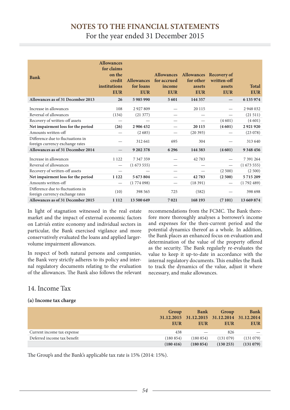| <b>Bank</b>                                                          | <b>Allowances</b><br>for claims<br>on the<br>credit<br>institutions<br><b>EUR</b> | <b>Allowances</b><br>for loans<br><b>EUR</b> | <b>Allowances</b><br>for accrued<br>income<br><b>EUR</b> | <b>Allowances</b><br>for other<br>assets<br><b>EUR</b> | <b>Recovery of</b><br>written-off<br>assets<br><b>EUR</b> | <b>Total</b><br><b>EUR</b> |
|----------------------------------------------------------------------|-----------------------------------------------------------------------------------|----------------------------------------------|----------------------------------------------------------|--------------------------------------------------------|-----------------------------------------------------------|----------------------------|
| Allowances as of 31 December 2013                                    | 26                                                                                | 5985990                                      | 5 601                                                    | 144 357                                                | $\qquad \qquad$                                           | 6 135 974                  |
| Increase in allowances                                               | 108                                                                               | 2927809                                      |                                                          | 20 11 5                                                |                                                           | 2948032                    |
| Reversal of allowances                                               | (134)                                                                             | (21377)                                      |                                                          |                                                        |                                                           | (21511)                    |
| Recovery of written-off assets                                       |                                                                                   |                                              |                                                          |                                                        | (4601)                                                    | (4601)                     |
| Net impairment loss for the period                                   | (26)                                                                              | 2906432                                      |                                                          | 20 11 5                                                | (4601)                                                    | 2921920                    |
| Amounts written-off                                                  |                                                                                   | (2685)                                       |                                                          | (20393)                                                |                                                           | (23078)                    |
| Difference due to fluctuations in<br>foreign currency exchange rates |                                                                                   | 312 641                                      | 695                                                      | 304                                                    |                                                           | 313 640                    |
| Allowances as of 31 December 2014                                    |                                                                                   | 9 202 378                                    | 6296                                                     | 144 383                                                | (4601)                                                    | 9 3 4 8 4 5 6              |
| Increase in allowances                                               | 1 1 2 2                                                                           | 7 347 359                                    |                                                          | 42783                                                  |                                                           | 7 391 264                  |
| Reversal of allowances                                               | $\overline{\phantom{0}}$                                                          | (1673555)                                    |                                                          |                                                        |                                                           | (167355)                   |
| Recovery of written-off assets                                       |                                                                                   |                                              |                                                          |                                                        | (2500)                                                    | (2500)                     |
| Net impairment loss for the period                                   | 1 1 2 2                                                                           | 5 673 804                                    |                                                          | 42783                                                  | (2500)                                                    | 5715209                    |
| Amounts written-off                                                  |                                                                                   | (1774098)                                    |                                                          | (18391)                                                |                                                           | (1792489)                  |
| Difference due to fluctuations in<br>foreign currency exchange rates | (10)                                                                              | 398 565                                      | 725                                                      | (582)                                                  |                                                           | 398 698                    |
| Allowances as of 31 December 2015                                    | 1 1 1 2                                                                           | 13 500 649                                   | 7021                                                     | 168 193                                                | (7101)                                                    | 13 669 874                 |

In light of stagnation witnessed in the real estate market and the impact of external economic factors on Latvia's entire economy and individual sectors in particular, the Bank exercised vigilance and more conservatively evaluated the loans and applied largervolume impairment allowances.

In respect of both natural persons and companies, the Bank very strictly adheres to its policy and internal regulatory documents relating to the evaluation of the allowances. The Bank also follows the relevant recommendations from the FCMC. The Bank therefore more thoroughly analyses a borrower's income and expenses for the then-current period and the potential dynamics thereof as a whole. In addition, the Bank places an enhanced focus on evaluation and determination of the value of the property offered as the security. The Bank regularly re-evaluates the value to keep it up-to-date in accordance with the internal regulatory documents. This enables the Bank to track the dynamics of the value, adjust it where necessary, and make allowances.

### 14. Income Tax

### **(a) Income tax charge**

|                             | Group<br><b>EUR</b> | <b>Bank</b><br>31.12.2015 31.12.2015 31.12.2014 31.12.2014<br>EUR | Group<br><b>EUR</b> | <b>Bank</b><br><b>EUR</b> |
|-----------------------------|---------------------|-------------------------------------------------------------------|---------------------|---------------------------|
| Current income tax expense  | 438                 |                                                                   | 826                 |                           |
| Deferred income tax benefit | (180854)            | (180854)                                                          | (131079)            | (131079)                  |
|                             | (180 416)           | (180 854)                                                         | (130 253)           | (131079)                  |

The Group's and the Bank's applicable tax rate is 15% (2014: 15%).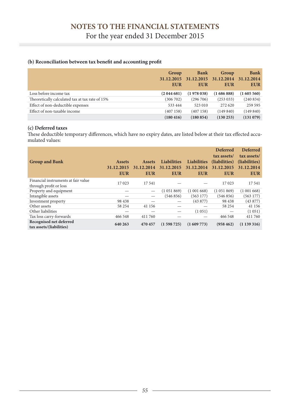### **(b) Reconciliation between tax benefit and accounting profit**

|                                                 | Group<br>31.12.2015<br><b>EUR</b> | <b>Bank</b><br>31.12.2015<br><b>EUR</b> | Group<br>31.12.2014<br><b>EUR</b> | <b>Bank</b><br>31.12.2014<br><b>EUR</b> |
|-------------------------------------------------|-----------------------------------|-----------------------------------------|-----------------------------------|-----------------------------------------|
| Loss before income tax                          | (2044681)                         | (1978038)                               | (168688)                          | (1605560)                               |
| Theoretically calculated tax at tax rate of 15% | (306702)                          | (296706)                                | (253 033)                         | (240834)                                |
| Effect of non-deductible expenses               | 533 444                           | 523 010                                 | 272 620                           | 259 595                                 |
| Effect of non-taxable income                    | (407158)                          | (407158)                                | (149840)                          | (149840)                                |
|                                                 | (180 416)                         | (180 854)                               | (130 253)                         | (131079)                                |

#### **(c) Deferred taxes**

These deductible temporary differences, which have no expiry dates, are listed below at their tax effected accumulated values:

| <b>Group and Bank</b>                                         | <b>Assets</b><br>31.12.2015<br><b>EUR</b> | <b>Assets</b><br>31.12.2014<br><b>EUR</b> | <b>Liabilities</b><br>31.12.2015<br><b>EUR</b> | <b>Liabilities</b><br>31.12.2014<br><b>EUR</b> | <b>Deferred</b><br>tax assets/<br>(liabilities)<br>31.12.2015<br><b>EUR</b> | <b>Deferred</b><br>tax assets/<br>(liabilities)<br>31.12.2014<br><b>EUR</b> |
|---------------------------------------------------------------|-------------------------------------------|-------------------------------------------|------------------------------------------------|------------------------------------------------|-----------------------------------------------------------------------------|-----------------------------------------------------------------------------|
| Financial instruments at fair value<br>through profit or loss | 17023                                     | 17 541                                    |                                                |                                                | 17023                                                                       | 17541                                                                       |
| Property and equipment                                        | —                                         |                                           | (1051869)                                      | (1001668)                                      | (1051869)                                                                   | (1001668)                                                                   |
| Intangible assets                                             |                                           |                                           | (546856)                                       | (563 177)                                      | (546 856)                                                                   | (563 177)                                                                   |
| Investment property                                           | 98 438                                    |                                           |                                                | (43877)                                        | 98 438                                                                      | (43877)                                                                     |
| Other assets                                                  | 58 254                                    | 41 156                                    | —                                              |                                                | 58 254                                                                      | 41 156                                                                      |
| Other liabilities                                             |                                           |                                           |                                                | (1051)                                         |                                                                             | (1051)                                                                      |
| Tax loss carry-forwards                                       | 466 548                                   | 411760                                    |                                                |                                                | 466 548                                                                     | 411760                                                                      |
| Recognised net deferred<br>tax assets/(liabilities)           | 640 263                                   | 470 457                                   | (1598725)                                      | (1609773)                                      | (958462)                                                                    | (1139316)                                                                   |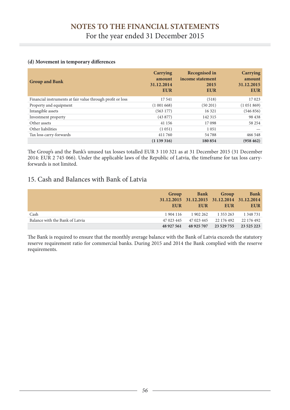### **(d) Movement in temporary differences**

| <b>Group and Bank</b>                                      | <b>Carrying</b><br>amount<br>31.12.2014<br><b>EUR</b> | <b>Recognised in</b><br>income statement<br>2015<br><b>EUR</b> | <b>Carrying</b><br>amount<br>31.12.2015<br><b>EUR</b> |
|------------------------------------------------------------|-------------------------------------------------------|----------------------------------------------------------------|-------------------------------------------------------|
| Financial instruments at fair value through profit or loss | 17541                                                 | (518)                                                          | 17023                                                 |
| Property and equipment                                     | (1001668)                                             | (50201)                                                        | (1051869)                                             |
| Intangible assets                                          | (563177)                                              | 16 3 21                                                        | (546 856)                                             |
| Investment property                                        | (43877)                                               | 142 315                                                        | 98 438                                                |
| Other assets                                               | 41 156                                                | 17098                                                          | 58 254                                                |
| Other liabilities                                          | (1051)                                                | 1051                                                           |                                                       |
| Tax loss carry-forwards                                    | 411760                                                | 54788                                                          | 466 548                                               |
|                                                            | (1139316)                                             | 180 854                                                        | (958 462)                                             |

The Group's and the Bank's unused tax losses totalled EUR 3 110 321 as at 31 December 2015 (31 December 2014: EUR 2 745 066). Under the applicable laws of the Republic of Latvia, the timeframe for tax loss carryforwards is not limited.

### 15. Cash and Balances with Bank of Latvia

|                                 | Group<br>EUR | <b>Bank</b><br>31.12.2015 31.12.2015 31.12.2014 31.12.2014<br>EUR | Group<br>EUR  | <b>Bank</b><br><b>EUR</b> |
|---------------------------------|--------------|-------------------------------------------------------------------|---------------|---------------------------|
| Cash                            | 1904 116     | 1 902 262                                                         | 1 3 5 3 2 6 3 | 1 348 731                 |
| Balance with the Bank of Latvia | 47 023 445   | 47 023 445                                                        | 22 176 492    | 22 176 492                |
|                                 | 48 927 561   | 48 925 707                                                        | 23 529 755    | 23 5 25 223               |

The Bank is required to ensure that the monthly average balance with the Bank of Latvia exceeds the statutory reserve requirement ratio for commercial banks. During 2015 and 2014 the Bank complied with the reserve requirements.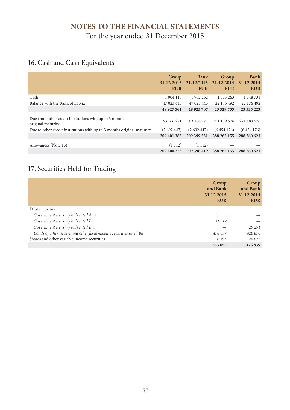# 16. Cash and Cash Equivalents

|                                                                             | Group<br>31.12.2015<br><b>EUR</b> | <b>Bank</b><br>31.12.2015<br><b>EUR</b> | Group<br>31.12.2014<br><b>EUR</b> | <b>Bank</b><br>31.12.2014<br><b>EUR</b> |
|-----------------------------------------------------------------------------|-----------------------------------|-----------------------------------------|-----------------------------------|-----------------------------------------|
| Cash                                                                        | 1904 116                          | 1 902 262                               | 1 3 5 3 2 6 3                     | 1 3 4 8 7 3 1                           |
| Balance with the Bank of Latvia                                             | 47 023 445                        | 47 023 445                              | 22 176 492                        | 22 176 492                              |
|                                                                             | 48 927 561                        | 48 925 707                              | 23 529 755                        | 23 525 223                              |
| Due from other credit institutions with up to 3 months<br>original maturity | 163 166 271                       | 163 166 271                             | 271 189 576                       | 271 189 576                             |
| Due to other credit institutions with up to 3 months original maturity      | (2692447)                         | (2692447)                               | (6454176)                         | (6454176)                               |
|                                                                             | 209 401 385                       | 209 399 531                             | 288 265 155                       | 288 260 623                             |
| Allowances (Note 13)                                                        | (1112)<br>209 400 273             | (1112)<br>209 398 419                   | 288 265 155                       | 288 260 623                             |

## 17. Securities-Held-for Trading

|                                                                   | Group<br>and Bank<br>31.12.2015<br><b>EUR</b> | Group<br>and Bank<br>31.12.2014<br><b>EUR</b> |
|-------------------------------------------------------------------|-----------------------------------------------|-----------------------------------------------|
| Debt securities                                                   |                                               |                                               |
| Government treasury bills rated Aaa                               | 27 555                                        |                                               |
| Government treasury bills rated Ba                                | 31 012                                        |                                               |
| Government treasury bills rated Baa                               |                                               | 29 29 1                                       |
| Bonds of other issuers and other fixed-income securities rated Ba | 478897                                        | 420876                                        |
| Shares and other variable income securities                       | 16 193                                        | 26 672                                        |
|                                                                   | 553 657                                       | 476839                                        |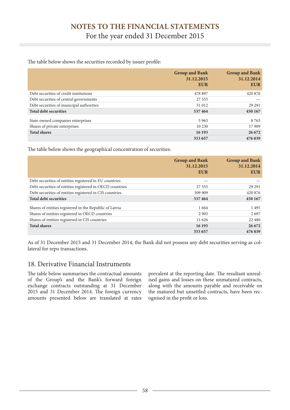The table below shows the securities recorded by issuer profile:

|                                          | <b>Group and Bank</b><br>31.12.2015<br><b>EUR</b> | <b>Group and Bank</b><br>31.12.2014<br><b>EUR</b> |
|------------------------------------------|---------------------------------------------------|---------------------------------------------------|
| Debt securities of credit institutions   | 478 897                                           | 420 876                                           |
| Debt securities of central governments   | 27 5 5 5                                          |                                                   |
| Debt securities of municipal authorities | 31 012                                            | 29 29 1                                           |
| <b>Total debt securities</b>             | 537464                                            | 450 167                                           |
| State-owned companies enterprises        | 5963                                              | 8 7 6 3                                           |
| Shares of private enterprises            | 10 230                                            | 17 909                                            |
| <b>Total shares</b>                      | 16 193                                            | 26 672                                            |
|                                          | 553 657                                           | 476839                                            |

The table below shows the geographical concentration of securities:

|                                                                                                            | <b>Group and Bank</b><br>31.12.2015<br><b>EUR</b> | <b>Group and Bank</b><br>31.12.2014<br><b>EUR</b> |
|------------------------------------------------------------------------------------------------------------|---------------------------------------------------|---------------------------------------------------|
| Debt securities of entities registered in EU countries                                                     |                                                   |                                                   |
| Debt securities of entities registered in OECD countries                                                   | 27 555                                            | 29 29 1                                           |
| Debt securities of entities registered in CIS countries                                                    | 509 909                                           | 420 876                                           |
| <b>Total debt securities</b>                                                                               | 537464                                            | 450 167                                           |
| Shares of entities registered in the Republic of Latvia<br>Shares of entities registered in OECD countries | 1 664<br>2 9 0 3                                  | 1495<br>2697                                      |
| Shares of entities registered in CIS countries                                                             | 11 626                                            | 22 480                                            |
| <b>Total shares</b>                                                                                        | 16 193                                            | 26 672                                            |
|                                                                                                            | 553 657                                           | 476839                                            |

As of 31 December 2015 and 31 December 2014, the Bank did not possess any debt securities serving as collateral for repo transactions.

### 18. Derivative Financial Instruments

The table below summarises the contractual amounts of the Group's and the Bank's forward foreign exchange contracts outstanding at 31 December 2015 and 31 December 2014. The foreign currency amounts presented below are translated at rates

prevalent at the reporting date. The resultant unrealised gains and losses on these unmatured contracts, along with the amounts payable and receivable on the matured but unsettled contracts, have been recognised in the profit or loss.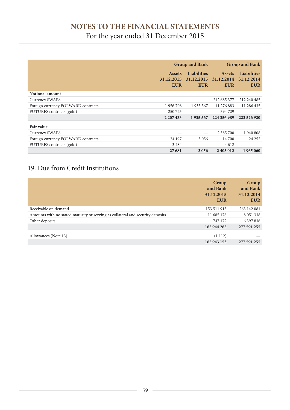|                                    | <b>Group and Bank</b>                     |                                                | <b>Group and Bank</b>                     |                                                |
|------------------------------------|-------------------------------------------|------------------------------------------------|-------------------------------------------|------------------------------------------------|
|                                    | <b>Assets</b><br>31.12.2015<br><b>EUR</b> | <b>Liabilities</b><br>31.12.2015<br><b>EUR</b> | <b>Assets</b><br>31.12.2014<br><b>EUR</b> | <b>Liabilities</b><br>31.12.2014<br><b>EUR</b> |
| Notional amount                    |                                           |                                                |                                           |                                                |
| Currency SWAPS                     |                                           | $\hspace{0.05cm}$                              | 212 685 377                               | 212 240 485                                    |
| Foreign currency FORWARD contracts | 1956708                                   | 1935 567                                       | 11 276 883                                | 11 286 435                                     |
| FUTURES contracts (gold)           | 250 725                                   |                                                | 394 729                                   |                                                |
|                                    | 2 2 0 7 4 3 3                             | 1935 567                                       | 224 356 989                               | 223 526 920                                    |
| <b>Fair value</b>                  |                                           |                                                |                                           |                                                |
| Currency SWAPS                     |                                           |                                                | 2 3 8 5 7 0 0                             | 1940808                                        |
| Foreign currency FORWARD contracts | 24 197                                    | 3 0 5 6                                        | 14 700                                    | 24 25 2                                        |
| FUTURES contracts (gold)           | 3 4 8 4                                   |                                                | 4 6 12                                    |                                                |
|                                    | 27 681                                    | 3 0 5 6                                        | 2405012                                   | 1965 060                                       |

### 19. Due from Credit Institutions

| and Bank<br>31.12.2015                                                                       | Group<br>Group<br>and Bank<br>31.12.2014<br><b>EUR</b><br><b>EUR</b> |
|----------------------------------------------------------------------------------------------|----------------------------------------------------------------------|
| Receivable on demand<br>153 511 915                                                          | 263 142 081                                                          |
| Amounts with no stated maturity or serving as collateral and security deposits<br>11 685 178 | 8 0 5 1 3 3 8                                                        |
| Other deposits                                                                               | 6 397 836<br>747 172                                                 |
| 165 944 265                                                                                  | 277 591 255                                                          |
| Allowances (Note 13)                                                                         | (1112)                                                               |
| 165 943 153                                                                                  | 277 591 255                                                          |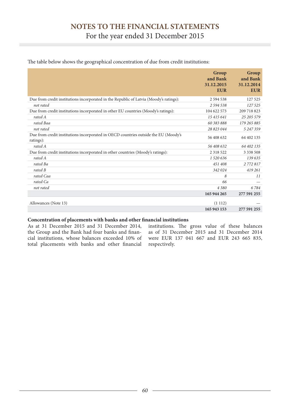The table below shows the geographical concentration of due from credit institutions:

|                                                                                                  | Group         | Group         |
|--------------------------------------------------------------------------------------------------|---------------|---------------|
|                                                                                                  | and Bank      | and Bank      |
|                                                                                                  | 31.12.2015    | 31.12.2014    |
|                                                                                                  | <b>EUR</b>    | <b>EUR</b>    |
| Due from credit institutions incorporated in the Republic of Latvia (Moody's ratings):           | 2 5 9 4 5 3 8 | 127 525       |
| not rated                                                                                        | 2 5 9 4 5 3 8 | 127 525       |
| Due from credit institutions incorporated in other EU countries (Moody's ratings):               | 104 622 573   | 209 718 823   |
| rated A                                                                                          | 15 415 641    | 25 205 579    |
| rated Baa                                                                                        | 60 383 888    | 179 265 885   |
| not rated                                                                                        | 28 823 044    | 5 247 359     |
| Due from credit institutions incorporated in OECD countries outside the EU (Moody's<br>ratings): | 56 408 632    | 64 402 135    |
| rated A                                                                                          | 56 408 632    | 64 402 135    |
| Due from credit institutions incorporated in other countries (Moody's ratings):                  | 2 3 1 8 5 2 2 | 3 3 3 8 5 0 8 |
| rated A                                                                                          | 1 520 636     | 139 635       |
| rated Ba                                                                                         | 451 408       | 2772817       |
| rated B                                                                                          | 342 024       | 419 261       |
| rated Caa                                                                                        | 8             | 11            |
| rated Ca                                                                                         | 66            |               |
| not rated                                                                                        | 4 3 8 0       | 6784          |
|                                                                                                  | 165 944 265   | 277 591 255   |
| Allowances (Note 13)                                                                             | (1112)        |               |
|                                                                                                  | 165 943 153   | 277 591 255   |

#### **Concentration of placements with banks and other financial institutions**

As at 31 December 2015 and 31 December 2014, the Group and the Bank had four banks and financial institutions, whose balances exceeded 10% of total placements with banks and other financial

institutions. The gross value of these balances as of 31 December 2015 and 31 December 2014 were EUR 137 041 667 and EUR 243 665 835, respectively.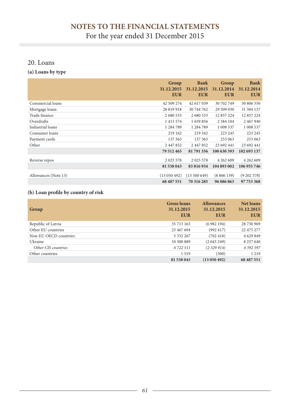### 20. Loans

### **(a) Loans by type**

|                      | <b>Group</b><br>31.12.2015<br><b>EUR</b> | <b>Bank</b><br>31.12.2015<br><b>EUR</b> | Group<br>31.12.2014<br><b>EUR</b> | <b>Bank</b><br>31.12.2014<br><b>EUR</b> |
|----------------------|------------------------------------------|-----------------------------------------|-----------------------------------|-----------------------------------------|
| Commercial loans     | 42 509 274                               | 42 617 039                              | 30 702 749                        | 30 806 550                              |
| Mortgage loans       | 28 819 918                               | 30 744 762                              | 29 509 030                        | 31 384 137                              |
| Trade finance        | 2 680 533                                | 2 680 533                               | 12 857 224                        | 12 857 224                              |
| Overdrafts           | 1 4 1 3 5 7 4                            | 1659856                                 | 2 3 8 4 1 0 4                     | 2 467 940                               |
| Industrial loans     | 1 284 789                                | 1 284 789                               | 1 008 537                         | 1 008 537                               |
| Consumer loans       | 219 162                                  | 219 162                                 | 223 245                           | 223 245                                 |
| Payment cards        | 137 363                                  | 137 363                                 | 253 063                           | 253 063                                 |
| Other                | 2 447 852                                | 2447852                                 | 23 692 441                        | 23 692 441                              |
|                      | 79 512 465                               | 81791356                                | 100 630 393                       | 102 693 137                             |
| Reverse repos        | 2 0 2 5 5 7 8<br>81 538 043              | 2 0 2 5 5 7 8<br>83 816 934             | 4 2 6 2 6 0 9<br>104 893 002      | 4 262 609<br>106 955 746                |
| Allowances (Note 13) | (13050492)<br>68 487 551                 | (13500649)<br>70 316 285                | (8806139)<br>96 086 863           | (9202378)<br>97 753 368                 |

### **(b) Loan profile by country of risk**

| Group                 | <b>Gross</b> loans<br>31.12.2015<br><b>EUR</b> | <b>Allowances</b><br>31.12.2015<br><b>EUR</b> | <b>Net loans</b><br>31.12.2015<br><b>EUR</b> |
|-----------------------|------------------------------------------------|-----------------------------------------------|----------------------------------------------|
| Republic of Latvia    | 35 713 163                                     | (6982194)                                     | 28 730 969                                   |
| Other EU countries    | 23 467 694                                     | (992, 417)                                    | 22 475 277                                   |
| Non-EU OECD countries | 5 332 267                                      | (702, 418)                                    | 4 629 849                                    |
| Ukraine               | 10 300 889                                     | (2043249)                                     | 8 257 640                                    |
| Other CIS countries   | 6 722 511                                      | (2329914)                                     | 4 3 9 2 5 9 7                                |
| Other countries       | 1519                                           | (300)                                         | 1 2 1 9                                      |
|                       | 81 538 043                                     | (13050492)                                    | 68 487 551                                   |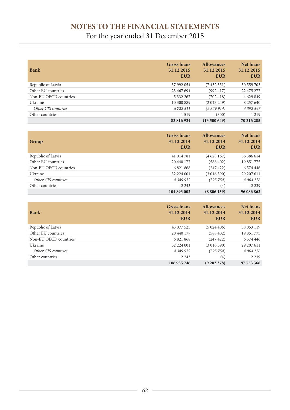| <b>Bank</b>           | <b>Gross loans</b><br>31.12.2015<br><b>EUR</b> | <b>Allowances</b><br>31.12.2015<br><b>EUR</b> | <b>Net loans</b><br>31.12.2015<br><b>EUR</b> |
|-----------------------|------------------------------------------------|-----------------------------------------------|----------------------------------------------|
| Republic of Latvia    | 37 992 054                                     | (7432351)                                     | 30 559 703                                   |
| Other EU countries    | 23 467 694                                     | (992, 417)                                    | 22 475 277                                   |
| Non-EU OECD countries | 5 332 267                                      | (702.418)                                     | 4 629 849                                    |
| Ukraine               | 10 300 889                                     | (2043249)                                     | 8 257 640                                    |
| Other CIS countries   | 6 722 511                                      | (2329914)                                     | 4 3 9 2 5 9 7                                |
| Other countries       | 1519                                           | (300)                                         | 1 2 1 9                                      |
|                       | 83 816 934                                     | (13500649)                                    | 70 316 285                                   |

| Group                 | <b>Gross</b> loans<br>31.12.2014<br><b>EUR</b> | <b>Allowances</b><br>31.12.2014<br><b>EUR</b> | <b>Net loans</b><br>31.12.2014<br><b>EUR</b> |
|-----------------------|------------------------------------------------|-----------------------------------------------|----------------------------------------------|
| Republic of Latvia    | 41 014 781                                     | (4628167)                                     | 36 386 614                                   |
| Other EU countries    | 20 440 177                                     | (588402)                                      | 19 851 775                                   |
| Non-EU OECD countries | 6821868                                        | (247 422)                                     | 6 5 7 4 4 4 4 6                              |
| Ukraine               | 32 224 001                                     | (3016390)                                     | 29 207 611                                   |
| Other CIS countries   | 4 389 932                                      | (325 754)                                     | 4 0 64 178                                   |
| Other countries       | 2 2 4 3                                        | $\scriptstyle{(4)}$                           | 2 2 3 9                                      |
|                       | 104 893 002                                    | (8806139)                                     | 96 086 863                                   |

| <b>Bank</b>           | <b>Gross</b> loans<br>31.12.2014<br><b>EUR</b> | <b>Allowances</b><br>31.12.2014<br><b>EUR</b> | <b>Net loans</b><br>31.12.2014<br><b>EUR</b> |
|-----------------------|------------------------------------------------|-----------------------------------------------|----------------------------------------------|
| Republic of Latvia    | 43 077 525                                     | (5024406)                                     | 38 053 119                                   |
| Other EU countries    | 20 440 177                                     | (588402)                                      | 19 851 775                                   |
| Non-EU OECD countries | 6821868                                        | (247 422)                                     | 6 5 7 4 4 4 4 6                              |
| Ukraine               | 32 224 001                                     | (3016390)                                     | 29 207 611                                   |
| Other CIS countries   | 4 389 932                                      | (325 754)                                     | 4 0 64 1 78                                  |
| Other countries       | 2 2 4 3                                        | $\left( 4\right)$                             | 2 2 3 9                                      |
|                       | 106 955 746                                    | (9202378)                                     | 97 753 368                                   |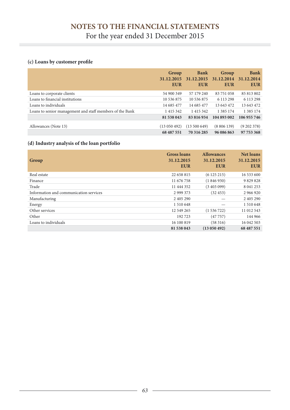### **(c) Loans by customer profile**

|                                                          | Group<br>31,12,2015<br><b>EUR</b> | <b>Bank</b><br>31.12.2015<br><b>EUR</b> | Group<br>31.12.2014<br><b>EUR</b> | <b>Bank</b><br>31.12.2014<br><b>EUR</b> |
|----------------------------------------------------------|-----------------------------------|-----------------------------------------|-----------------------------------|-----------------------------------------|
| Loans to corporate clients                               | 54 900 349                        | 57 179 240                              | 83 751 058                        | 85 813 802                              |
| Loans to financial institutions                          | 10 536 875                        | 10 536 875                              | 6 1 1 3 2 9 8                     | 6 1 1 3 2 9 8                           |
| Loans to individuals                                     | 14 685 477                        | 14 685 477                              | 13 643 472                        | 13 643 472                              |
| Loans to senior management and staff members of the Bank | 1 4 1 5 3 4 2                     | 1 4 1 5 3 4 2                           | 1 385 174                         | 1 3 8 5 1 7 4                           |
|                                                          | 81 538 043                        | 83 816 934                              | 104 893 002                       | 106 955 746                             |
| Allowances (Note 13)                                     | (13 050 492)                      | (13500649)                              | (8806139)                         | (9202378)                               |
|                                                          | 68 487 551                        | 70 316 285                              | 96 086 863                        | 97 753 368                              |

### **(d) Industry analysis of the loan portfolio**

| Group                                  | <b>Gross</b> loans<br>31.12.2015<br><b>EUR</b> | <b>Allowances</b><br>31.12.2015<br><b>EUR</b> | <b>Net loans</b><br>31.12.2015<br><b>EUR</b> |
|----------------------------------------|------------------------------------------------|-----------------------------------------------|----------------------------------------------|
| Real estate                            | 22 658 815                                     | (6125215)                                     | 16 533 600                                   |
| Finance                                | 11 676 758                                     | (1846930)                                     | 9829828                                      |
| Trade                                  | 11 444 352                                     | (340309)                                      | 8 041 253                                    |
| Information and communication services | 2 999 373                                      | (32453)                                       | 2 966 920                                    |
| Manufacturing                          | 2 405 290                                      |                                               | 2 405 290                                    |
| Energy                                 | 1 510 648                                      |                                               | 1510648                                      |
| Other services                         | 12 549 265                                     | (1536722)                                     | 11 012 543                                   |
| Other                                  | 192723                                         | (47757)                                       | 144 966                                      |
| Loans to individuals                   | 16 100 819                                     | (58316)                                       | 16 042 503                                   |
|                                        | 81 538 043                                     | (13050492)                                    | 68 487 551                                   |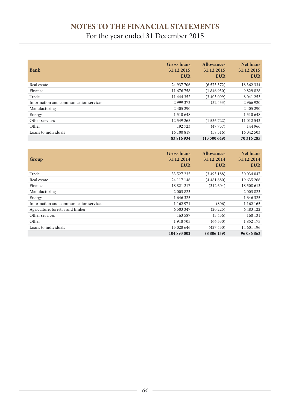| <b>Bank</b>                            | <b>Gross</b> loans<br>31.12.2015<br><b>EUR</b> | <b>Allowances</b><br>31.12.2015<br><b>EUR</b> | <b>Net loans</b><br>31.12.2015<br><b>EUR</b> |
|----------------------------------------|------------------------------------------------|-----------------------------------------------|----------------------------------------------|
| Real estate                            | 24 937 706                                     | (6575372)                                     | 18 362 334                                   |
| Finance                                | 11 676 758                                     | (1846930)                                     | 9829828                                      |
| Trade                                  | 11 444 352                                     | (340309)                                      | 8 041 253                                    |
| Information and communication services | 2 9 9 3 7 3                                    | (32, 453)                                     | 2 966 920                                    |
| Manufacturing                          | 2 405 290                                      |                                               | 2 405 290                                    |
| Energy                                 | 1510648                                        |                                               | 1 5 1 0 6 4 8                                |
| Other services                         | 12 549 265                                     | (1536722)                                     | 11 012 543                                   |
| Other                                  | 192 723                                        | (47757)                                       | 144 966                                      |
| Loans to individuals                   | 16 100 819                                     | (58316)                                       | 16 042 503                                   |
|                                        | 83 816 934                                     | (13500649)                                    | 70 316 285                                   |

| Group                                  | <b>Gross</b> loans<br>31.12.2014<br><b>EUR</b> | <b>Allowances</b><br>31.12.2014<br><b>EUR</b> | <b>Net loans</b><br>31.12.2014<br><b>EUR</b> |
|----------------------------------------|------------------------------------------------|-----------------------------------------------|----------------------------------------------|
| Trade                                  | 33 527 235                                     | (3493188)                                     | 30 034 047                                   |
| Real estate                            | 24 117 146                                     | (4481880)                                     | 19 635 266                                   |
| Finance                                | 18 821 217                                     | (312604)                                      | 18 508 613                                   |
| Manufacturing                          | 2 003 823                                      |                                               | 2 003 823                                    |
| Energy                                 | 1 646 325                                      |                                               | 1 646 325                                    |
| Information and communication services | 1 162 971                                      | (806)                                         | 1 162 165                                    |
| Agriculture, forestry and timber       | 6 503 347                                      | (20 225)                                      | 6 4 8 3 1 2 2                                |
| Other services                         | 163 587                                        | (3456)                                        | 160 131                                      |
| Other                                  | 1918705                                        | (66530)                                       | 1852175                                      |
| Loans to individuals                   | 15 028 646                                     | (427 450)                                     | 14 601 196                                   |
|                                        | 104 893 002                                    | (8806139)                                     | 96 086 863                                   |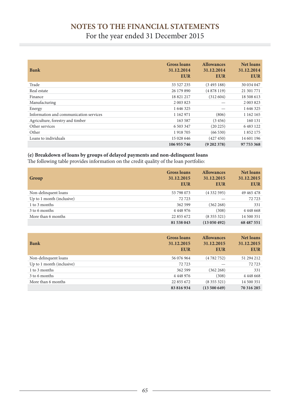| <b>Bank</b>                            | <b>Gross</b> loans<br>31.12.2014<br><b>EUR</b> | <b>Allowances</b><br>31.12.2014<br><b>EUR</b> | <b>Net loans</b><br>31.12.2014<br><b>EUR</b> |
|----------------------------------------|------------------------------------------------|-----------------------------------------------|----------------------------------------------|
| Trade                                  | 33 527 235                                     | (3493188)                                     | 30 034 047                                   |
| Real estate                            | 26 179 890                                     | (4878119)                                     | 21 301 771                                   |
| Finance                                | 18 821 217                                     | (312604)                                      | 18 508 613                                   |
| Manufacturing                          | 2 003 823                                      |                                               | 2 003 823                                    |
| Energy                                 | 1 646 325                                      |                                               | 1 646 325                                    |
| Information and communication services | 1 162 971                                      | (806)                                         | 1 162 165                                    |
| Agriculture, forestry and timber       | 163 587                                        | (3456)                                        | 160 131                                      |
| Other services                         | 6 503 347                                      | (20 225)                                      | 6 483 122                                    |
| Other                                  | 1918705                                        | (66530)                                       | 1852175                                      |
| Loans to individuals                   | 15 028 646                                     | (427 450)                                     | 14 601 196                                   |
|                                        | 106 955 746                                    | (9202378)                                     | 97 753 368                                   |

### **(e) Breakdown of loаns by groups of delayed payments and non-delinquent loans**

The following table provides information on the credit quality of the loan portfolio:

| Group                     | <b>Gross</b> loans<br>31.12.2015<br><b>EUR</b> | <b>Allowances</b><br>31.12.2015<br><b>EUR</b> | <b>Net loans</b><br>31.12.2015<br><b>EUR</b> |
|---------------------------|------------------------------------------------|-----------------------------------------------|----------------------------------------------|
| Non-delinquent loans      | 53 798 073                                     | (4332595)                                     | 49 465 478                                   |
| Up to 1 month (inclusive) | 72723                                          |                                               | 72723                                        |
| 1 to 3 months             | 362 599                                        | (362 268)                                     | 331                                          |
| 3 to 6 months             | 4 4 4 4 9 7 6                                  | (308)                                         | 4 4 4 4 6 6 6 8                              |
| More than 6 months        | 22 855 672                                     | (8355321)                                     | 14 500 351                                   |
|                           | 81 538 043                                     | (13050492)                                    | 68 487 551                                   |

| <b>Bank</b>               | <b>Gross loans</b><br>31.12.2015<br><b>EUR</b> | <b>Allowances</b><br>31.12.2015<br><b>EUR</b> | <b>Net loans</b><br>31.12.2015<br><b>EUR</b> |
|---------------------------|------------------------------------------------|-----------------------------------------------|----------------------------------------------|
| Non-delinquent loans      | 56 076 964                                     | (4782752)                                     | 51 294 212                                   |
| Up to 1 month (inclusive) | 72723                                          |                                               | 72723                                        |
| 1 to 3 months             | 362 599                                        | (362 268)                                     | 331                                          |
| 3 to 6 months             | 4 4 4 4 9 7 6                                  | (308)                                         | 4 4 4 4 6 6 6 8                              |
| More than 6 months        | 22 855 672                                     | (8355321)                                     | 14 500 351                                   |
|                           | 83 816 934                                     | (13500649)                                    | 70 316 285                                   |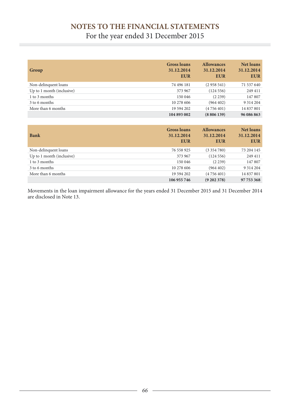| Group                     | <b>Gross loans</b><br>31.12.2014<br><b>EUR</b> | <b>Allowances</b><br>31.12.2014<br><b>EUR</b> | <b>Net loans</b><br>31.12.2014<br><b>EUR</b> |
|---------------------------|------------------------------------------------|-----------------------------------------------|----------------------------------------------|
| Non-delinquent loans      | 74 496 181                                     | (2958541)                                     | 71 537 640                                   |
| Up to 1 month (inclusive) | 373 967                                        | (124556)                                      | 249 411                                      |
| 1 to 3 months             | 150 046                                        | (2 239)                                       | 147 807                                      |
| 3 to 6 months             | 10 278 606                                     | (964 402)                                     | 9 3 1 4 2 0 4                                |
| More than 6 months        | 19 594 202                                     | (4756401)                                     | 14 837 801                                   |
|                           | 104 893 002                                    | (8806139)                                     | 96 086 863                                   |

| <b>Bank</b>               | <b>Gross</b> loans<br>31.12.2014<br><b>EUR</b> | <b>Allowances</b><br>31.12.2014<br><b>EUR</b> | <b>Net loans</b><br>31.12.2014<br><b>EUR</b> |
|---------------------------|------------------------------------------------|-----------------------------------------------|----------------------------------------------|
| Non-delinquent loans      | 76 558 925                                     | (3354780)                                     | 73 204 145                                   |
| Up to 1 month (inclusive) | 373 967                                        | (124556)                                      | 249 411                                      |
| 1 to 3 months             | 150 046                                        | (2 239)                                       | 147 807                                      |
| 3 to 6 months             | 10 278 606                                     | (964 402)                                     | 9 3 1 4 2 0 4                                |
| More than 6 months        | 19 594 202                                     | (4756401)                                     | 14 837 801                                   |
|                           | 106 955 746                                    | (9202378)                                     | 97 753 368                                   |

Movements in the loan impairment allowance for the years ended 31 December 2015 and 31 December 2014 are disclosed in Note 13.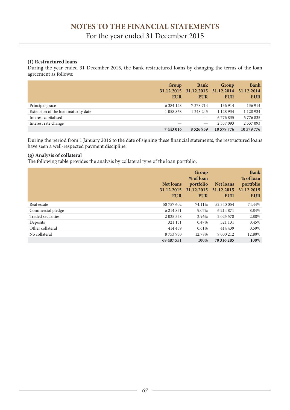### **(f) Restructured loans**

During the year ended 31 December 2015, the Bank restructured loans by changing the terms of the loan agreement as follows:

|                                     | Group<br>31.12.2015<br><b>EUR</b> | <b>Bank</b><br><b>EUR</b> | Group<br>31.12.2015 31.12.2014 31.12.2014<br><b>EUR</b> | <b>Bank</b><br><b>EUR</b> |
|-------------------------------------|-----------------------------------|---------------------------|---------------------------------------------------------|---------------------------|
| Principal grace                     | 6 3 8 4 1 4 8                     | 7 278 714                 | 136 914                                                 | 136 914                   |
| Extension of the loan maturity date | 1058868                           | 1 248 245                 | 1 128 934                                               | 1 1 28 9 34               |
| Interest capitalised                |                                   | $\hspace{0.05cm}$         | 6 776 835                                               | 6776835                   |
| Interest rate change                |                                   |                           | 2 537 093                                               | 2 537 093                 |
|                                     | 7443016                           | 8 5 2 6 9 5 9             | 10 579 776                                              | 10 579 776                |

During the period from 1 January 2016 to the date of signing these financial statements, the restructured loans have seen a well-respected payment discipline.

#### **(g) Analysis of collateral**

The following table provides the analysis by collateral type of the loan portfolio:

|                   | <b>Net loans</b><br>31.12.2015<br><b>EUR</b> | Group<br>% of loan<br>portfolio<br>31.12.2015<br><b>EUR</b> | <b>Net loans</b><br>31.12.2015<br><b>EUR</b> | <b>Bank</b><br>% of loan<br>portfolio<br>31.12.2015<br><b>EUR</b> |
|-------------------|----------------------------------------------|-------------------------------------------------------------|----------------------------------------------|-------------------------------------------------------------------|
| Real estate       | 50 757 602                                   | 74.11%                                                      | 52 340 054                                   | 74.44%                                                            |
| Commercial pledge | 6 2 1 4 8 7 1                                | 9.07%                                                       | 6 2 1 4 8 7 1                                | 8.84%                                                             |
| Traded securities | 2 0 2 5 5 7 8                                | 2.96%                                                       | 2 0 2 5 5 7 8                                | 2.88%                                                             |
| Deposits          | 321 131                                      | 0.47%                                                       | 321 131                                      | 0.45%                                                             |
| Other collateral  | 414 439                                      | 0.61%                                                       | 414 439                                      | 0.59%                                                             |
| No collateral     | 8753930                                      | 12.78%                                                      | 9 000 212                                    | 12.80%                                                            |
|                   | 68 487 551                                   | 100%                                                        | 70 316 285                                   | 100%                                                              |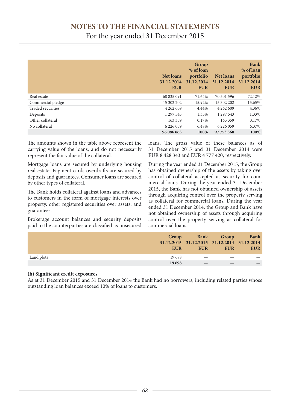|                   | <b>Net loans</b><br>31.12.2014<br><b>EUR</b> | Group<br>% of loan<br>portfolio<br>31.12.2014<br><b>EUR</b> | <b>Net loans</b><br>31.12.2014<br><b>EUR</b> | <b>Bank</b><br>% of loan<br>portfolio<br>31.12.2014<br><b>EUR</b> |
|-------------------|----------------------------------------------|-------------------------------------------------------------|----------------------------------------------|-------------------------------------------------------------------|
| Real estate       | 68 835 091                                   | 71.64%                                                      | 70 501 596                                   | 72.12%                                                            |
| Commercial pledge | 15 302 202                                   | 15.92%                                                      | 15 302 202                                   | 15.65%                                                            |
| Traded securities | 4 2 6 2 6 0 9                                | 4.44%                                                       | 4 2 6 2 6 0 9                                | 4.36%                                                             |
| Deposits          | 1 297 543                                    | 1.35%                                                       | 1 297 543                                    | 1.33%                                                             |
| Other collateral  | 163 359                                      | 0.17%                                                       | 163 359                                      | 0.17%                                                             |
| No collateral     | 6 2 2 6 0 5 9                                | 6.48%                                                       | 6 2 2 6 0 5 9                                | 6.37%                                                             |
|                   | 96 086 863                                   | 100%                                                        | 97 753 368                                   | 100%                                                              |

The amounts shown in the table above represent the carrying value of the loans, and do not necessarily represent the fair value of the collateral.

Mortgage loans are secured by underlying housing real estate. Payment cards overdrafts are secured by deposits and guarantees. Consumer loans are secured by other types of collateral.

The Bank holds collateral against loans and advances to customers in the form of mortgage interests over property, other registered securities over assets, and guarantees.

Brokerage account balances and security deposits paid to the counterparties are classified as unsecured loans. The gross value of these balances as of 31 December 2015 and 31 December 2014 were EUR 8 428 343 and EUR 4 777 420, respectively.

During the year ended 31 December 2015, the Group has obtained ownership of the assets by taking over control of collateral accepted as security for commercial loans. During the year ended 31 December 2015, the Bank has not obtained ownership of assets through acquiring control over the property serving as collateral for commercial loans. During the year ended 31 December 2014, the Group and Bank have not obtained ownership of assets through acquiring control over the property serving as collateral for commercial loans.

|            | Group<br><b>EUR</b> | <b>EUR</b>                    | <b>Bank</b> Group<br>31.12.2015 31.12.2015 31.12.2014 31.12.2014<br><b>EUR</b> | <b>Bank</b><br><b>EUR</b> |
|------------|---------------------|-------------------------------|--------------------------------------------------------------------------------|---------------------------|
| Land plots | 19 698              | $\overbrace{\phantom{aaaaa}}$ |                                                                                |                           |
|            | 19698               |                               |                                                                                |                           |

### **(h) Significant credit exposures**

As at 31 December 2015 and 31 December 2014 the Bank had no borrowers, including related parties whose outstanding loan balances exceed 10% of loans to customers.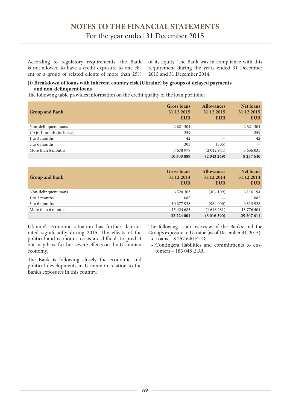According to regulatory requirements, the Bank is not allowed to have a credit exposure to one client or a group of related clients of more than 25% of its equity. The Bank was in compliance with this requirement during the years ended 31 December 2015 and 31 December 2014.

#### **(i) Breakdown of loans with inherent country risk (Ukraine) by groups of delayed payments and non-delinquent loans**

The following table provides information on the credit quality of the loan portfolio:

| <b>Group and Bank</b>     | <b>Gross loans</b><br>31.12.2015<br><b>EUR</b> | <b>Allowances</b><br>31.12.2015<br><b>EUR</b> | <b>Net loans</b><br>31.12.2015<br><b>EUR</b> |
|---------------------------|------------------------------------------------|-----------------------------------------------|----------------------------------------------|
| Non-delinquent loans      | 2 621 304                                      |                                               | 2 621 304                                    |
| Up to 1 month (inclusive) | 259                                            |                                               | 259                                          |
| 1 to 3 months             | 42                                             |                                               | 42                                           |
| 3 to 6 months             | 305                                            | (305)                                         |                                              |
| More than 6 months        | 7 678 979                                      | (2042944)                                     | 5 636 035                                    |
|                           | 10 300 889                                     | (2043249)                                     | 8 2 5 7 6 4 0                                |

| <b>Group and Bank</b> | <b>Gross</b> loans<br>31.12.2014<br><b>EUR</b> | <b>Allowances</b><br>31.12.2014<br><b>EUR</b> | <b>Net loans</b><br>31.12.2014<br><b>EUR</b> |
|-----------------------|------------------------------------------------|-----------------------------------------------|----------------------------------------------|
| Non-delinquent loans  | 6 520 303                                      | (404109)                                      | 6 1 1 6 1 9 4                                |
| 1 to 3 months         | 1 0 8 5                                        |                                               | 1085                                         |
| 3 to 6 months         | 10 277 928                                     | (964000)                                      | 9 3 1 3 9 2 8                                |
| More than 6 months    | 15 424 685                                     | (1648281)                                     | 13 776 404                                   |
|                       | 32 224 001                                     | (3016390)                                     | 29 207 611                                   |

Ukraine's economic situation has further deteriorated significantly during 2015. The effects of the political and economic crisis are difficult to predict but may have further severe effects on the Ukrainian economy.

The Bank is following closely the economic and political developments in Ukraine in relation to the Bank's exposures in this country.

The following is an overview of the Bank's and the Group's exposure to Ukraine (as of December 31, 2015):

- Loans 8 257 640 EUR;
- Contingent liabilities and commitments to customers – 183 048 EUR.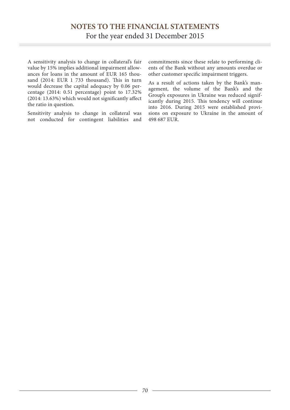A sensitivity analysis to change in collateral's fair value by 15% implies additional impairment allowances for loans in the amount of EUR 165 thousand (2014: EUR 1 733 thousand). This in turn would decrease the capital adequacy by 0.06 percentage (2014: 0.51 percentage) point to 17.32% (2014: 13.63%) which would not significantly affect the ratio in question.

Sensitivity analysis to change in collateral was not conducted for contingent liabilities and commitments since these relate to performing clients of the Bank without any amounts overdue or other customer specific impairment triggers.

As a result of actions taken by the Bank's management, the volume of the Bank's and the Group's exposures in Ukraine was reduced significantly during 2015. This tendency will continue into 2016. During 2015 were established provisions on exposure to Ukraine in the amount of 498 687 EUR.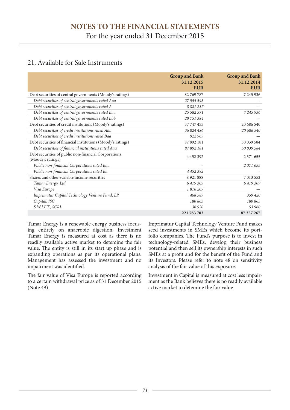### 21. Available for Sale Instruments

|                                                                           | <b>Group and Bank</b><br>31.12.2015<br><b>EUR</b> | <b>Group and Bank</b><br>31.12.2014<br><b>EUR</b> |
|---------------------------------------------------------------------------|---------------------------------------------------|---------------------------------------------------|
| Debt securities of central governments (Moody's ratings)                  | 82 769 787                                        | 7 245 936                                         |
| Debt securities of central governments rated Aaa                          | 27 554 595                                        |                                                   |
| Debt securities of central governments rated A                            | 8 8 8 1 2 3 7                                     |                                                   |
| Debt securities of central governments rated Baa                          | 25 582 571                                        | 7 2 45 9 36                                       |
| Debt securities of central governments rated Bbb                          | 20 751 384                                        |                                                   |
| Debt securities of credit institutions (Moody's ratings)                  | 37 747 455                                        | 20 686 540                                        |
| Debt securities of credit institutions rated Aaa                          | 36 824 486                                        | 20 686 540                                        |
| Debt securities of credit institutions rated Baa                          | 922 969                                           |                                                   |
| Debt securities of financial institutions (Moody's ratings)               | 87 892 181                                        | 50 039 584                                        |
| Debt securities of financial institutions rated Aaa                       | 87 892 181                                        | 50 039 584                                        |
| Debt securities of public non-financial Corporations<br>(Moody's ratings) | 4 4 5 2 3 9 2                                     | 2 3 7 1 6 5 5                                     |
| Public non-financial Corporations rated Baa                               |                                                   | 2 371 655                                         |
| Public non-financial Corporations rated Ba                                | 4452392                                           |                                                   |
| Shares and other variable income securities                               | 8921888                                           | 7 013 552                                         |
| Tamar Energy, Ltd                                                         | 6419309                                           | 6419309                                           |
| Visa Europe                                                               | 1816207                                           |                                                   |
| Imprimatur Capital Technology Venture Fund, LP                            | 468 589                                           | 359 420                                           |
| Capital, JSC                                                              | 180 863                                           | 180 863                                           |
| S.W.I.F.T., SCRL                                                          | 36 920                                            | 53 960                                            |
|                                                                           | 221 783 703                                       | 87 357 267                                        |

Tamar Energy is a renewable energy business focusing entirely on anaerobic digestion. Investment Tamar Energy is measured at cost as there is no readily available active market to detemine the fair value. The entity is still in its start up phase and is expanding operations as per its operational plans. Management has assessed the investment and no impairment was identified.

The fair value of Visa Europe is reported according to a certain withdrawal price as of 31 December 2015 (Note 49).

Imprimatur Capital Technology Venture Fund makes seed investments in SMEs which become its portfolio companies. Тhe Fund's purpose is to invest in technology-related SMEs, develop their business potential and then sell its ownership interests in such SMEs at a profit and for the benefit of the Fund and its Investors. Please refer to note 48 on sensitivity analysis of the fair value of this exposure.

Investment in Capital is measured at cost less impairment as the Bank believes there is no readily available active market to detemine the fair value.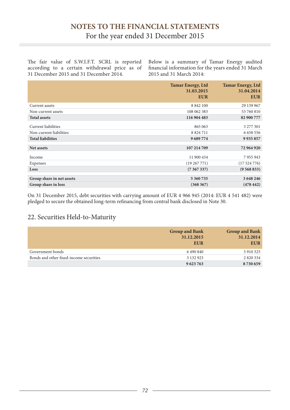The fair value of S.W.I.F.T. SCRL is reported according to a certain withdrawal price as of 31 December 2015 and 31 December 2014.

Below is a summary of Tamar Energy audited financial information for the years ended 31 March 2015 and 31 March 2014:

|                           | <b>Tamar Energy, Ltd</b><br>31.03.2015<br><b>EUR</b> | <b>Tamar Energy, Ltd</b><br>31.04.2014<br><b>EUR</b> |
|---------------------------|------------------------------------------------------|------------------------------------------------------|
| Current assets            | 8 8 4 2 10 0                                         | 29 139 967                                           |
| Non-current assets        | 108 062 383                                          | 53 760 810                                           |
| <b>Total assets</b>       | 116 904 483                                          | 82 900 777                                           |
| Current liabilities       | 865 063                                              | 3 277 301                                            |
| Non-current liabilities   | 8 8 24 7 11                                          | 6 6 5 8 5 5 6                                        |
| <b>Total liabilities</b>  | 9689774                                              | 9935857                                              |
| Net assets                | 107 214 709                                          | 72 964 920                                           |
| Income                    | 11 900 434                                           | 7955943                                              |
| Expenses                  | (19267771)                                           | (17524776)                                           |
| Loss                      | (7367337)                                            | (9568833)                                            |
| Group share in net assets | 5 360 735                                            | 3 648 246                                            |
| Group share in loss       | (368 367)                                            | (478442)                                             |

On 31 December 2015, debt securities with carrying amount of EUR 4 966 945 (2014: EUR 4 541 482) were pledged to secure the obtained long-term refinancing from central bank disclosed in Note 30.

### 22. Securities Held-to-Maturity

|                                         | <b>Group and Bank</b><br>31.12.2015<br><b>EUR</b> | <b>Group and Bank</b><br>31.12.2014<br><b>EUR</b> |
|-----------------------------------------|---------------------------------------------------|---------------------------------------------------|
| Government bonds                        | 6490840                                           | 5 9 10 3 25                                       |
| Bonds and other fixed-income securities | 3 132 923                                         | 2 8 2 0 3 3 4                                     |
|                                         | 9 623 763                                         | 8730659                                           |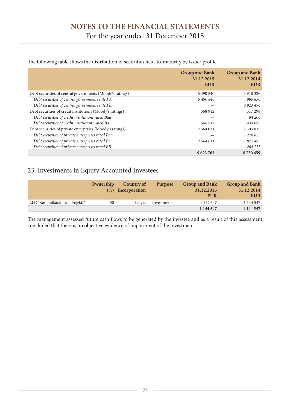|                                                          | <b>Group and Bank</b><br>31.12.2015<br><b>EUR</b> | <b>Group and Bank</b><br>31.12.2014<br><b>EUR</b> |
|----------------------------------------------------------|---------------------------------------------------|---------------------------------------------------|
| Debt securities of central governments (Moody's ratings) | 6 490 840                                         | 5 910 326                                         |
| Debt securities of central governments rated A           | 6490840                                           | 986 830                                           |
| Debt securities of central governments rated Baa         |                                                   | 4 923 496                                         |
| Debt securities of credit institutions (Moody's ratings) | 568 912                                           | 517298                                            |
| Debt securities of credit institutions rated Baa         |                                                   | 84 206                                            |
| Debt securities of credit institutions rated Ba          | 568 912                                           | 433 092                                           |
| Debt securities of private enterprises (Moody's ratings) | 2 5 6 4 0 1 1                                     | 2 3 0 3 0 3 5                                     |
| Debt securities of private enterprises rated Baa         |                                                   | 1 226 825                                         |
| Debt securities of private enterprises rated Ba          | 2 564 011                                         | 871495                                            |
| Debt securities of private enterprises rated BB          |                                                   | 204 715                                           |
|                                                          | 9 623 763                                         | 8730659                                           |

The following table shows the distribution of securities held-to-maturity by issuer profile:

### 23. Investments in Equity Accounted Investees

|                                 | Ownership | Country of<br>(%) incorporation | <b>Purpose</b> | <b>Group and Bank</b><br>31.12.2015<br><b>EUR</b> | <b>Group and Bank</b><br>31.12.2014<br><b>EUR</b> |
|---------------------------------|-----------|---------------------------------|----------------|---------------------------------------------------|---------------------------------------------------|
| LLC "Komunikācijas un projekti" | 50        | Latvia                          | Investments    | 1 144 547                                         | 1 144 547                                         |
|                                 |           |                                 |                | 1 144 547                                         | 1 144 547                                         |

The management assessed future cash flows to be generated by the investee and as a result of this assessment concluded that there is no objective evidence of impairment of the investment.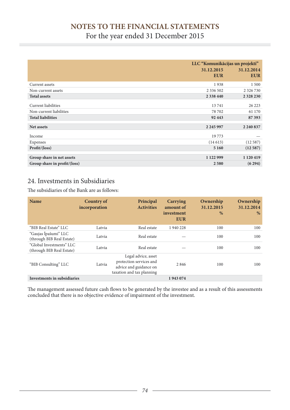|                              | LLC "Komunikācijas un projekti" |               |
|------------------------------|---------------------------------|---------------|
|                              | 31.12.2015                      | 31.12.2014    |
|                              | <b>EUR</b>                      | <b>EUR</b>    |
| Current assets               | 1938                            | 1 500         |
| Non-current assets           | 2 3 3 6 5 0 2                   | 2 3 2 6 7 3 0 |
| <b>Total assets</b>          | 2 3 3 8 4 4 0                   | 2 3 2 3 2 3 0 |
| Current liabilities          | 13741                           | 26 223        |
| Non-current liabilities      | 78 702                          | 61 170        |
| <b>Total liabilities</b>     | 92 4 43                         | 87 393        |
| Net assets                   | 2 2 4 5 9 9 7                   | 2 2 4 0 8 3 7 |
| Income                       | 19 773                          |               |
| Expenses                     | (14613)                         | (12587)       |
| Profit/(loss)                | 5 1 6 0                         | (12587)       |
|                              |                                 |               |
| Group share in net assets    | 1 1 2 2 9 9 9                   | 1 1 20 4 19   |
| Group share in profit/(loss) | 2 5 8 0                         | (6 294)       |

### 24. Investments in Subsidiaries

The subsidiaries of the Bank are as follows:

| <b>Name</b>                                           | <b>Country of</b><br>incorporation | Principal<br><b>Activities</b>                                                                        | <b>Carrying</b><br>amount of<br>investment<br><b>EUR</b> | Ownership<br>31.12.2015<br>$\%$ | Ownership<br>31.12.2014<br>$\%$ |
|-------------------------------------------------------|------------------------------------|-------------------------------------------------------------------------------------------------------|----------------------------------------------------------|---------------------------------|---------------------------------|
| "BIB Real Estate" LLC                                 | Latvia                             | Real estate                                                                                           | 1940228                                                  | 100                             | 100                             |
| "Gaujas Īpašumi" LLC<br>(through BIB Real Estate)     | Latvia                             | Real estate                                                                                           |                                                          | 100                             | 100                             |
| "Global Investments" LLC<br>(through BIB Real Estate) | Latvia                             | Real estate                                                                                           |                                                          | 100                             | 100                             |
| "BIB Consulting" LLC                                  | Latvia                             | Legal advice, asset<br>protection services and<br>advice and guidance on<br>taxation and tax planning | 2846                                                     | 100                             | 100                             |
| Investments in subsidiaries                           |                                    |                                                                                                       | 1943074                                                  |                                 |                                 |

The management assessed future cash flows to be generated by the investee and as a result of this assessments concluded that there is no objective evidence of impairment of the investment.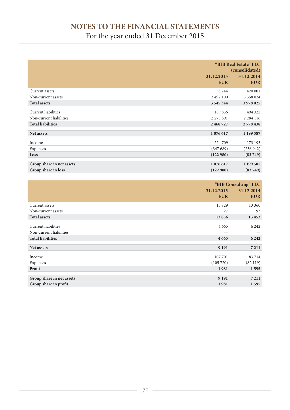|                           | "BIB Real Estate" LLC<br>(consolidated) |                          |  |
|---------------------------|-----------------------------------------|--------------------------|--|
|                           | 31.12.2015<br><b>EUR</b>                | 31.12.2014<br><b>EUR</b> |  |
| Current assets            | 53 244                                  | 420 001                  |  |
| Non-current assets        | 3 492 100                               | 3 5 5 8 0 2 4            |  |
| <b>Total assets</b>       | 3 5 4 5 3 4 4                           | 3978025                  |  |
| Current liabilities       | 189 836                                 | 494 322                  |  |
| Non-current liabilities   | 2 2 7 8 8 9 1                           | 2 2 8 4 1 1 6            |  |
| <b>Total liabilities</b>  | 2468727                                 | 2778438                  |  |
| Net assets                | 1076617                                 | 1 199 587                |  |
| Income                    | 224 709                                 | 173 193                  |  |
| Expenses                  | (347689)                                | (256942)                 |  |
| Loss                      | (122980)                                | (83749)                  |  |
| Group share in net assets | 1076617                                 | 1 199 587                |  |
| Group share in loss       | (122980)                                | (83749)                  |  |

|                           | "BIB Consulting" LLC |            |
|---------------------------|----------------------|------------|
|                           | 31.12.2015           | 31.12.2014 |
|                           | <b>EUR</b>           | <b>EUR</b> |
| Current assets            | 13829                | 13 360     |
| Non-current assets        | 27                   | 93         |
| <b>Total assets</b>       | 13856                | 13453      |
| Current liabilities       | 4 6 6 5              | 6 2 4 2    |
| Non-current liabilities   |                      |            |
| <b>Total liabilities</b>  | 4665                 | 6 2 4 2    |
| Net assets                | 9 1 9 1              | 7 2 1 1    |
| Income                    | 107 701              | 83714      |
| Expenses                  | (105 720)            | (82119)    |
| Profit                    | 1981                 | 1595       |
|                           |                      |            |
| Group share in net assets | 9 1 9 1              | 7211       |
| Group share in profit     | 1981                 | 1595       |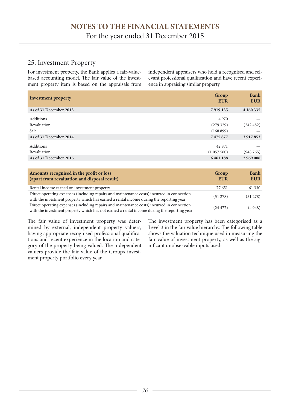### 25. Investment Property

For investment property, the Bank applies a fair-valuebased accounting model. The fair value of the investment property item is based on the appraisals from independent appraisers who hold a recognised and relevant professional qualification and have recent experience in appraising similar property.

| <b>Investment property</b> | Group<br><b>EUR</b> | <b>Bank</b><br><b>EUR</b> |
|----------------------------|---------------------|---------------------------|
| As of 31 December 2013     | 7919135             | 4 160 335                 |
| Additions                  | 4970                |                           |
| Revaluation                | (279329)            | (242 482)                 |
| Sale                       | (168899)            |                           |
| As of 31 December 2014     | 7475877             | 3 9 1 7 8 5 3             |
| Additions                  | 42 871              |                           |
| Revaluation                | (1057560)           | (948765)                  |
| As of 31 December 2015     | 6461188             | 2969088                   |

| Amounts recognised in the profit or loss<br>(apart from revaluation and disposal result)                                                                                                  | Group<br><b>EUR</b> | <b>Bank</b><br><b>EUR</b> |
|-------------------------------------------------------------------------------------------------------------------------------------------------------------------------------------------|---------------------|---------------------------|
| Rental income earned on investment property                                                                                                                                               | 77 651              | 61 330                    |
| Direct operating expenses (including repairs and maintenance costs) incurred in connection<br>with the investment property which has earned a rental income during the reporting year     | (51278)             | (51278)                   |
| Direct operating expenses (including repairs and maintenance costs) incurred in connection<br>with the investment property which has not earned a rental income during the reporting year | (24477)             | (4 948)                   |

The fair value of investment property was determined by external, independent property valuers, having appropriate recognised professional qualifications and recent experience in the location and category of the property being valued. The independent valuers provide the fair value of the Group's investment property portfolio every year.

The investment property has been categorised as a Level 3 in the fair value hierarchy. The following table shows the valuation technique used in measuring the fair value of investment property, as well as the significant unobservable inputs used: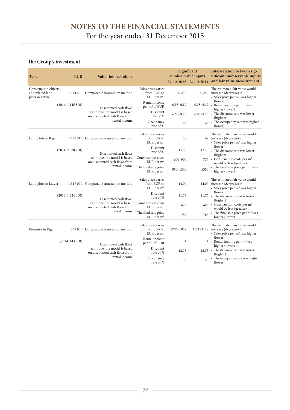#### **The Group's investment**

|                                                             |                 |                                                                |                                                               |                | Significant<br>Inter-relation between sig-<br>unobservable inputs |                                                                                                                  |
|-------------------------------------------------------------|-----------------|----------------------------------------------------------------|---------------------------------------------------------------|----------------|-------------------------------------------------------------------|------------------------------------------------------------------------------------------------------------------|
| <b>Type</b>                                                 | <b>EUR</b>      | <b>Valuation technique</b>                                     |                                                               |                | 31.12.2015 31.12.2014                                             | nificant unobservable inputs<br>and fair value measurement                                                       |
| Construction objects<br>and related land<br>plots in Latvia |                 | 1 144 500 Comparable transaction method                        | Sales price varies<br>from EUR to<br>$EUR$ per m <sup>2</sup> | 133-452        |                                                                   | The estimated fair value would<br>133–452 increase (decrease) if:<br>• Sales price per m <sup>2</sup> was higher |
|                                                             | (2014:1145800)  | Discounted cash flows                                          | Rental income<br>per $m2$ of EUR                              | $0.38 - 6.19$  |                                                                   | (lower)<br>0.38-6.19 • Rental income per m <sup>2</sup> was<br>higher (lower)                                    |
|                                                             |                 | technique: the model is based<br>on discounted cash flows from | Discount<br>rate of %                                         | $6.63 - 9.75$  |                                                                   | 6.63-9.75 • The discount rate was lower<br>(higher)                                                              |
|                                                             |                 | rental income                                                  | Occupancy<br>rate of %                                        | 90             | 90 <sup>°</sup>                                                   | • The occupancy rate was higher<br>(lower)                                                                       |
| Land plots in Riga                                          |                 | 1 145 315 Comparable transaction method                        | Sales price varies<br>from EUR to<br>$EUR$ per m <sup>2</sup> | 38             |                                                                   | The estimated fair value would<br>69 increase (decrease) if:<br>• Sales price per m <sup>2</sup> was higher      |
|                                                             | (2014:2088700)  | Discounted cash flows                                          | Discount<br>rate of %                                         | 15.00          |                                                                   | (lower)<br>12.25 • The discount rate was lower<br>(higher)                                                       |
|                                                             |                 | technique: the model is based<br>on discounted cash flows from | Construction costs<br>EUR per $m2$                            | 600-900        |                                                                   | 777 • Construction costs per m <sup>2</sup><br>would be less (greater)                                           |
|                                                             |                 | rental income                                                  | The final sale price<br>EUR per $m2$                          | 950-1300       | 1350                                                              | • The final sale price per $m2$ was<br>higher (lower)                                                            |
| Land plots in Latvia                                        |                 | 1 317 000 Comparable transaction method                        | Sales price varies<br>from EUR to<br>$EUR$ per m <sup>2</sup> | 14.00          | 14.00                                                             | The estimated fair value would<br>increase (decrease) if:<br>• Sales price per m <sup>2</sup> was higher         |
|                                                             | (2014:1324000)  | Discounted cash flows                                          | Discount<br>rate of %                                         | 11.75          |                                                                   | (lower)<br>11.75 • The discount rate was lower<br>(higher)                                                       |
|                                                             |                 | technique: the model is based<br>on discounted cash flows from | Construction costs<br>$EUR$ per m <sup>2</sup>                | 683            |                                                                   | 683 • Construction costs per $m2$<br>would be less (greater)                                                     |
|                                                             |                 | rental income                                                  | The final sale price<br>$EUR$ per m <sup>2</sup>              | 785            | 785                                                               | • The final sale price per $m2$ was<br>higher (lower)                                                            |
| Premises in Riga                                            |                 | 369 000 Comparable transaction method                          | Sales price varies<br>from EUR to<br>$EUR$ per m <sup>2</sup> | 1706-1839      | 2121-2128                                                         | The estimated fair value would<br>increase (decrease) if:<br>• Sales price per m <sup>2</sup> was higher         |
|                                                             | (2014: 443 000) | Discounted cash flows                                          | Rental income<br>per m <sup>2</sup> of EUR                    | $\overline{4}$ |                                                                   | (lower)<br>$4 \cdot$ Rental income per m <sup>2</sup> was                                                        |
|                                                             |                 | technique: the model is based<br>on discounted cash flows from | Discount<br>rate of %                                         | 12.75          |                                                                   | higher (lower)<br>12.75 • The discount rate was lower<br>(higher)                                                |
|                                                             |                 | rental income                                                  | Occupancy<br>rate of %                                        | 50             | 50                                                                | • The occupancy rate was higher<br>(lower)                                                                       |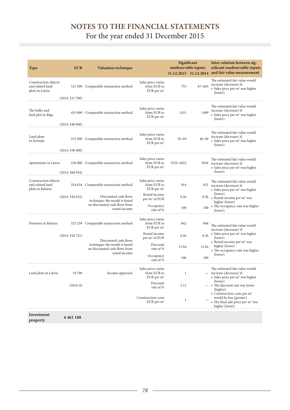| <b>Type</b>                                                  | <b>EUR</b>      | <b>Valuation technique</b>                                                              |                                                               |                                            |                       | Inter-relation between sig-<br>nificant unobservable inputs<br>and fair value measurement                                           |                                              |
|--------------------------------------------------------------|-----------------|-----------------------------------------------------------------------------------------|---------------------------------------------------------------|--------------------------------------------|-----------------------|-------------------------------------------------------------------------------------------------------------------------------------|----------------------------------------------|
|                                                              |                 |                                                                                         |                                                               |                                            | 31.12.2015 31.12.2014 |                                                                                                                                     |                                              |
| Construction objects<br>and related land<br>plots in Latvia  |                 | 521 500 Comparable transaction method                                                   | Sales price varies<br>from EUR to<br>EUR per $m2$             | 755                                        | $87 - 665$            | The estimated fair value would<br>increase (decrease) if:<br>• Sales price per $m2$ was higher<br>(lower)                           |                                              |
|                                                              | (2014: 515700)  |                                                                                         |                                                               |                                            |                       |                                                                                                                                     |                                              |
| The balks and<br>land plot in Riga                           | (2014:448000)   | 455 000 Comparable transaction method                                                   | Sales price varies<br>from EUR to<br>$EUR$ per m <sup>2</sup> | 1431                                       | 1409                  | The estimated fair value would<br>increase (decrease) if:<br>• Sales price per m <sup>2</sup> was higher<br>(lower)                 |                                              |
|                                                              |                 |                                                                                         |                                                               |                                            |                       |                                                                                                                                     |                                              |
| Land plots<br>in Jurmala                                     |                 | 553 900 Comparable transaction method                                                   | Sales price varies<br>from EUR to<br>$EUR$ per m <sup>2</sup> | $39 - 69$                                  | $40 - 69$             | The estimated fair value would<br>increase (decrease) if:<br>• Sales price per $m2$ was higher<br>(lower)                           |                                              |
|                                                              | (2014: 558 400) |                                                                                         |                                                               |                                            |                       |                                                                                                                                     |                                              |
| Apartments in Latvia                                         | (2014:268924)   | 256 000 Comparable transaction method                                                   | Sales price varies<br>from EUR to<br>$EUR$ per m <sup>2</sup> | 3529-4022                                  |                       | The estimated fair value would<br>3926 increase (decrease) if:<br>$\bullet$ Sales price per $m2$ was higher<br>(lower)              |                                              |
|                                                              |                 |                                                                                         |                                                               |                                            |                       |                                                                                                                                     |                                              |
| Construction objects<br>and related land<br>plots in Belarus |                 | 354 034 Comparable transaction method                                                   | Sales price varies<br>from EUR to<br>EUR per $m2$             | 914                                        |                       | The estimated fair value would<br>921 increase (decrease) if:<br>• Sales price per $m2$ was higher                                  |                                              |
|                                                              | (2014: 356 632) | Discounted cash flows<br>technique: the model is based<br>on discounted cash flows from | Rental income<br>per m <sup>2</sup> of EUR                    | 0.26                                       | 0.26                  | (lower)<br>• Rental income per $m2$ was<br>higher (lower)                                                                           |                                              |
|                                                              |                 | rental income                                                                           | Occupancy<br>rate of %                                        | 100                                        | 100                   | • The occupancy rate was higher<br>(lower)                                                                                          |                                              |
| Premises in Belarus                                          |                 | 325 239 Comparable transaction method                                                   | Sales price varies<br>from EUR to<br>$EUR$ per m <sup>2</sup> | 842                                        | 846                   | The estimated fair value would<br>increase (decrease) if:                                                                           |                                              |
|                                                              | (2014: 326721)  |                                                                                         | Discounted cash flows                                         | Rental income<br>per m <sup>2</sup> of EUR | 0.26                  | 0.26                                                                                                                                | • Sales price per $m2$ was higher<br>(lower) |
|                                                              |                 | technique: the model is based<br>on discounted cash flows from<br>rental income         | Discount<br>rate of %                                         | 13.94                                      | 13.94                 | • Rental income per $m2$ was<br>higher (lower)<br>• The occupancy rate was higher                                                   |                                              |
|                                                              |                 |                                                                                         | Occupancy<br>rate of %                                        | 100                                        | 100                   | (lower)                                                                                                                             |                                              |
| Land plots in Latvia                                         | 19 700          | Income approach                                                                         | Sales price varies<br>from EUR to<br>$EUR$ per m <sup>2</sup> | $\mathbf{1}$                               |                       | The estimated fair value would<br>- increase (decrease) if:<br>- Sales price per $\mathrm{m}^{2}$ was higher<br>(lower)             |                                              |
|                                                              | (2014:0)        | Discount<br>rate of %                                                                   |                                                               | 5.12                                       |                       | • The discount rate was lower<br>(higher)                                                                                           |                                              |
|                                                              |                 |                                                                                         | Construction costs<br>$EUR$ per m <sup>2</sup>                | $\mathbf{1}$                               |                       | $\bullet$ Construction costs per m <sup>2</sup><br>would be less (greater)<br>• The final sale price per $m2$ was<br>higher (lower) |                                              |
| Investment                                                   | (1, 100)        |                                                                                         |                                                               |                                            |                       |                                                                                                                                     |                                              |

**property**

**6 461 188**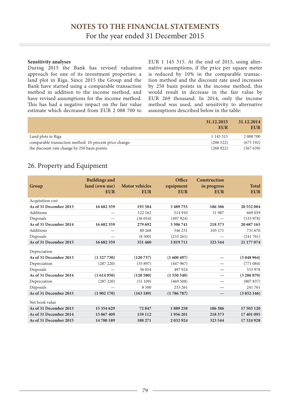#### **Sensitivity analyses**

During 2015 the Bank has revised valuation approach for one of its investment properties: a land plot in Riga. Since 2015 the Group and the Bank have started using a comparable transaction method in addition to the income method, and have revised assumptions for the income method. This has had a negative impact on the fair value estimate which decreased from EUR 2 088 700 to

EUR 1 145 315. At the end of 2015, using alternative assumptions, if the price per square meter is reduced by 10% in the comparable transaction method and the discount rate used increases by 250 basis points in the income method, this would result in decrease in the fair value by EUR 269 thousand. In 2014, only the income method was used, and sensitivity to alternative assumptions described below in the table:

|                                                         | 31.12.2015<br><b>EUR</b> | 31.12.2014<br><b>EUR</b> |
|---------------------------------------------------------|--------------------------|--------------------------|
| Land plots in Riga                                      | 1 145 315                | 2 088 700                |
| comparable transaction method: 10-percent price change: | (206522)                 | (675192)                 |
| the discount-rate change by 250 basis points:           | (268922)                 | (367 639)                |

### 26. Property and Equipment

| Group                  | <b>Buildings and</b><br>land (own use)<br><b>EUR</b> | <b>Motor vehicles</b><br><b>EUR</b> | Office<br>equipment<br><b>EUR</b> | <b>Construction</b><br>in progress<br><b>EUR</b> | <b>Total</b><br><b>EUR</b> |
|------------------------|------------------------------------------------------|-------------------------------------|-----------------------------------|--------------------------------------------------|----------------------------|
| Acquisition cost       |                                                      |                                     |                                   |                                                  |                            |
| As of 31 December 2013 | 16 682 359                                           | 193 584                             | 3 489 755                         | 186386                                           | 20 552 084                 |
| Additions              |                                                      | 122 162                             | 514910                            | 31 987                                           | 669 059                    |
| Disposals              |                                                      | (36054)                             | (497924)                          |                                                  | (533978)                   |
| As of 31 December 2014 | 16 682 359                                           | 279 692                             | 3506741                           | 218 373                                          | 20 687 165                 |
| Additions              |                                                      | 80 268                              | 546 231                           | 105 171                                          | 731 670                    |
| Disposals              |                                                      | (8500)                              | (233 261)                         |                                                  | (241761)                   |
| As of 31 December 2015 | 16 682 359                                           | 351 460                             | 3819711                           | 323 544                                          | 21 177 074                 |
| Depreciation           |                                                      |                                     |                                   |                                                  |                            |
| As of 31 December 2013 | (1327730)                                            | (120737)                            | (1600497)                         |                                                  | (3048964)                  |
| Depreciation           | (287 220)                                            | (35897)                             | (447967)                          |                                                  | (771084)                   |
| Disposals              |                                                      | 36 054                              | 497924                            |                                                  | 533 978                    |
| As of 31 December 2014 | (1614950)                                            | (120 580)                           | (1550540)                         |                                                  | (3286070)                  |
| Depreciation           | (287 220)                                            | (51109)                             | (469508)                          |                                                  | (807837)                   |
| Disposals              |                                                      | 8 500                               | 233 261                           |                                                  | 241761                     |
| As of 31 December 2015 | (1902170)                                            | (163189)                            | (1786787)                         |                                                  | (3852146)                  |
| Net book value         |                                                      |                                     |                                   |                                                  |                            |
| As of 31 December 2013 | 15 354 629                                           | 72847                               | 1889258                           | 186386                                           | 17 503 120                 |
| As of 31 December 2014 | 15 067 409                                           | 159 112                             | 1956201                           | 218 373                                          | 17401095                   |
| As of 31 December 2015 | 14780189                                             | 188 271                             | 2032924                           | 323 544                                          | 17 324 928                 |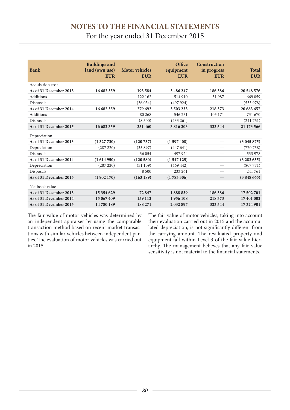| <b>Bank</b>            | <b>Buildings and</b><br>land (own use)<br><b>EUR</b> | <b>Motor vehicles</b><br><b>EUR</b> | Office<br>equipment<br><b>EUR</b> | <b>Construction</b><br>in progress<br><b>EUR</b> | <b>Total</b><br><b>EUR</b> |
|------------------------|------------------------------------------------------|-------------------------------------|-----------------------------------|--------------------------------------------------|----------------------------|
| Acquisition cost       |                                                      |                                     |                                   |                                                  |                            |
| As of 31 December 2013 | 16 682 359                                           | 193 584                             | 3 486 247                         | 186 386                                          | 20 548 576                 |
| Additions              |                                                      | 122 162                             | 514910                            | 31 987                                           | 669 059                    |
| Disposals              |                                                      | (36054)                             | (497924)                          |                                                  | (533978)                   |
| As of 31 December 2014 | 16 682 359                                           | 279 692                             | 3503233                           | 218 373                                          | 20 683 657                 |
| Additions              |                                                      | 80 268                              | 546 231                           | 105 171                                          | 731 670                    |
| Disposals              |                                                      | (8500)                              | (233 261)                         |                                                  | (241761)                   |
| As of 31 December 2015 | 16 682 359                                           | 351 460                             | 3816203                           | 323 544                                          | 21 173 566                 |
| Depreciation           |                                                      |                                     |                                   |                                                  |                            |
| As of 31 December 2013 | (1327730)                                            | (120737)                            | (1597408)                         |                                                  | (3045875)                  |
| Depreciation           | (287 220)                                            | (35897)                             | (447641)                          |                                                  | (770758)                   |
| Disposals              |                                                      | 36 054                              | 497924                            |                                                  | 533 978                    |
| As of 31 December 2014 | (1614950)                                            | (120 580)                           | (1547125)                         |                                                  | (3282655)                  |
| Depreciation           | (287 220)                                            | (51109)                             | (469 442)                         |                                                  | (807771)                   |
| Disposals              |                                                      | 8 500                               | 233 261                           |                                                  | 241761                     |
| As of 31 December 2015 | (1902170)                                            | (163189)                            | (1783306)                         |                                                  | (3848665)                  |
| Net book value         |                                                      |                                     |                                   |                                                  |                            |
| As of 31 December 2013 | 15 354 629                                           | 72847                               | 1888839                           | 186386                                           | 17 502 701                 |
| As of 31 December 2014 | 15 067 409                                           | 159 112                             | 1956108                           | 218 373                                          | 17401002                   |
| As of 31 December 2015 | 14780189                                             | 188 271                             | 2032897                           | 323 544                                          | 17 324 901                 |

The fair value of motor vehicles was determined by an independent appraiser by using the comparable transaction method based on recent market transactions with similar vehicles between independent parties. The evaluation of motor vehicles was carried out in 2015.

The fair value of motor vehicles, taking into account their evaluation carried out in 2015 and the accumulated depreciation, is not significantly different from the carrying amount. The revaluated property and equipment fall within Level 3 of the fair value hierarchy. The management believes that any fair value sensitivity is not material to the financial statements.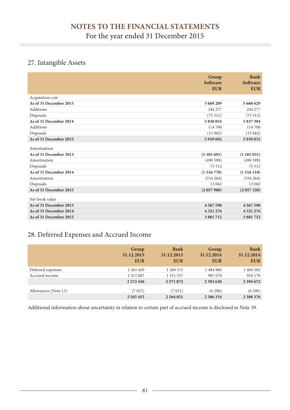### 27. Intangible Assets

|                        | Group<br><b>Software</b> | <b>Bank</b><br><b>Software</b> |
|------------------------|--------------------------|--------------------------------|
|                        | <b>EUR</b>               | <b>EUR</b>                     |
| Acquisition cost       |                          |                                |
| As of 31 December 2013 | 5 669 289                | 5 668 629                      |
| Additions              | 244 277                  | 244 277                        |
| Disposals              | (75512)                  | (75512)                        |
| As of 31 December 2014 | 5838054                  | 5837394                        |
| Additions              | 114 700                  | 114 700                        |
| Disposals              | (13062)                  | (13062)                        |
| As of 31 December 2015 | 5939692                  | 5939032                        |
| Amortisation           |                          |                                |
| As of 31 December 2013 | (1101691)                | (1101031)                      |
| Amortisation           | (490599)                 | (490 599)                      |
| Disposals              | 75 512                   | 75 512                         |
| As of 31 December 2014 | (1516778)                | (1516118)                      |
| Amortisation           | (554264)                 | (554 264)                      |
| Disposals              | 13 062                   | 13 062                         |
| As of 31 December 2015 | (2057980)                | (2057320)                      |
| Net book value         |                          |                                |
| As of 31 December 2013 | 4567598                  | 4567598                        |
| As of 31 December 2014 | 4 3 21 2 7 6             | 4 3 2 1 2 7 6                  |
| As of 31 December 2015 | 3881712                  | 3881712                        |

### 28. Deferred Expenses and Accrued Income

|                      | Group<br>31.12.2015<br><b>EUR</b> | <b>Bank</b><br>31.12.2015<br><b>EUR</b> | Group<br>31.12.2014<br><b>EUR</b> | <b>Bank</b><br>31.12.2014<br><b>EUR</b> |
|----------------------|-----------------------------------|-----------------------------------------|-----------------------------------|-----------------------------------------|
| Deferred expenses    | 1 261 429                         | 1 260 315                               | 1 484 960                         | 1 484 502                               |
| Accrued income       | 1 3 1 1 0 0 7                     | 1 3 1 1 5 5 7                           | 907 670                           | 910 170                                 |
|                      | 2 572 436                         | 2 5 7 1 8 7 2                           | 2 3 9 2 6 3 0                     | 2 3 9 4 6 7 2                           |
| Allowances (Note 13) | (7 021)                           | (7 021)                                 | (6296)                            | (6296)                                  |
|                      | 2 5 6 5 4 1 5                     | 2 5 6 4 8 5 1                           | 2 3 8 6 3 3 4                     | 2 3 8 3 3 7 6                           |

Additional information about uncertainty in relation to certain part of accrued income is disclosed in Note 39.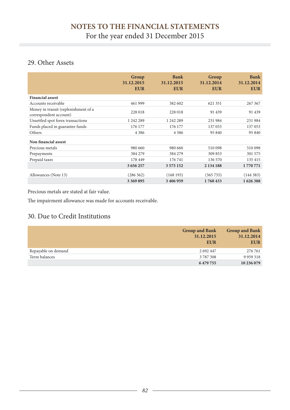### 29. Other Assets

|                                                                | Group<br>31.12.2015<br><b>EUR</b> | <b>Bank</b><br>31.12.2015<br><b>EUR</b> | Group<br>31.12.2014<br><b>EUR</b> | <b>Bank</b><br>31.12.2014<br><b>EUR</b> |
|----------------------------------------------------------------|-----------------------------------|-----------------------------------------|-----------------------------------|-----------------------------------------|
| <b>Financial assest</b>                                        |                                   |                                         |                                   |                                         |
| Accounts receivable                                            | 461 999                           | 382 602                                 | 621 351                           | 267 367                                 |
| Money in transit (replenishment of a<br>correspondent account) | 228 018                           | 228 018                                 | 91 439                            | 91 439                                  |
| Unsettled spot forex transactions                              | 1 242 289                         | 1 242 289                               | 231 984                           | 231984                                  |
| Funds placed in guarantee funds                                | 176 177                           | 176 177                                 | 137 053                           | 137 053                                 |
| Others                                                         | 4 3 8 6                           | 4 3 8 6                                 | 95 840                            | 95 840                                  |
| Non financial assest                                           |                                   |                                         |                                   |                                         |
| Precious metals                                                | 980 660                           | 980 660                                 | 510098                            | 510 098                                 |
| Prepayments                                                    | 384 279                           | 384 279                                 | 309 853                           | 301 575                                 |
| Prepaid taxes                                                  | 178 449                           | 176741                                  | 136 570                           | 135 415                                 |
|                                                                | 3 656 257                         | 3 5 7 5 1 5 2                           | 2 134 188                         | 1770771                                 |
| Allowances (Note 13)                                           | (286 362)<br>3 3 6 9 8 9 5        | (168193)<br>3 406 959                   | (365 755)<br>1768433              | (144383)<br>1626388                     |
|                                                                |                                   |                                         |                                   |                                         |

Precious metals are stated at fair value.

The impairment allowance was made for accounts receivable.

### 30. Due to Credit Institutions

|                     | <b>Group and Bank</b><br>31.12.2015<br><b>EUR</b> | <b>Group and Bank</b><br>31.12.2014<br><b>EUR</b> |
|---------------------|---------------------------------------------------|---------------------------------------------------|
| Repayable on demand | 2 692 447                                         | 276 761                                           |
| Term balances       | 3787308                                           | 9 9 5 9 3 1 8                                     |
|                     | 6479755                                           | 10 236 079                                        |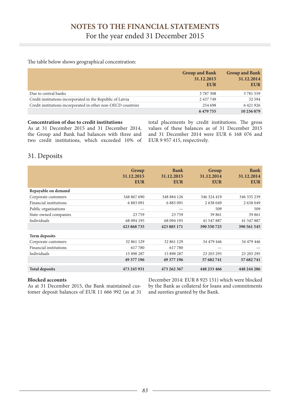The table below shows geographical concentration:

|                                                              | <b>Group and Bank</b><br>31.12.2015<br><b>EUR</b> | <b>Group and Bank</b><br>31.12.2014<br><b>EUR</b> |
|--------------------------------------------------------------|---------------------------------------------------|---------------------------------------------------|
| Due to central banks                                         | 3787308                                           | 3781559                                           |
| Credit institutions incorporated in the Republic of Latvia   | 2 437 749                                         | 32 5 9 4                                          |
| Credit institutions incorporated in other non-OECD countries | 254 698                                           | 6421926                                           |
|                                                              | 6479755                                           | 10 236 079                                        |

#### **Concentration of due to credit institutions**

As at 31 December 2015 and 31 December 2014, the Group and Bank had balances with three and two credit institutions, which exceeded 10% of total placements by credit institutions. The gross values of these balances as of 31 December 2015 and 31 December 2014 were EUR 6 168 076 and EUR 9 957 415, respectively.

### 31. Deposits

|                        | Group<br>31.12.2015<br><b>EUR</b> | <b>Bank</b><br>31.12.2015<br><b>EUR</b> | Group<br>31.12.2014<br><b>EUR</b> | <b>Bank</b><br>31.12.2014<br><b>EUR</b> |
|------------------------|-----------------------------------|-----------------------------------------|-----------------------------------|-----------------------------------------|
| Repayable on demand    |                                   |                                         |                                   |                                         |
| Corporate customers    | 348 867 690                       | 348 884 126                             | 346 324 419                       | 346 335 239                             |
| Financial institutions | 6 883 091                         | 6 8 8 3 0 9 1                           | 2 638 049                         | 2638049                                 |
| Public organisations   |                                   |                                         | 509                               | 509                                     |
| State-owned companies  | 23 7 59                           | 23 7 59                                 | 39 861                            | 39 861                                  |
| Individuals            | 68 094 195                        | 68 094 195                              | 41 547 887                        | 41 547 887                              |
|                        | 423 868 735                       | 423 885 171                             | 390 550 725                       | 390 561 545                             |
| Term deposits          |                                   |                                         |                                   |                                         |
| Corporate customers    | 32 861 129                        | 32 861 129                              | 34 479 446                        | 34 479 446                              |
| Financial institutions | 617780                            | 617780                                  |                                   |                                         |
| Individuals            | 15 898 287                        | 15 898 287                              | 23 203 295                        | 23 203 295                              |
|                        | 49 377 196                        | 49 377 196                              | 57 682 741                        | 57 682 741                              |
| <b>Total deposits</b>  | 473 245 931                       | 473 262 367                             | 448 233 466                       | 448 244 286                             |

#### **Blocked accounts**

As at 31 December 2015, the Bank maintained customer deposit balances of EUR 11 666 992 (as at 31

December 2014: EUR 8 925 151) which were blocked by the Bank as collateral for loans and commitments and sureties granted by the Bank.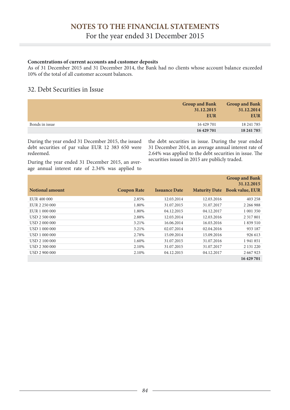#### **Concentrations of current accounts and customer deposits**

As of 31 December 2015 and 31 December 2014, the Bank had no clients whose account balance exceeded 10% of the total of all customer account balances.

### 32. Debt Securities in Issue

| <b>Group and Bank</b><br>31.12.2015 | <b>Group and Bank</b><br>31.12.2014<br><b>EUR</b><br><b>EUR</b> |
|-------------------------------------|-----------------------------------------------------------------|
| Bonds in issue<br>16 429 701        | 18 241 785                                                      |
| 16 429 701                          | 18 241 785                                                      |

During the year ended 31 December 2015, the issued debt securities of par value EUR 12 383 650 were redeemed.

the debt securities in issue. During the year ended 31 December 2014, an average annual interest rate of 2.64% was applied to the debt securities in issue. The securities issued in 2015 are publicly traded.

During the year ended 31 December 2015, an average annual interest rate of 2.34% was applied to

| <b>Notional amount</b> | <b>Coupon Rate</b> | <b>Issuance Date</b> | <b>Maturity Date</b> | <b>Group and Bank</b><br>31.12.2015<br><b>Book value, EUR</b> |
|------------------------|--------------------|----------------------|----------------------|---------------------------------------------------------------|
|                        |                    |                      |                      |                                                               |
| EUR 400 000            | 2.85%              | 12.03.2014           | 12.03.2016           | 403 258                                                       |
| EUR 2 250 000          | 1.80%              | 31.07.2015           | 31.07.2017           | 2 2 6 9 9 8 8                                                 |
| EUR 1 000 000          | 1.80%              | 04.12.2015           | 04.12.2017           | 1 001 350                                                     |
| USD 2 500 000          | 2.88%              | 12.03.2014           | 12.03.2016           | 2 3 1 7 8 0 1                                                 |
| USD 2 000 000          | 3.21%              | 16.06.2014           | 16.03.2016           | 1839510                                                       |
| <b>USD 1 000 000</b>   | 3.21%              | 02.07.2014           | 02.04.2016           | 933 187                                                       |
| <b>USD 1 000 000</b>   | 2.78%              | 15.09.2014           | 15.09.2016           | 926 613                                                       |
| USD 2 100 000          | 1.60%              | 31.07.2015           | 31.07.2016           | 1941851                                                       |
| USD 2 300 000          | 2.10%              | 31.07.2015           | 31.07.2017           | 2 131 220                                                     |
| USD 2 900 000          | 2.10%              | 04.12.2015           | 04.12.2017           | 2 667 923                                                     |
|                        |                    |                      |                      | 16 429 701                                                    |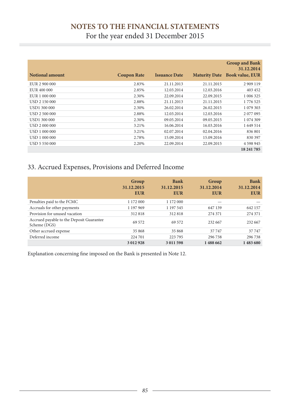| <b>Notional amount</b> | <b>Coupon Rate</b> | <b>Issuance Date</b> | <b>Maturity Date</b> | <b>Group and Bank</b><br>31.12.2014<br><b>Book value, EUR</b> |
|------------------------|--------------------|----------------------|----------------------|---------------------------------------------------------------|
| EUR 2 900 000          | 2.83%              | 21.11.2013           | 21.11.2015           | 2 909 119                                                     |
| EUR 400 000            | 2.85%              | 12.03.2014           | 12.03.2016           | 403 452                                                       |
| EUR 1 000 000          | 2.30%              | 22.09.2014           | 22.09.2015           | 1 006 325                                                     |
| USD 2 150 000          | 2.88%              | 21.11.2013           | 21.11.2015           | 1776 525                                                      |
| USD1 300 000           | 2.30%              | 26.02.2014           | 26.02.2015           | 1 079 303                                                     |
| <b>USD 2 500 000</b>   | 2.88%              | 12.03.2014           | 12.03.2016           | 2077095                                                       |
| USD1 300 000           | 2.30%              | 09.05.2014           | 09.05.2015           | 1 0 7 4 3 0 9                                                 |
| USD 2 000 000          | 3.21%              | 16.06.2014           | 16.03.2016           | 1 649 514                                                     |
| USD 1 000 000          | 3.21%              | 02.07.2014           | 02.04.2016           | 836 801                                                       |
| USD 1 000 000          | 2.78%              | 15.09.2014           | 15.09.2016           | 830 397                                                       |
| USD 5 550 000          | 2.20%              | 22.09.2014           | 22.09.2015           | 4 5 9 9 9 4 5                                                 |
|                        |                    |                      |                      | 18 241 785                                                    |

### 33. Accrued Expenses, Provisions and Deferred Income

|                                                          | Group<br>31.12.2015<br><b>EUR</b> | <b>Bank</b><br>31.12.2015<br><b>EUR</b> | Group<br>31.12.2014<br><b>EUR</b> | <b>Bank</b><br>31.12.2014<br><b>EUR</b> |
|----------------------------------------------------------|-----------------------------------|-----------------------------------------|-----------------------------------|-----------------------------------------|
| Penalties paid to the FCMC                               | 1 172 000                         | 1 172 000                               |                                   |                                         |
| Accruals for other payments                              | 1 197 969                         | 1 197 545                               | 647 139                           | 642 157                                 |
| Provision for unused vacation                            | 312818                            | 312818                                  | 274 371                           | 274 371                                 |
| Accrued payable to the Deposit Guarantee<br>Scheme (DGS) | 69 572                            | 69 572                                  | 232 667                           | 232 667                                 |
| Other accrued expense                                    | 35 868                            | 35 868                                  | 37 747                            | 37 747                                  |
| Deferred income                                          | 224 701                           | 223 795                                 | 296738                            | 296 738                                 |
|                                                          | 3 012 928                         | 3 011 598                               | 1488662                           | 1483680                                 |

Explanation concerning fine imposed on the Bank is presented in Note 12.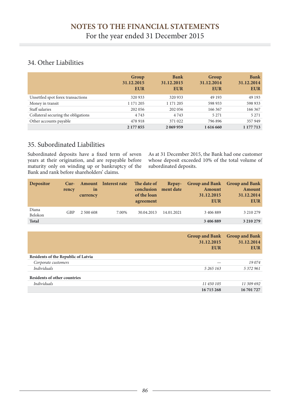### 34. Other Liabilities

|                                     | Group<br>31.12.2015<br><b>EUR</b> | <b>Bank</b><br>31.12.2015<br><b>EUR</b> | Group<br>31.12.2014<br><b>EUR</b> | <b>Bank</b><br>31.12.2014<br><b>EUR</b> |
|-------------------------------------|-----------------------------------|-----------------------------------------|-----------------------------------|-----------------------------------------|
| Unsettled spot forex transactions   | 320 933                           | 320 933                                 | 49 193                            | 49 193                                  |
| Money in transit                    | 1 171 205                         | 1 171 205                               | 598 933                           | 598 933                                 |
| Staff salaries                      | 202 056                           | 202 056                                 | 166 367                           | 166 367                                 |
| Collateral securing the obligations | 4 7 4 3                           | 4 7 4 3                                 | 5 2 7 1                           | 5 2 7 1                                 |
| Other accounts payable              | 478 918                           | 371 022                                 | 796896                            | 357 949                                 |
|                                     | 2 177 855                         | 2 069 959                               | 1616660                           | 1 177 713                               |

### 35. Subordinated Liabilities

Subordinated deposits have a fixed term of seven years at their origination, and are repayable before maturity only on winding up or bankruptcy of the Bank and rank before shareholders' claims.

As at 31 December 2015, the Bank had one customer whose deposit exceeded 10% of the total volume of subordinated deposits.

| <b>Depositor</b> | $Cur-$<br>rency | in<br>currency | <b>Amount</b> Interest rate | The date of<br>conclusion ment date<br>of the loan<br>agreement | Repay-     | Amount<br>31.12.2015<br><b>EUR</b> | Group and Bank Group and Bank<br>Amount<br>31.12.2014<br><b>EUR</b> |
|------------------|-----------------|----------------|-----------------------------|-----------------------------------------------------------------|------------|------------------------------------|---------------------------------------------------------------------|
| Diana<br>Belokon | <b>GBP</b>      | 2 500 608      | 7.00%                       | 30.04.2013                                                      | 14.01.2021 | 3 406 889                          | 3 210 279                                                           |
| <b>Total</b>     |                 |                |                             |                                                                 |            | 3 406 889                          | 3 2 10 2 79                                                         |

|                                     | 31.12.2015<br><b>EUR</b> | Group and Bank Group and Bank<br>31.12.2014<br><b>EUR</b> |
|-------------------------------------|--------------------------|-----------------------------------------------------------|
| Residents of the Republic of Latvia |                          |                                                           |
| Corporate customers                 |                          | 19074                                                     |
| <i>Individuals</i>                  | 5 265 163                | 5 372 961                                                 |
| <b>Residents of other countries</b> |                          |                                                           |
| Individuals                         | 11 450 105               | 11 309 692                                                |
|                                     | 16 715 268               | 16 701 727                                                |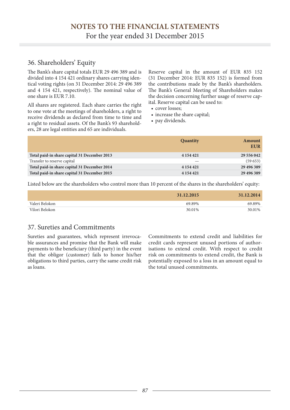### 36. Shareholders' Equity

The Вank's share capital totals EUR 29 496 389 and is divided into 4 154 421 ordinary shares carrying identical voting rights (оn 31 December 2014: 29 496 389 and 4 154 421, respectively). The nominal value of one share is EUR 7.10.

All shares are registered. Each share carries the right to one vote at the meetings of shareholders, a right to receive dividends as declared from time to time and a right to residual assets. Of the Bank's 93 shareholders, 28 are legal entities and 65 are individuals.

Reserve capital in the amount of EUR 835 152 (31 December 2014: EUR 835 152) is formed from the contributions made by the Bank's shareholders. The Bank's General Meeting of Shareholders makes the decision concerning further usage of reserve capital. Reserve capital can be used to:

- cover losses;
- increase the share capital;
- pay dividends.

|                                              | Quantity      | Amount<br><b>EUR</b> |
|----------------------------------------------|---------------|----------------------|
| Total paid-in share capital 31 December 2013 | 4 1 5 4 4 2 1 | 29 556 042           |
| Transfer to reserve capital                  |               | (59653)              |
| Total paid-in share capital 31 December 2014 | 4 1 5 4 4 2 1 | 29 496 389           |
| Total paid-in share capital 31 December 2015 | 4 1 5 4 4 2 1 | 29 496 389           |

Listed below are the shareholders who control more than 10 percent of the shares in the shareholders' equity:

|                | 31.12.2015 | 31.12.2014 |
|----------------|------------|------------|
| Valeri Belokon | 69.89%     | 69.89%     |
| Vilori Belokon | 30.01%     | 30.01%     |

### 37. Sureties and Commitments

Sureties and guarantees, which represent irrevocable assurances and promise that the Bank will make payments to the beneficiary (third party) in the event that the obligor (customer) fails to honor his/her obligations to third parties, carry the same credit risk as loans.

Commitments to extend credit and liabilities for credit cards represent unused portions of authorisations to extend credit. With respect to credit risk on commitments to extend credit, the Bank is potentially exposed to a loss in an amount equal to the total unused commitments.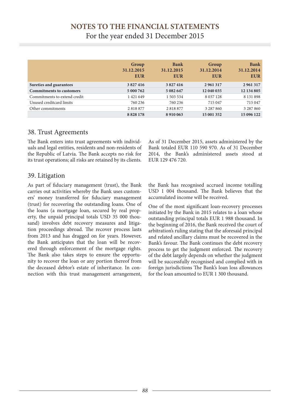|                                 | Group<br>31.12.2015<br><b>EUR</b> | <b>Bank</b><br>31.12.2015<br><b>EUR</b> | Group<br>31.12.2014<br><b>EUR</b> | <b>Bank</b><br>31.12.2014<br><b>EUR</b> |
|---------------------------------|-----------------------------------|-----------------------------------------|-----------------------------------|-----------------------------------------|
| Sureties and guarantees         | 3 827 416                         | 3827416                                 | 2961317                           | 2961317                                 |
| <b>Commitments to customers</b> | 5 000 762                         | 5 082 647                               | 12 040 035                        | 12 134 805                              |
| Commitments to extend credit    | 1 421 649                         | 1 503 534                               | 8 0 3 7 1 2 8                     | 8 131 8 98                              |
| Unused creditcard limits        | 760 236                           | 760 236                                 | 715 047                           | 715 047                                 |
| Other commitments               | 2818877                           | 2818877                                 | 3 287 860                         | 3 287 860                               |
|                                 | 8 8 28 1 78                       | 8910063                                 | 15 001 352                        | 15 096 122                              |

#### 38. Trust Agreements

The Bank enters into trust agreements with individuals and legal entities, residents and non-residents of the Republic of Latvia. The Bank accepts no risk for its trust operations; all risks are retained by its clients. As of 31 December 2015, assets administered by the Bank totaled EUR 110 590 970. As of 31 December 2014, the Bank's administered assets stood at EUR 129 476 720.

#### 39. Litigation

As part of fiduciary management (trust), the Bank carries out activities whereby the Bank uses customers' money transferred for fiduciary management (trust) for recovering the outstanding loans. One of the loans (a mortgage loan, secured by real property, the unpaid principal totals USD 35 000 thousand) involves debt recovery measures and litigation proceedings abroad. The recover process lasts from 2013 and has dragged on for years. However, the Bank anticipates that the loan will be recovered through enforcement of the mortgage rights. The Bank also takes steps to ensure the opportunity to recover the loan or any portion thereof from the deceased debtor's estate of inheritance. In connection with this trust management arrangement, the Bank has recognised accrued income totalling USD 1 004 thousand. The Bank believes that the accumulated income will be received.

One of the most significant loan-recovery processes initiated by the Bank in 2015 relates to a loan whose outstanding principal totals EUR 1 988 thousand. In the beginning of 2016, the Bank received the court of arbitration's ruling stating that the aforesaid principal and related ancillary claims must be recovered in the Bank's favour. The Bank continues the debt recovery process to get the judgment enforced. The recovery of the debt largely depends on whether the judgment will be successfully recognised and complied with in foreign jurisdictions The Bank's loan loss allowances for the loan amounted to EUR 1 300 thousand.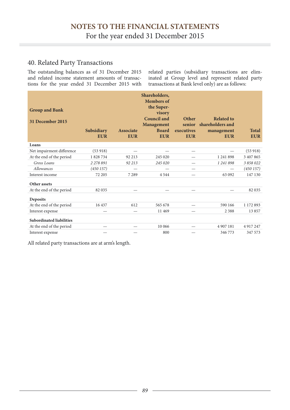### 40. Related Party Transactions

The outstanding balances as of 31 December 2015 and related income statement amounts of transactions for the year ended 31 December 2015 with related parties (subsidiary transactions are eliminated at Group level and represent related party transactions at Bank level only) are as follows:

| <b>Group and Bank</b><br>31 December 2015 | <b>Subsidiary</b><br><b>EUR</b> | <b>Associate</b><br><b>EUR</b> | Shareholders,<br><b>Members</b> of<br>the Super-<br>visory<br><b>Council and</b><br><b>Management</b><br><b>Board</b><br><b>EUR</b> | Other<br>executives<br><b>EUR</b> | <b>Related to</b><br>senior shareholders and<br>management<br><b>EUR</b> | <b>Total</b><br><b>EUR</b> |
|-------------------------------------------|---------------------------------|--------------------------------|-------------------------------------------------------------------------------------------------------------------------------------|-----------------------------------|--------------------------------------------------------------------------|----------------------------|
| Loans                                     |                                 |                                |                                                                                                                                     |                                   |                                                                          |                            |
| Net impairment difference                 | (53918)                         |                                |                                                                                                                                     |                                   |                                                                          | (53918)                    |
| At the end of the period                  | 1828734                         | 92 213                         | 245 020                                                                                                                             |                                   | 1 241 898                                                                | 3 407 865                  |
| Gross Loans                               | 2 278 891                       | 92 213                         | 245 020                                                                                                                             |                                   | 1 241 898                                                                | 3 858 022                  |
| Allowances                                | (450157)                        |                                |                                                                                                                                     |                                   |                                                                          | (450157)                   |
| Interest income                           | 72 205                          | 7 2 8 9                        | 4 5 4 4                                                                                                                             |                                   | 63 0 92                                                                  | 147 130                    |
| Other assets                              |                                 |                                |                                                                                                                                     |                                   |                                                                          |                            |
| At the end of the period                  | 82 035                          |                                |                                                                                                                                     |                                   |                                                                          | 82 035                     |
| Deposits                                  |                                 |                                |                                                                                                                                     |                                   |                                                                          |                            |
| At the end of the period                  | 16 437                          | 612                            | 565 678                                                                                                                             |                                   | 590 166                                                                  | 1 172 893                  |
| Interest expense                          |                                 |                                | 11 4 69                                                                                                                             |                                   | 2 3 8 8                                                                  | 13857                      |
| <b>Subordinated liabilities</b>           |                                 |                                |                                                                                                                                     |                                   |                                                                          |                            |
| At the end of the period                  |                                 |                                | 10 066                                                                                                                              |                                   | 4 907 181                                                                | 4917247                    |
| Interest expense                          |                                 |                                | 800                                                                                                                                 |                                   | 346 773                                                                  | 347 573                    |

All related party transactions are at arm's length.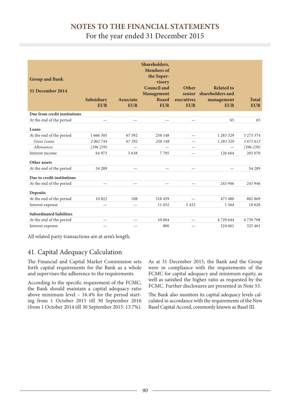| <b>Group and Bank</b><br>31 December 2014 | Subsidiary<br><b>EUR</b> | <b>Associate</b><br><b>EUR</b> | Shareholders,<br><b>Members</b> of<br>the Super-<br>visory<br><b>Council and</b><br>Management<br><b>Board</b><br><b>EUR</b> | Other<br>executives<br><b>EUR</b> | <b>Related to</b><br>senior shareholders and<br>management<br><b>EUR</b> | <b>Total</b><br><b>EUR</b> |
|-------------------------------------------|--------------------------|--------------------------------|------------------------------------------------------------------------------------------------------------------------------|-----------------------------------|--------------------------------------------------------------------------|----------------------------|
| Due from credit institutions              |                          |                                |                                                                                                                              |                                   |                                                                          |                            |
| At the end of the period                  |                          |                                |                                                                                                                              |                                   | 65                                                                       | 65                         |
| Loans                                     |                          |                                |                                                                                                                              |                                   |                                                                          |                            |
| At the end of the period                  | 1 666 505                | 67392                          | 258 148                                                                                                                      |                                   | 1 283 329                                                                | 3 275 374                  |
| Gross Loans                               | 2 062 744                | 67392                          | 258 148                                                                                                                      | $\overline{\phantom{0}}$          | 1 283 329                                                                | 3 671 613                  |
| Allowances                                | (396 239)                |                                |                                                                                                                              |                                   |                                                                          | (396 239)                  |
| Interest income                           | 64 973                   | 5 6 3 8                        | 7795                                                                                                                         |                                   | 126 664                                                                  | 205 070                    |
| Other assets                              |                          |                                |                                                                                                                              |                                   |                                                                          |                            |
| At the end of the period                  | 54 289                   |                                |                                                                                                                              |                                   |                                                                          | 54 28 9                    |
| Due to credit institutions                |                          |                                |                                                                                                                              |                                   |                                                                          |                            |
| At the end of the period                  |                          |                                |                                                                                                                              |                                   | 243 946                                                                  | 243 946                    |
| Deposits                                  |                          |                                |                                                                                                                              |                                   |                                                                          |                            |
| At the end of the period                  | 10822                    | 108                            | 318 459                                                                                                                      |                                   | 473 480                                                                  | 802 869                    |
| Interest expense                          |                          |                                | 11 0 32                                                                                                                      | 5432                              | 1 5 6 4                                                                  | 18 0 28                    |
| <b>Subordinated liabilities</b>           |                          |                                |                                                                                                                              |                                   |                                                                          |                            |
| At the end of the period                  |                          |                                | 10 064                                                                                                                       |                                   | 4729644                                                                  | 4739708                    |
| Interest expense                          |                          |                                | 800                                                                                                                          |                                   | 324 661                                                                  | 325 461                    |

All related party transactions are at arm's length.

### 41. Capital Adequacy Calculation

The Financial and Capital Market Commission sets forth capital requirements for the Bank as a whole and supervises the adherence to the requirements.

Аccording to the specific requirement of the FCMC, the Bank should maintain a capital adequacy ratio above minimum level – 16.4% for the period starting from 1 Оctober 2015 till 30 September 2016 (from 1 Оctober 2014 till 30 September 2015: 13.7%). As at 31 December 2015, the Bank and the Group were in compliance with the requirements of the FCMC for capital adequacy and minimum equity, as well as satisfied the higher ratio as requested by the FCMC. Further disclosures are presented in Note 53.

The Bank also monitors its capital adequacy levels calculated in accordance with the requirements of the New Basel Capital Accord, commonly known as Basel III.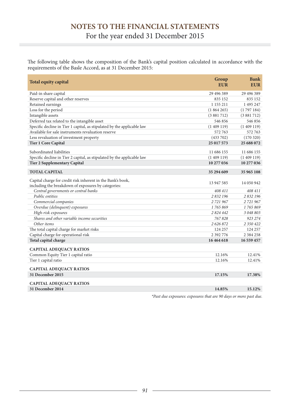The following table shows the composition of the Bank's capital position calculated in accordance with the requirements of the Basle Accord, as at 31 December 2015:

| <b>Total equity capital</b>                                                                                        | Group<br><b>EUR</b> | <b>Bank</b><br><b>EUR</b> |
|--------------------------------------------------------------------------------------------------------------------|---------------------|---------------------------|
| Paid-in share capital                                                                                              | 29 496 389          | 29 496 389                |
| Reserve capital and other reserves                                                                                 | 835 152             | 835 152                   |
| Retained earnings                                                                                                  | 1 1 5 2 1 1         | 1 495 247                 |
| Loss for the period                                                                                                | (1864265)           | (1797184)                 |
| Intangible assets                                                                                                  | (3881712)           | (3881712)                 |
| Deferred tax related to the intangible asset                                                                       | 546856              | 546 856                   |
| Specific decline in Tier 1 capital, as stipulated by the applicable law                                            | (1409119)           | (1409119)                 |
| Available for sale instruments revaluation reserve                                                                 | 572 763             | 572 763                   |
| Less revaluation of investment property                                                                            | (433702)            | (170320)                  |
| Tier 1 Core Capital                                                                                                | 25 017 573          | 25 688 072                |
| Subordinated liabilities                                                                                           | 11 686 155          | 11 686 155                |
| Specific decline in Tier 2 capital, as stipulated by the applicable law                                            | (1409119)           | (1409119)                 |
| <b>Tier 2 Supplementary Capital</b>                                                                                | 10 277 036          | 10 277 036                |
| <b>TOTAL CAPITAL</b>                                                                                               | 35 294 609          | 35 965 108                |
| Capital charge for credit risk inherent in the Bank's book,<br>including the breakdown of exposures by categories: | 13 947 585          | 14 050 942                |
| Central governments or central banks                                                                               | 408 411             | 408 411                   |
| Public entities                                                                                                    | 2832196             | 2832196                   |
| Commercial companies                                                                                               | 2 721 967           | 2 721 967                 |
| Overdue (delinquent) exposures                                                                                     | 1765869             | 1765869                   |
| High-risk exposures                                                                                                | 2824442             | 3 048 803                 |
| Shares and other variable income securities                                                                        | 767828              | 923 274                   |
| Other items                                                                                                        | 2 626 872           | 2 350 422                 |
| The total capital charge for market risks                                                                          | 124 257             | 124 257                   |
| Capital charge for operational risk                                                                                | 2 392 776           | 2 3 8 4 2 5 8             |
| Total capital charge                                                                                               | 16 464 618          | 16 559 457                |
| <b>CAPITAL ADEQUACY RATIOS</b>                                                                                     |                     |                           |
| Common Equity Tier 1 capital ratio                                                                                 | 12.16%              | 12.41%                    |
| Tier 1 capital ratio                                                                                               | 12.16%              | 12.41%                    |
| <b>CAPITAL ADEQUACY RATIOS</b>                                                                                     |                     |                           |
| 31 December 2015                                                                                                   | 17.15%              | 17.38%                    |
| <b>CAPITAL ADEQUACY RATIOS</b>                                                                                     |                     |                           |
| 31 December 2014                                                                                                   | 14.85%              | 15.12%                    |

*\*Past due exposures: exposures that are 90 days or more past due.*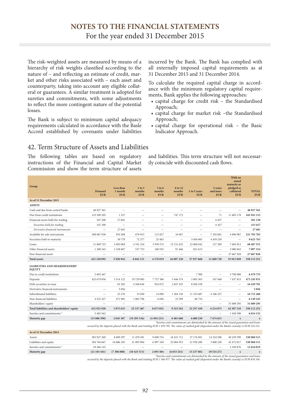The risk-weighted assets are measured by means of a hierarchy of risk weights classified according to the nature of – and reflecting an estimate of credit, market and other risks associated with – each asset and counterparty, taking into account any eligible collateral or guarantees. A similar treatment is adopted for sureties and commitments, with some adjustments to reflect the more contingent nature of the potential losses.

The Bank is subject to minimum capital adequacy requirements calculated in accordance with the Basle Accord established by covenants under liabilities incurred by the Bank. The Bank has complied with all externally imposed capital requirements as at 31 December 2015 and 31 December 2014.

To calculate the required capital charge in accordance with the minimum regulatory capital requirements, Bank applies the following approaches:

- capital charge for credit risk the Standardised Approach;
- capital charge for market risk –the Standardised Approach;
- capital charge for operational risk the Basic Indicator Approach.

#### 42. Term Structure of Assets and Liabilities

The following tables are based on regulatory instructions of the Financial and Capital Market Commission and show the term structure of assets and liabilities. This term structure will not necessarily coincide with discounted cash flows.

| Group                                                 | Demand<br><b>EUR</b>                                                                                                                                    | Less than<br>1 month<br><b>EUR</b> | 1 to 3<br>months<br><b>EUR</b> | $3$ to 6<br>months<br><b>EUR</b> | 6 to 12<br>months<br><b>EUR</b>                                                            | 1 to 5 years<br><b>EUR</b> | 5 years<br>and more<br><b>EUR</b> | With no<br>stated<br>maturity or<br>pledged as<br>collateral<br><b>EUR</b> | <b>TOTAL</b><br><b>EUR</b> |
|-------------------------------------------------------|---------------------------------------------------------------------------------------------------------------------------------------------------------|------------------------------------|--------------------------------|----------------------------------|--------------------------------------------------------------------------------------------|----------------------------|-----------------------------------|----------------------------------------------------------------------------|----------------------------|
| As of 31 December 2015                                |                                                                                                                                                         |                                    |                                |                                  |                                                                                            |                            |                                   |                                                                            |                            |
| <b>ASSETS</b>                                         |                                                                                                                                                         |                                    |                                |                                  |                                                                                            |                            |                                   |                                                                            |                            |
| Cash and due from central banks                       | 48 927 561                                                                                                                                              | $\overline{\phantom{0}}$           | $\overline{\phantom{0}}$       | $\overline{\phantom{0}}$         |                                                                                            | $\overline{\phantom{0}}$   | $\overline{\phantom{0}}$          | $\overline{\phantom{0}}$                                                   | 48 927 561                 |
| Due from credit institutions                          | 153 509 205                                                                                                                                             | 1527                               | $\overline{\phantom{0}}$       | $\overline{\phantom{0}}$         | 747 172                                                                                    | $\overline{\phantom{0}}$   | 71                                | 11 685 178                                                                 | 165 943 153                |
| Financial assets held-for-trading                     | 547 200                                                                                                                                                 | 27 681                             | $\overline{\phantom{0}}$       | $\overline{\phantom{0}}$         | $\overline{\phantom{0}}$                                                                   | $\overline{\phantom{0}}$   | 6457                              | $\overline{\phantom{0}}$                                                   | 581 338                    |
| Securities held-for-trading                           | 547 200                                                                                                                                                 |                                    | $\overline{\phantom{0}}$       | $\overline{\phantom{0}}$         |                                                                                            | $\overline{\phantom{0}}$   | 6457                              | $\overline{\phantom{0}}$                                                   | 553 657                    |
| Derivative financial instruments                      | $\overline{\phantom{0}}$                                                                                                                                | 27 681                             | $\overline{\phantom{0}}$       | $\overline{\phantom{0}}$         | $\overline{\phantom{0}}$                                                                   | $\overline{\phantom{0}}$   | $\overline{\phantom{0}}$          |                                                                            | 27681                      |
| Available for sale instruments                        | 208 067 038                                                                                                                                             | 910 288                            | 670 915                        | 115827                           | 16 967                                                                                     | $\overline{\phantom{0}}$   | 7 105 681                         | 4 896 987                                                                  | 221 783 703                |
| Securities held-to-maturity                           |                                                                                                                                                         | 30 770                             | 72 277                         | 25 483                           | $\overline{\phantom{0}}$                                                                   | 5 056 003                  | 4 439 230                         |                                                                            | 9623763                    |
| Loans                                                 | 11 069 723                                                                                                                                              | 3 692 069                          | 4761216                        | 3 9 3 0 5 7 4                    | 15 151 625                                                                                 | 22 060 042                 | 137 289                           | 7685013                                                                    | 68 487 551                 |
| Other financial assets                                | 1 200 165                                                                                                                                               | 1 258 607                          | 537723                         | 106 935                          | 91 466                                                                                     | 821 615                    |                                   | 3 080 843                                                                  | 7097354                    |
| Non-financial assets                                  |                                                                                                                                                         |                                    |                                |                                  |                                                                                            |                            | $\overline{\phantom{0}}$          | 27 667 828                                                                 | 27 667 828                 |
| <b>Total assets</b>                                   | 423 320 892                                                                                                                                             | 5920942                            | 6 042 131                      | 4178819                          | 16 007 230                                                                                 | 27 937 660                 | 11 688 728                        | 55 015 849                                                                 | 550 112 251                |
| <b>LIABILITIES AND SHAREHOLDERS'</b><br><b>EQUITY</b> |                                                                                                                                                         |                                    |                                |                                  |                                                                                            |                            |                                   |                                                                            |                            |
| Due to credit institutions                            | 2 692 447                                                                                                                                               | $\overline{\phantom{0}}$           | $\overline{\phantom{0}}$       | $\overline{\phantom{0}}$         | $\overline{\phantom{0}}$                                                                   | 7 3 0 8                    | $\overline{\phantom{0}}$          | 3780000                                                                    | 6 479 755                  |
| Deposits                                              | 425 679 036                                                                                                                                             | 3 3 1 4 1 2 2                      | 19 729 985                     | 7727388                          | 5 4 4 6 3 7 4                                                                              | 3 803 363                  | 107848                            | 7437815                                                                    | 473 245 931                |
| Debt securities in issue                              |                                                                                                                                                         | 63 202                             | 4568656                        | 924 072                          | 2 847 433                                                                                  | 8 0 26 3 38                | $\overline{\phantom{0}}$          | $\overline{\phantom{0}}$                                                   | 16 429 701                 |
| Derivative financial instruments                      | $\overline{\phantom{0}}$                                                                                                                                | 3 0 5 6                            | $\overline{\phantom{m}}$       |                                  | $\overline{\phantom{m}}$                                                                   | $\overline{\phantom{0}}$   | $\overline{\phantom{0}}$          | $\overline{\phantom{0}}$                                                   | 3056                       |
| Subordinated liabilities                              | $\overline{\phantom{0}}$                                                                                                                                | 23 270                             | 33 030                         | 14 8 98                          | 1 204 156                                                                                  | 11 333 687                 | 4 106 227                         | $\overline{\phantom{0}}$                                                   | 16715268                   |
| Non-financial liabilities                             | 4 5 5 2 4 3 7                                                                                                                                           | 471985                             | 1 005 796                      | 6694                             | 25 5 9 9                                                                                   | 86734                      | $\overline{\phantom{a}}$          | $\overline{\phantom{0}}$                                                   | 6 149 245                  |
| Shareholders' equity                                  |                                                                                                                                                         | $\overline{\phantom{0}}$           |                                |                                  |                                                                                            |                            | $\overline{\phantom{0}}$          | 31 089 295                                                                 | 31 089 295                 |
| Total liabilities and shareholders' equity            | 432 923 920                                                                                                                                             | 3875635                            | 25 337 467                     | 8673052                          | 9523562                                                                                    | 23 257 430                 | 4 2 1 4 0 7 5                     | 42 307 110                                                                 | 550 112 251                |
| Sureties and commitments *                            | 5 403 562                                                                                                                                               |                                    |                                |                                  |                                                                                            |                            |                                   | 1 430 590                                                                  | 6834152                    |
| Maturity gap                                          | (15006590)                                                                                                                                              | 2045307                            | (19295336)                     | (4494233)                        | 6483668                                                                                    | 4 680 230                  | 7474653                           | $\mathbf{x}$                                                               | $\mathbf x$                |
|                                                       | secured by the deposits placed with the Bank and totaling EUR 1 459 795. The value of vaulted gold (deposited under the Bank's custody) is EUR 534 231. |                                    |                                |                                  | *Sureties and commitments are diminished by the amount of the issued guarantees and loans  |                            |                                   |                                                                            |                            |
| As of 31 December 2014                                |                                                                                                                                                         |                                    |                                |                                  |                                                                                            |                            |                                   |                                                                            |                            |
| Assets                                                | 383 927 369                                                                                                                                             | 8 699 297                          | 11 470 391                     | 9 690 754                        | 16 431 712                                                                                 | 37 176 891                 | 14 324 500                        | 49 239 599                                                                 | 530 960 513                |
| Liabilities and equity                                | 394 764 667                                                                                                                                             | 16 006 105                         | 21 895 904                     | 6 997 350                        | 23 084 953                                                                                 | 21 939 289                 | 3 800 228                         | 42 472 017                                                                 | 530 960 513                |
| Sureties and commitments *                            | 10 266 143                                                                                                                                              | $\overline{\phantom{0}}$           | $\overline{\phantom{0}}$       | $\overline{\phantom{0}}$         | $\overline{\phantom{0}}$                                                                   | $\overline{\phantom{0}}$   | $\overline{\phantom{0}}$          | 2 3 4 9 8 7 6                                                              | 12 616 019                 |
| Maturity gap                                          | (21103441)                                                                                                                                              | (7306808)                          | (10425513)                     | 2 693 404                        | (6653241)                                                                                  | 15 237 602                 | 10 524 272                        | $\mathbf{x}$                                                               | $\mathbf{x}$               |
|                                                       |                                                                                                                                                         |                                    |                                |                                  | Sureties and commitments are diminished by the amount of the issued guarantees and loans** |                            |                                   |                                                                            |                            |

*secured by the deposits placed with the Bank and totaling EUR 1 566 977. The value of vaulted gold (deposited under the Bank's custody) is EUR 818 356.*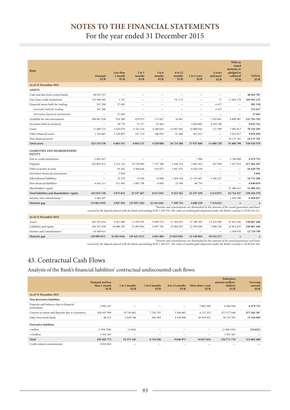| <b>Bank</b>                                           | Demand<br><b>EUR</b>                                                                                                                                    | Less than<br>1 month<br><b>EUR</b> | 1 to 3<br>months<br><b>EUR</b> | $3$ to 6<br>months<br><b>EUR</b> | 6 to 12<br>months<br><b>EUR</b> | 1 to 5 years<br><b>EUR</b>                                                                | 5 years<br>and more<br><b>EUR</b> | With no<br>stated<br>maturity or<br>pledged as<br>collateral<br><b>EUR</b> | <b>TOTAL</b><br><b>EUR</b> |
|-------------------------------------------------------|---------------------------------------------------------------------------------------------------------------------------------------------------------|------------------------------------|--------------------------------|----------------------------------|---------------------------------|-------------------------------------------------------------------------------------------|-----------------------------------|----------------------------------------------------------------------------|----------------------------|
| As of 31 December 2015                                |                                                                                                                                                         |                                    |                                |                                  |                                 |                                                                                           |                                   |                                                                            |                            |
| <b>ASSETS</b>                                         |                                                                                                                                                         |                                    |                                |                                  |                                 |                                                                                           |                                   |                                                                            |                            |
| Cash and due from central banks                       | 48 925 707                                                                                                                                              | $\overline{\phantom{0}}$           | $\overline{\phantom{0}}$       | $\overline{\phantom{0}}$         | $\equiv$                        | $\equiv$                                                                                  | $\equiv$                          | $\equiv$                                                                   | 48 925 707                 |
| Due from credit institutions                          | 153 509 205                                                                                                                                             | 1.527                              | $\overline{\phantom{0}}$       | -                                | 747 172                         | $\overline{\phantom{m}}$                                                                  | 71                                | 11 685 178                                                                 | 165 943 153                |
| Financial assets held-for-trading                     | 547 200                                                                                                                                                 | 27 681                             | $\equiv$                       | -                                | $\equiv$                        | $\overline{\phantom{m}}$                                                                  | 6457                              | $\overline{\phantom{0}}$                                                   | 581 338                    |
| Securities held-for-trading                           | 547 200                                                                                                                                                 | $\overline{\phantom{0}}$           | $\overline{\phantom{m}}$       | $\overline{\phantom{0}}$         | -                               | $\overline{\phantom{m}}$                                                                  | 6457                              | $\overline{\phantom{m}}$                                                   | 553 657                    |
| Derivative financial instruments                      | $\overline{\phantom{0}}$                                                                                                                                | 27 681                             | $\overline{\phantom{0}}$       |                                  | $\equiv$                        | $\equiv$                                                                                  | $\overline{\phantom{0}}$          | $\equiv$                                                                   | 27681                      |
| Available for sale instruments                        | 208 067 038                                                                                                                                             | 910 288                            | 670 915                        | 115827                           | 16 967                          | $\equiv$                                                                                  | 7 105 681                         | 4 896 987                                                                  | 221 783 703                |
| Securities held-to-maturity                           |                                                                                                                                                         | 30 770                             | 72 277                         | 25 483                           | $\overline{\phantom{0}}$        | 5 0 5 6 0 0 3                                                                             | 4 439 230                         | $\overline{\phantom{0}}$                                                   | 9623763                    |
| Loans                                                 | 11 069 723                                                                                                                                              | 4 4 5 4 6 7 8                      | 4 7 6 1 2 1 6                  | 4 280 643                        | 15 867 681                      | 22 060 042                                                                                | 137 289                           | 7685013                                                                    | 70 316 285                 |
| Other financial assets                                | 1 236 665                                                                                                                                               | 1 258 607                          | 537723                         | 106 935                          | 91 466                          | 821 615                                                                                   | $\overline{\phantom{0}}$          | 5 023 917                                                                  | 9076928                    |
| Non-financial assets                                  | $\overline{\phantom{0}}$                                                                                                                                | $\overline{\phantom{0}}$           | $\overline{\phantom{0}}$       | $\overline{\phantom{0}}$         | $\overline{\phantom{0}}$        | $\overline{\phantom{a}}$                                                                  | $\overline{\phantom{0}}$          | 24 175 701                                                                 | 24 175 701                 |
| <b>Total assets</b>                                   | 423 355 538                                                                                                                                             | 6 683 551                          | 6042131                        | 4528888                          | 16723286                        | 27 937 660                                                                                | 11 688 728                        | 53 466 796                                                                 | 550 426 578                |
| <b>LIABILITIES AND SHAREHOLDERS'</b><br><b>EQUITY</b> |                                                                                                                                                         |                                    |                                |                                  |                                 |                                                                                           |                                   |                                                                            |                            |
| Due to credit institutions                            | 2 692 447                                                                                                                                               | $\overline{\phantom{m}}$           | $\overline{\phantom{m}}$       | $\overline{\phantom{m}}$         | $\overline{\phantom{m}}$        | 7308                                                                                      | $\overline{\phantom{0}}$          | 3780000                                                                    | 6479755                    |
| Deposits                                              | 425 695 472                                                                                                                                             | 3 3 1 4 1 2 2                      | 19 729 985                     | 7727388                          | 5 446 374                       | 3 803 363                                                                                 | 107848                            | 7437815                                                                    | 473 262 367                |
| Debt securities in issue                              |                                                                                                                                                         | 63 202                             | 4568656                        | 924 072                          | 2 847 433                       | 8 0 2 6 3 3 8                                                                             |                                   | $\overline{\phantom{0}}$                                                   | 16 429 701                 |
| Derivative financial instruments                      | $\overline{\phantom{0}}$                                                                                                                                | 3 0 5 6                            | $\overline{\phantom{m}}$       | $\overline{\phantom{0}}$         | $\overline{\phantom{m}}$        | $\overline{\phantom{m}}$                                                                  | $\overline{\phantom{0}}$          | $\overline{\phantom{m}}$                                                   | 3056                       |
| Subordinated liabilities                              | $\equiv$                                                                                                                                                | 23 270                             | 33 030                         | 14 8 98                          | 1 204 156                       | 11 333 687                                                                                | 4 106 227                         | $\overline{\phantom{0}}$                                                   | 16715268                   |
| Non-financial liabilities                             | 4 4 4 3 2 1 1                                                                                                                                           | 471985                             | 1 005 796                      | 6694                             | 25 599                          | 86734                                                                                     | $\overline{\phantom{0}}$          | $\overline{\phantom{m}}$                                                   | 6 040 019                  |
| Shareholders' equity                                  | $\overline{\phantom{0}}$                                                                                                                                | $\overline{\phantom{0}}$           | $\sim$                         | $\equiv$                         | $\overline{\phantom{0}}$        | $\overline{\phantom{0}}$                                                                  | $\overline{\phantom{0}}$          | 31 496 412                                                                 | 31 496 412                 |
| Total liabilities and shareholders' equity            | 432 831 130                                                                                                                                             | 3875635                            | 25 337 467                     | 8673052                          | 9 5 23 5 6 2                    | 23 257 430                                                                                | 4 2 1 4 0 7 5                     | 42 714 227                                                                 | 550 426 578                |
| Sureties and commitments *                            | 5 485 447                                                                                                                                               | $\overline{\phantom{0}}$           |                                |                                  |                                 |                                                                                           | $\overline{\phantom{0}}$          | 1 430 590                                                                  | 6916037                    |
| Maturity gap                                          | (14961039)                                                                                                                                              | 2807916                            | (19295336)                     | (4144164)                        | 7199724                         | 4 680 230                                                                                 | 7474653                           | $\mathbf{x}$                                                               | $\mathbf{x}$               |
|                                                       | secured by the deposits placed with the Bank and totaling EUR 1 459 795. The value of vaulted gold (deposited under the Bank's custody) is EUR 534 231. |                                    |                                |                                  |                                 | *Sureties and commitments are diminished by the amount of the issued guarantees and loans |                                   |                                                                            |                            |
| As of 31 December 2014                                |                                                                                                                                                         |                                    |                                |                                  |                                 |                                                                                           |                                   |                                                                            |                            |

| Maturity gap                     | (20909637)  | (6585016)         | (10425513) | 2693404   | (5819930)  | 15 349 004               | 10 524 272 |               |             |
|----------------------------------|-------------|-------------------|------------|-----------|------------|--------------------------|------------|---------------|-------------|
| Sureties and commitments *       | 10 360 913  | $\qquad \qquad -$ |            |           |            | $\overline{\phantom{m}}$ |            | 2 3 4 9 8 7 6 | 12710789    |
| Liabilities and equity           | 394 331 558 | 16 006 105        | 21 895 904 | 6997350   | 23 084 953 | 21 939 289               | 3 800 228  | 42 812 053    | 530 867 440 |
| Assets                           | 383 782 834 | 9421089           | 11 470 391 | 9 690 754 | 17 265 023 | 37 288 293               | 14 324 500 | 47 624 556    | 530 867 440 |
| As $01 \text{ J}1$ december 2017 |             |                   |            |           |            |                          |            |               |             |

Sureties and commitments are diminished by the amount of the issued guarantees and loan:<br>secured by the deposits placed with the Bank and totaling EUR 1 566 977. The value of vaulted gold (deposited under the Bank's custod

### 43. Contractual Cash Flows

Analysis of the Bank's financial liabilities' contractual undiscounted cash flows:

|                                                        | <b>Demand and less</b><br>than 1 month<br><b>EUR</b> | 1 to 3 months<br><b>EUR</b> | 3 to 6 months<br><b>EUR</b> | 6 to 12 months<br><b>EUR</b> | More than 1 year<br><b>EUR</b> | <b>Total gross</b><br>amount outflow/<br>(inflow)<br><b>EUR</b> | Carrying<br>amount<br><b>EUR</b> |
|--------------------------------------------------------|------------------------------------------------------|-----------------------------|-----------------------------|------------------------------|--------------------------------|-----------------------------------------------------------------|----------------------------------|
| As of 31 December 2015                                 |                                                      |                             |                             |                              |                                |                                                                 |                                  |
| Non-derivative liabilities                             |                                                      |                             |                             |                              |                                |                                                                 |                                  |
| Deposits and balances due to financial<br>institutions | 2 692 447                                            |                             |                             |                              | 3 802 509                      | 6494956                                                         | 6479755                          |
| Current accounts and deposits due to customers         | 436 447 994                                          | 19 744 863                  | 7763701                     | 5 506 065                    | 4 1 1 5 2 2 3                  | 473 577 846                                                     | 473 262 367                      |
| Other borrowed funds                                   | 86 472                                               | 4 629 786                   | 946 505                     | 4 140 908                    | 26 919 922                     | 36 723 593                                                      | 33 144 969                       |
| <b>Derivative liabilities</b>                          |                                                      |                             |                             |                              |                                |                                                                 |                                  |
| $\bullet$ Inflow                                       | (1956708)                                            | (3484)                      |                             |                              | $\overline{\phantom{a}}$       | (1960192)                                                       | (24625)                          |
| • Outflow                                              | 1935 567                                             | -                           |                             |                              |                                | 1935 567                                                        |                                  |
| Total                                                  | 439 205 772                                          | 24 371 165                  | 8710206                     | 9646973                      | 34 837 654                     | 516 771 770                                                     | 512 862 466                      |
| Credit related commitments                             | 8 9 10 0 63                                          |                             |                             |                              |                                |                                                                 |                                  |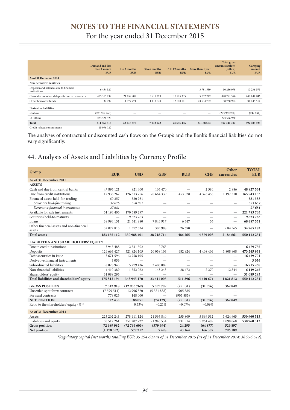|                                                        | <b>Demand and less</b><br>than 1 month<br><b>EUR</b> | 1 to 3 months<br><b>EUR</b> | 3 to 6 months<br><b>EUR</b> | 6 to 12 months<br><b>EUR</b> | More than 1 year<br><b>EUR</b> | <b>Total gross</b><br>amount outflow/<br>(inflow)<br><b>EUR</b> | Carrying<br>amount<br><b>EUR</b> |
|--------------------------------------------------------|------------------------------------------------------|-----------------------------|-----------------------------|------------------------------|--------------------------------|-----------------------------------------------------------------|----------------------------------|
| As of 31 December 2014                                 |                                                      |                             |                             |                              |                                |                                                                 |                                  |
| <b>Non-derivative liabilities</b>                      |                                                      |                             |                             |                              |                                |                                                                 |                                  |
| Deposits and balances due to financial<br>institutions | 6 4 5 4 5 2 0                                        |                             |                             |                              | 3781559                        | 10 236 079                                                      | 10 236 079                       |
| Current accounts and deposits due to customers         | 405 315 839                                          | 21 059 907                  | 5918273                     | 10 725 335                   | 5 7 5 2 2 4 2                  | 448 771 596                                                     | 448 244 286                      |
| Other borrowed funds                                   | 32 499                                               | 1 177 771                   | 1 1 1 3 8 4 9               | 12 810 101                   | 23 634 752                     | 38 768 972                                                      | 34 943 512                       |
| <b>Derivative liabilities</b>                          |                                                      |                             |                             |                              |                                |                                                                 |                                  |
| $\bullet$ Inflow                                       | (223962260)                                          | $\overline{\phantom{0}}$    | –                           |                              | $\overline{\phantom{m}}$       | (223962260)                                                     | (439952)                         |
| • Outflow                                              | 223 526 920                                          | -                           | _                           |                              |                                | 223 526 920                                                     |                                  |
| Total                                                  | 411 367 518                                          | 22 237 678                  | 7032122                     | 23 535 436                   | 33 168 553                     | 497 341 307                                                     | 492 983 925                      |
| Credit related commitments                             | 15 096 122                                           |                             |                             |                              |                                |                                                                 |                                  |

The analyses of contractual undiscounted cash flows on the Group's and the Bank's financial liabilties do not vary significantly.

### 44. Analysis of Assets and Liabilities by Currency Profile

| Group                                              |               |             |                          |                          |                                   | Other                    | <b>TOTAL</b> |
|----------------------------------------------------|---------------|-------------|--------------------------|--------------------------|-----------------------------------|--------------------------|--------------|
|                                                    | <b>EUR</b>    | <b>USD</b>  | <b>GBP</b>               | <b>RUB</b>               | <b>CHF</b>                        | currencies               | <b>EUR</b>   |
| As of 31 December 2015                             |               |             |                          |                          |                                   |                          |              |
| <b>ASSETS</b>                                      |               |             |                          |                          |                                   |                          |              |
| Cash and due from central banks                    | 47 895 121    | 921 400     | 105 470                  | $\equiv$                 | 2584                              | 2986                     | 48 927 561   |
| Due from credit institutions                       | 12 938 262    | 126 313 756 | 20 664 339               | 453 028                  | 4 376 458                         | 1 197 310                | 165 943 153  |
| Financial assets held-for-trading                  | 60 357        | 520 981     | $\qquad \qquad -$        |                          | $\qquad \qquad -$                 |                          | 581 338      |
| Securities held-for-trading                        | 32 676        | 520 981     | $\overline{\phantom{0}}$ | $\overline{\phantom{0}}$ | $\overline{\phantom{0}}$          | $\overline{\phantom{0}}$ | 553 657      |
| Derivative financial instruments                   | 27 681        |             | $\overline{\phantom{m}}$ | $\overline{\phantom{0}}$ | $\overline{\phantom{0}}$          | $\overline{\phantom{0}}$ | 27681        |
| Available for sale instruments                     | 51 194 406    | 170 589 297 | $\overline{\phantom{0}}$ | $\overline{\phantom{m}}$ | $\overbrace{\phantom{123221111}}$ |                          | 221 783 703  |
| Securities held-to-maturity                        |               | 9 623 763   | $\qquad \qquad -$        | $\qquad \qquad$          | —                                 | $\qquad \qquad$          | 9623763      |
| Loans                                              | 38 994 151    | 21 641 880  | 7844917                  | 6547                     | 56                                |                          | 68 487 551   |
| Other financial assets and non-financial<br>assets | 32 072 815    | 1 377 324   | 303 988                  | 26 690                   | $\overline{\phantom{m}}$          | 984365                   | 34 765 182   |
| <b>Total assets</b>                                | 183 155 112   | 330 988 401 | 28 918 714               | 486 265                  | 4379098                           | 2 184 661                | 550 112 251  |
| LIABILITIES AND SHAREHOLDERS' EQUITY               |               |             |                          |                          |                                   |                          |              |
| Due to credit institutions                         | 3 9 4 5 4 8 8 | 2 531 502   | 2765                     | $\overline{\phantom{0}}$ | $\overline{\phantom{0}}$          | $\overline{\phantom{0}}$ | 6 479 755    |
| Deposits                                           | 124 663 427   | 321 824 105 | 20 058 103               | 482 924                  | 4 4 0 4 4 0 4                     | 1808968                  | 473 245 931  |
| Debt securities in issue                           | 3 671 596     | 12 758 105  |                          |                          |                                   |                          | 16 429 701   |
| Derivative financial instruments                   | 3 0 5 6       |             |                          | $\overline{\phantom{0}}$ | $\overline{\phantom{0}}$          | $\overline{\phantom{0}}$ | 3056         |
| Subordinated liabilities                           | 8 0 28 9 43   | 5 279 436   | 3 406 889                | $\equiv$                 | $\overline{\phantom{0}}$          | $\overline{\phantom{0}}$ | 16715268     |
| Non-financial liabilities                          | 4 410 389     | 1 552 022   | 143 248                  | 28 472                   | 2 2 7 0                           | 12 8 4 4                 | 6 149 245    |
| Shareholders' equity                               | 31 089 295    |             |                          |                          |                                   | $\overline{\phantom{0}}$ | 31 089 295   |
| Total liabilities and shareholders' equity         | 175 812 194   | 343 945 170 | 23 611 005               | 511 396                  | 4410674                           | 1821812                  | 550 112 251  |
|                                                    |               |             |                          |                          |                                   |                          |              |
| <b>GROSS POSITION</b>                              | 7342918       | (12956769)  | 5 307 709                | (25131)                  | (31 576)                          | 362 849                  |              |
| Unsettled spot forex contracts                     | (7599511)     | 12 996 820  | (5381838)                | 905 885                  | $\overline{\phantom{0}}$          |                          |              |
| Forward contracts                                  | 779 026       | 148 000     | $\equiv$                 | (905885)                 |                                   |                          |              |
| <b>NET POSITION</b>                                | 522 433       | 188 051     | (74129)                  | (25131)                  | (31 576)                          | 362 849                  |              |
| Ratio to the shareholders' equity (%)*             |               | 0.53%       | $-0.21%$                 | $-0.07%$                 | $-0.09%$                          |                          |              |
| As of 31 December 2014                             |               |             |                          |                          |                                   |                          |              |
| Assets                                             | 223 202 243   | 278 411 124 | 21 566 840               | 255 809                  | 5 899 532                         | 1 624 965                | 530 960 513  |
| Liabilities and equity                             | 150 512 261   | 351 207 727 | 21 946 534               | 231 514                  | 5 964 409                         | 1 098 068                | 530 960 513  |
| <b>Gross position</b>                              | 72 689 982    | (72796603)  | (379694)                 | 24 29 5                  | (64877)                           | 526 897                  |              |
| Net position                                       | (1178552)     | 577 212     | 5498                     | 143 164                  | 166 307                           | 796 189                  |              |

*\*Regulatory capital (net worth) totalling EUR 35 294 609 as of 31 December 2015 (as of 31 December 2014: 38 976 512).*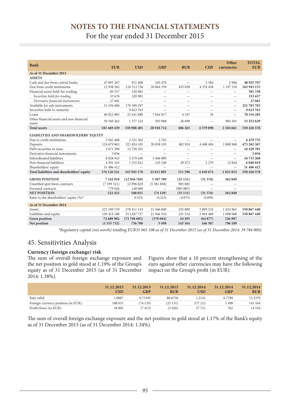| <b>Bank</b>                                        | <b>EUR</b>    | <b>USD</b>               | <b>GBP</b>               | <b>RUB</b>               | <b>CHF</b>               | Other<br>currencies      | <b>TOTAL</b><br><b>EUR</b> |
|----------------------------------------------------|---------------|--------------------------|--------------------------|--------------------------|--------------------------|--------------------------|----------------------------|
| As of 31 December 2015                             |               |                          |                          |                          |                          |                          |                            |
| <b>ASSETS</b>                                      |               |                          |                          |                          |                          |                          |                            |
| Cash and due from central banks                    | 47 893 267    | 921 400                  | 105 470                  |                          | 2584                     | 2986                     | 48 925 707                 |
| Due from credit institutions                       | 12 938 262    | 126 313 756              | 20 664 339               | 453 028                  | 4 376 458                | 1 197 310                | 165 943 153                |
| Financial assets held-for-trading                  | 60 357        | 520 981                  | $\overline{\phantom{m}}$ | $\overline{\phantom{m}}$ | $\overline{\phantom{m}}$ | $\overline{\phantom{0}}$ | 581 338                    |
| Securities held-for-trading                        | 32 676        | 520 981                  | $\overline{\phantom{0}}$ | $\overline{\phantom{0}}$ | $\overline{\phantom{0}}$ | $\overline{\phantom{0}}$ | 553 657                    |
| Derivative financial instruments                   | 27 681        | $\overline{\phantom{0}}$ | $\overline{\phantom{0}}$ | $\overline{\phantom{0}}$ | $\overline{\phantom{0}}$ | $\equiv$                 | 27681                      |
| Available for sale instruments                     | 51 194 406    | 170 589 297              | $\equiv$                 | $\equiv$                 | $\equiv$                 | $\equiv$                 | 221 783 703                |
| Securities held-to-maturity                        |               | 9 623 763                | $\equiv$                 | $\overline{\phantom{0}}$ | $\overline{\phantom{0}}$ | $\equiv$                 | 9623763                    |
| Loans                                              | 40 822 885    | 21 641 880               | 7844917                  | 6 5 4 7                  | 56                       | $\overline{\phantom{0}}$ | 70 316 285                 |
| Other financial assets and non-financial<br>assets | 30 560 262    | 1 377 324                | 303 988                  | 26 690                   | $\overline{\phantom{0}}$ | 984 365                  | 33 252 629                 |
| <b>Total assets</b>                                | 183 469 439   | 330 988 401              | 28 918 714               | 486 265                  | 4379098                  | 2 184 661                | 550 426 578                |
| LIABILITIES AND SHAREHOLDERS' EQUITY               |               |                          |                          |                          |                          |                          |                            |
| Due to credit institutions                         | 3 9 4 5 4 8 8 | 2 531 502                | 2765                     |                          |                          |                          | 6479755                    |
| Deposits                                           | 124 679 863   | 321 824 105              | 20 058 103               | 482 924                  | 4 4 0 4 4 0 4            | 1808968                  | 473 262 367                |
| Debt securities in issue                           | 3 671 596     | 12 758 105               |                          |                          | $\overline{\phantom{0}}$ | $\overline{\phantom{0}}$ | 16 429 701                 |
| Derivative financial instruments                   | 3 0 5 6       | -                        | $\overline{\phantom{0}}$ | $\overline{\phantom{0}}$ | $\overline{\phantom{0}}$ | $\overline{\phantom{0}}$ | 3 0 5 6                    |
| Subordinated liabilities                           | 8 0 28 9 43   | 5 279 436                | 3 406 889                | $\overline{\phantom{0}}$ | $\overline{\phantom{a}}$ | $\equiv$                 | 16715268                   |
| Non-financial liabilities                          | 4 301 163     | 1 552 022                | 143 248                  | 28 472                   | 2 2 7 0                  | 12844                    | 6 040 019                  |
| Shareholders' equity                               | 31 496 412    |                          |                          | $\overline{\phantom{0}}$ |                          | $\equiv$                 | 31 496 412                 |
| Total liabilities and shareholders' equity         | 176 126 521   | 343 945 170              | 23 611 005               | 511 396                  | 4410674                  | 1821812                  | 550 426 578                |
| <b>GROSS POSITION</b>                              | 7342918       | (12956769)               | 5 307 709                | (25131)                  | (31 576)                 | 362 849                  |                            |
| Unsettled spot forex contracts                     | (7599511)     | 12 996 820               | (5381838)                | 905 885                  |                          |                          |                            |
| Forward contracts                                  | 779 026       | 148 000                  | $\overline{\phantom{a}}$ | (905885)                 | $\overline{\phantom{0}}$ |                          |                            |
| <b>NET POSITION</b>                                | 522 433       | 188 051                  | (74129)                  | (25131)                  | (31576)                  | 362849                   |                            |
| Ratio to the shareholders' equity (%)*             |               | 0.52%                    | $-0.21%$                 | $-0.07%$                 | $-0.09%$                 |                          |                            |
| As of 31 December 2014                             |               |                          |                          |                          |                          |                          |                            |
| Assets                                             | 223 109 170   | 278 411 124              | 21 566 840               | 255 809                  | 5 899 532                | 1 624 965                | 530 867 440                |
| Liabilities and equity                             | 150 419 188   | 35 1207 727              | 21 946 534               | 231 514                  | 5 964 409                | 1 098 068                | 530 867 440                |
| <b>Gross position</b>                              | 72 689 982    | (72796603)               | (379694)                 | 24 29 5                  | (64877)                  | 526 897                  |                            |
| Net position                                       | (1555732)     | 736700                   | 5498                     | 143 164                  | 166 307                  | 796 189                  |                            |

*\*Regulatory capital (net worth) totalling EUR35 965 108 as of 31 December 2015 (as of 31 December 2014: 39 784 000).*

### 45. Sensitivities Analysis

#### **Currency (foreign exchange) risk**

The sum of overall foreign exchange exposure and the net position in gold stood at 1.19% of the Group's equity as of 31 December 2015 (as of 31 December 2014: 1.38%).

Figures show that a 10 percent strengthening of the euro against other currencies may have the following impact on the Group's profit (in EUR):

|                                     | 31.12.2015<br><b>USD</b> | 31.12.2015<br><b>GBP</b> | 31.12.2015<br><b>RUB</b> | 31.12.2014<br>USD | 31.12.2014<br><b>GBP</b> | 31.12.2014<br><b>RUB</b> |
|-------------------------------------|--------------------------|--------------------------|--------------------------|-------------------|--------------------------|--------------------------|
| Rate valid:                         | 1.0887                   | 0.73395                  | 80.6736                  | 1.2141            | 0.7789                   | 72.3370                  |
| Foreign currency position (in EUR): | 188 051                  | (74129)                  | (25131)                  | 577 212           | 5498                     | 143 164                  |
| $Profit/ (loss)$ (in EUR):          | 18 805                   | (7413)                   | (5026)                   | 57 721            | 782                      | 14 3 16                  |

The sum of overall foreign exchange exposure and the net position in gold stood at 1.17% of the Bank's equity as of 31 December 2015 (as of 31 December 2014: 1.34%).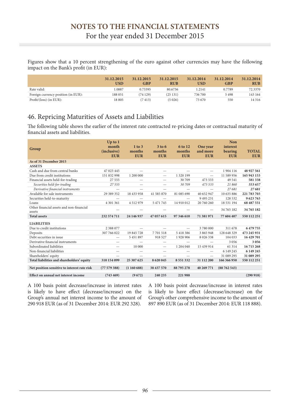Figures show that a 10 percent strengthening of the euro against other currencies may have the following impact on the Bank's profit (in EUR):

|                                     | 31.12.2015<br><b>USD</b> | 31.12.2015<br><b>GBP</b> | 31.12.2015<br><b>RUB</b> | 31.12.2014<br>USD | 31.12.2014<br><b>GBP</b> | 31.12.2014<br><b>RUB</b> |
|-------------------------------------|--------------------------|--------------------------|--------------------------|-------------------|--------------------------|--------------------------|
| Rate valid:                         | 1.0887                   | 0.73395                  | 80.6736                  | 1.2141            | 0.7789                   | 72.3370                  |
| Foreign currency position (in EUR): | 188 051                  | (74129)                  | (25131)                  | 736 700           | 5498                     | 143 164                  |
| $Profit/ (loss)$ (in EUR):          | 18 805                   | (7413)                   | (5026)                   | 73 670            | 550                      | 14 3 16                  |

### 46. Repricing Maturities of Assets and Liabilities

The following table shows the earlier of the interest rate contracted re-pricing dates or contractual maturity of financial assets and liabilities.

| Group                                              | Up to $1$<br>month<br>(inclusive)<br><b>EUR</b> | $1$ to $3$<br>months<br><b>EUR</b> | $3$ to $6$<br>months<br><b>EUR</b> | 6 to 12<br>months<br><b>EUR</b> | One year<br>and more<br><b>EUR</b> | <b>Non</b><br>interest<br>bearing<br><b>EUR</b> | <b>TOTAL</b><br><b>EUR</b> |
|----------------------------------------------------|-------------------------------------------------|------------------------------------|------------------------------------|---------------------------------|------------------------------------|-------------------------------------------------|----------------------------|
| As of 31 December 2015                             |                                                 |                                    |                                    |                                 |                                    |                                                 |                            |
| <b>ASSETS</b>                                      |                                                 |                                    |                                    |                                 |                                    |                                                 |                            |
| Cash and due from central banks                    | 47 023 445                                      |                                    |                                    |                                 | $\overline{\phantom{0}}$           | 1904 116                                        | 48 927 561                 |
| Due from credit institutions                       | 151 832 998                                     | 1 200 000                          | $\overline{\phantom{0}}$           | 1 3 2 0 1 9 9                   | $\overline{\phantom{0}}$           | 11 589 956                                      | 165 943 153                |
| Financial assets held-for-trading                  | 27 555                                          |                                    |                                    | 30 709                          | 473 533                            | 49 541                                          | 581 338                    |
| Securities held-for-trading                        | 27 555                                          |                                    |                                    | 30 709                          | 473 533                            | 21860                                           | 553 657                    |
| Derivative financial instruments                   |                                                 | $\overline{\phantom{0}}$           | $\overline{\phantom{0}}$           | $\overline{\phantom{0}}$        | $\overline{\phantom{0}}$           | 27 681                                          | 27681                      |
| Available for sale instruments                     | 29 389 352                                      | 18 433 958                         | 41 585 870                         | 81 085 690                      | 40 652 947                         | 10 635 886                                      | 221 783 703                |
| Securities held-to-maturity                        | $\overline{\phantom{0}}$                        |                                    |                                    |                                 | 9 495 231                          | 128 532                                         | 9623763                    |
| Loans                                              | 4 301 361                                       | 4 5 1 2 9 7 9                      | 5 471 745                          | 14 910 012                      | 20 760 260                         | 18 531 194                                      | 68 487 551                 |
| Other financial assets and non-financial<br>assets |                                                 |                                    |                                    |                                 |                                    | 34 765 182                                      | 34 765 182                 |
| <b>Total assets</b>                                | 232 574 711                                     | 24 146 937                         | 47 057 615                         | 97 346 610                      | 71 381 971                         | 77 604 407                                      | 550 112 251                |
| <b>LIABILITIES</b>                                 |                                                 |                                    |                                    |                                 |                                    |                                                 |                            |
| Due to credit institutions                         | 2 3 8 8 0 7 7                                   |                                    | $\hspace{0.1mm}-\hspace{0.1mm}$    | —                               | 3780000                            | 311 678                                         | 6479755                    |
| Deposits                                           | 307 766 022                                     | 19 845 728                         | 7701518                            | 5 418 386                       | 3 865 948                          | 128 648 329                                     | 473 245 931                |
| Debt securities in issue                           | $\hspace{0.05cm}$                               | 5 451 897                          | 918 527                            | 1928906                         | 8 0 26 3 38                        | 104 033                                         | 16 429 701                 |
| Derivative financial instruments                   |                                                 |                                    |                                    |                                 |                                    | 3056                                            | 3 0 5 6                    |
| Subordinated liabilities                           |                                                 | 10 000                             | $\overline{\phantom{0}}$           | 1 204 040                       | 15 439 914                         | 61 314                                          | 16715268                   |
| Non-financial liabilities                          |                                                 |                                    | $\overline{\phantom{m}}$           | —                               | —                                  | 6 149 245                                       | 6 149 245                  |
| Shareholders' equity                               |                                                 |                                    |                                    |                                 | $\overline{\phantom{0}}$           | 31 089 295                                      | 31 089 295                 |
| Total liabilities and shareholders' equity         | 310 154 099                                     | 25 307 625                         | 8 6 20 0 45                        | 8 5 5 1 3 3 2                   | 31 112 200                         | 166 366 950                                     | 550 112 251                |
| Net position sensitive to interest rate risk       | (77579388)                                      | (116068)                           | 38 437 570                         | 88 795 278                      | 40 269 771                         | (88762543)                                      |                            |
| Effect on annual net interest income               | (743 469)                                       | (9672)                             | 240 235                            | 221988                          |                                    |                                                 | (290918)                   |

A 100 basis point decrease/increase in interest rates is likely to have effect (decrease/increase) on the Group's annual net interest income to the amount of 290 918 EUR (as of 31 December 2014: EUR 292 328).

A 100 basis point decrease/increase in interest rates is likely to have effect (decrease/increase) on the Group's other comprehensive income to the amount of 897 890 EUR (as of 31 December 2014: EUR 118 888).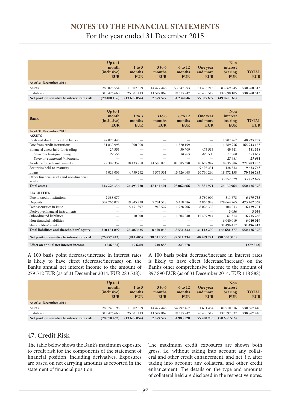|                                              | $Up$ to $1$<br>month<br>(inclusive)<br><b>EUR</b> | $1$ to $3$<br>months<br><b>EUR</b> | $3$ to 6<br>months<br><b>EUR</b> | 6 to 12<br>months<br><b>EUR</b> | One year<br>and more<br><b>EUR</b> | <b>Non</b><br>interest<br>bearing<br><b>EUR</b> | <b>TOTAL</b><br><b>EUR</b> |
|----------------------------------------------|---------------------------------------------------|------------------------------------|----------------------------------|---------------------------------|------------------------------------|-------------------------------------------------|----------------------------|
| As of 31 December 2014                       |                                                   |                                    |                                  |                                 |                                    |                                                 |                            |
| Assets                                       | 286 026 554                                       | 11 802 359                         | 14 477 446                       | 53 547 993                      | 81 436 216                         | 83 669 945                                      | 530 960 513                |
| Liabilities                                  | 315 426 660                                       | 25 501 413                         | 11 597 869                       | 19 313 947                      | 26 430 519                         | 132 690 105                                     | 530 960 513                |
| Net position sensitive to interest rate risk | (29 400 106)                                      | (13699054)                         | 2879577                          | 34 234 046                      | 55 005 697                         | (49020160)                                      |                            |

| <b>Bank</b>                                        | $Up$ to $1$<br>month<br>(inclusive)<br><b>EUR</b> | $1$ to $3$<br>months<br><b>EUR</b> | $3$ to 6<br>months<br><b>EUR</b> | 6 to 12<br>months<br><b>EUR</b> | One year<br>and more<br><b>EUR</b> | <b>Non</b><br>interest<br>bearing<br><b>EUR</b> | <b>TOTAL</b><br><b>EUR</b> |
|----------------------------------------------------|---------------------------------------------------|------------------------------------|----------------------------------|---------------------------------|------------------------------------|-------------------------------------------------|----------------------------|
| As of 31 December 2015                             |                                                   |                                    |                                  |                                 |                                    |                                                 |                            |
| <b>ASSETS</b>                                      |                                                   |                                    |                                  |                                 |                                    |                                                 |                            |
| Cash and due from central banks                    | 47 023 445                                        | $\overline{\phantom{0}}$           | $\overline{\phantom{0}}$         | $\overline{\phantom{0}}$        | $\overline{\phantom{0}}$           | 1902262                                         | 48 925 707                 |
| Due from credit institutions                       | 151 832 998                                       | 1 200 000                          | $\overline{\phantom{0}}$         | 1 3 2 0 1 9 9                   |                                    | 11 589 956                                      | 165 943 153                |
| Financial assets held-for-trading                  | 27 555                                            | —                                  | $\qquad \qquad \longleftarrow$   | 30 709                          | 473 533                            | 49 541                                          | 581 338                    |
| Securities held-for-trading                        | 27 555                                            |                                    |                                  | 30 709                          | 473 533                            | 21860                                           | 553 657                    |
| Derivative financial instruments                   |                                                   | $\overline{\phantom{0}}$           |                                  | $\overline{\phantom{0}}$        | $\overline{\phantom{0}}$           | 27 681                                          | 27681                      |
| Available for sale instruments                     | 29 389 352                                        | 18 433 958                         | 41 585 870                       | 81 085 690                      | 40 652 947                         | 10 635 886                                      | 221 783 703                |
| Securities held-to-maturity                        |                                                   |                                    |                                  | $\overline{\phantom{0}}$        | 9 495 231                          | 128 532                                         | 9623763                    |
| Loans                                              | 5 023 006                                         | 4759262                            | 5 5 7 5 5 3 1                    | 15 626 068                      | 20 760 260                         | 18 572 158                                      | 70 316 285                 |
| Other financial assets and non-financial<br>assets |                                                   |                                    |                                  |                                 |                                    | 33 252 629                                      | 33 252 629                 |
| <b>Total assets</b>                                | 233 296 356                                       | 24 393 220                         | 47 161 401                       | 98 062 666                      | 71 381 971                         | 76 130 964                                      | 550 426 578                |
| <b>LIABILITIES</b>                                 |                                                   |                                    |                                  |                                 |                                    |                                                 |                            |
| Due to credit institutions                         | 2 3 8 8 0 7 7                                     |                                    |                                  |                                 | 3780000                            | 311 678                                         | 6479755                    |
| Deposits                                           | 307 766 022                                       | 19 845 728                         | 7701518                          | 5418386                         | 3 865 948                          | 128 664 765                                     | 473 262 367                |
| Debt securities in issue                           |                                                   | 5 451 897                          | 918 527                          | 1928906                         | 8 0 2 6 3 3 8                      | 104 033                                         | 16 429 701                 |
| Derivative financial instruments                   |                                                   |                                    | $\overline{\phantom{0}}$         | $\overline{\phantom{0}}$        |                                    | 3 0 5 6                                         | 3056                       |
| Subordinated liabilities                           |                                                   | 10 000                             | $\overline{\phantom{0}}$         | 1 204 040                       | 15 439 914                         | 61314                                           | 16715268                   |
| Non-financial liabilities                          | $\overline{\phantom{0}}$                          | --                                 |                                  | -                               | $\overline{\phantom{0}}$           | 6 040 019                                       | 6 040 019                  |
| Shareholders' equity                               | —                                                 | —                                  | -                                | —                               | $\overline{\phantom{0}}$           | 31 496 412                                      | 31 496 412                 |
| Total liabilities and shareholders' equity         | 310 154 099                                       | 25 307 625                         | 8 6 20 0 45                      | 8 5 5 1 3 3 2                   | 31 112 200                         | 166 681 277                                     | 550 426 578                |
| Net position sensitive to interest rate risk       | (76857743)                                        | (914405)                           | 38 541 356                       | 89 511 334                      | 40 269 771                         | (90550313)                                      |                            |
| Effect on annual net interest income               | (736553)                                          | (7620)                             | 240 883                          | 223 778                         |                                    |                                                 | (279512)                   |

A 100 basis point decrease/increase in interest rates is likely to have effect (decrease/increase) on the Bank's annual net interest income to the amount of 279 512 EUR (as of 31 December 2014: EUR 283 538).

A 100 basis point decrease/increase in interest rates is likely to have effect (decrease/increase) on the Bank's other comprehensive income to the amount of 897 890 EUR (as of 31 December 2014: EUR 118 888).

|                                              | $Up$ to $1$<br>month<br>(inclusive)<br><b>EUR</b> | $1$ to $3$<br>months<br><b>EUR</b> | $3$ to 6<br>months<br><b>EUR</b> | 6 to 12<br>months<br><b>EUR</b> | One year<br>and more<br><b>EUR</b> | <b>Non</b><br>interest<br>bearing<br><b>EUR</b> | <b>TOTAL</b><br><b>EUR</b> |
|----------------------------------------------|---------------------------------------------------|------------------------------------|----------------------------------|---------------------------------|------------------------------------|-------------------------------------------------|----------------------------|
| As of 31 December 2014                       |                                                   |                                    |                                  |                                 |                                    |                                                 |                            |
| Assets                                       | 286 748 198                                       | 11 802 359                         | 14 477 446                       | 54 297 467                      | 81 631 454                         | 81 910 516                                      | 530 867 440                |
| Liabilities                                  | 315 426 660                                       | 25 501 413                         | 11 597 869                       | 19 313 947                      | 26 430 519                         | 132 597 032                                     | 530 867 440                |
| Net position sensitive to interest rate risk | (28678462)                                        | (13699054)                         | 2879577                          | 34 983 520                      | 55 200 935                         | (50686516)                                      |                            |

### 47. Credit Risk

The table below shows the Bank's maximum exposure to credit risk for the components of the statement of financial position, including derivatives. Exposures are based on net carrying amounts as reported in the statement of financial position.

The maximum credit exposures are shown both gross, i.e. without taking into account any collateral and other credit enhancement, and net, i.e. after taking into account any collateral and other credit enhancement. The details on the type and amounts of collateral held are disclosed in the respective notes.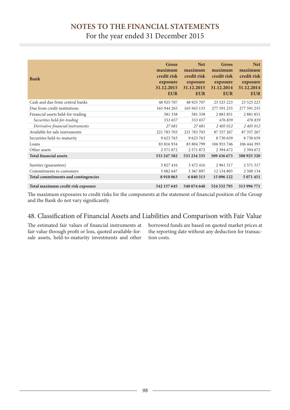| <b>Bank</b>                         | <b>Gross</b><br>maximum<br>credit risk<br>exposure<br>31.12.2015<br><b>EUR</b> | <b>Net</b><br>maximum<br>credit risk<br>exposure<br>31.12.2015<br><b>EUR</b> | Gross<br>maximum<br>credit risk<br>exposure<br>31.12.2014<br><b>EUR</b> | <b>Net</b><br>maximum<br>credit risk<br>exposure<br>31.12.2014<br><b>EUR</b> |
|-------------------------------------|--------------------------------------------------------------------------------|------------------------------------------------------------------------------|-------------------------------------------------------------------------|------------------------------------------------------------------------------|
| Cash and due from central banks     | 48 925 707                                                                     | 48 925 707                                                                   | 23 525 223                                                              | 23 525 223                                                                   |
| Due from credit institutions        | 165 944 265                                                                    | 165 943 153                                                                  | 277 591 255                                                             | 277 591 255                                                                  |
| Financial assets held-for-trading   | 581 338                                                                        | 581 338                                                                      | 2 881 851                                                               | 2 881 851                                                                    |
| Securities held-for-trading         | 553 657                                                                        | 553 657                                                                      | 476839                                                                  | 476839                                                                       |
| Derivative financial instruments    | 27 681                                                                         | 27681                                                                        | 2 405 012                                                               | 2 405 012                                                                    |
| Available for sale instruments      | 221 783 703                                                                    | 221 783 703                                                                  | 87 357 267                                                              | 87 357 267                                                                   |
| Securities held-to-maturity         | 9 623 763                                                                      | 9 623 763                                                                    | 8730659                                                                 | 8730659                                                                      |
| Loans                               | 83 816 934                                                                     | 83 804 799                                                                   | 106 955 746                                                             | 106 444 393                                                                  |
| Other assets                        | 2 571 872                                                                      | 2 571 872                                                                    | 2 3 9 4 6 7 2                                                           | 2 3 9 4 6 7 2                                                                |
| <b>Total financial assets</b>       | 533 247 582                                                                    | 533 234 335                                                                  | 509 436 673                                                             | 508 925 320                                                                  |
| Sureties (guarantees)               | 3 827 416                                                                      | 3 472 416                                                                    | 2961317                                                                 | 2 571 317                                                                    |
| Commitments to customers            | 5 082 647                                                                      | 3 3 6 7 8 9 7                                                                | 12 134 805                                                              | 2 500 134                                                                    |
| Total commitments and contingencies | 8910063                                                                        | 6840313                                                                      | 15 096 122                                                              | 5 071 451                                                                    |
| Total maximum credit risk exposure  | 542 157 645                                                                    | 540 074 648                                                                  | 524 532 795                                                             | 513 996 771                                                                  |

The maximum exposures to credit risks for the components at the statement of financial position of the Group and the Bank do not vary significantly.

### 48. Classification of Financial Assets and Liabilities and Comparison with Fair Value

The estimated fair values of financial instruments at fair value through profit or loss, quoted available-forsale assets, held-to-maturity investments and other

borrowed funds are based on quoted market prices at the reporting date without any deduction for transaction costs.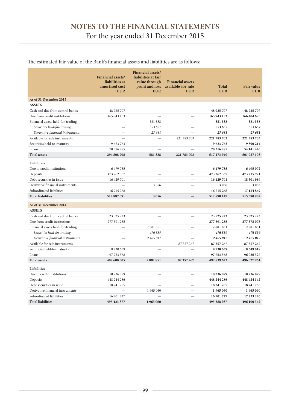#### The estimated fair value of the Bank's financial assets and liabilities are as follows:

|                                   | Financial assets/<br>liabilities at<br>amortised cost<br><b>EUR</b> | <b>Financial assets/</b><br>liabilities at fair<br>value through<br>profit and loss<br><b>EUR</b> | <b>Financial assets</b><br>available-for-sale<br><b>EUR</b> | <b>Total</b><br><b>EUR</b> | <b>Fair value</b><br><b>EUR</b> |
|-----------------------------------|---------------------------------------------------------------------|---------------------------------------------------------------------------------------------------|-------------------------------------------------------------|----------------------------|---------------------------------|
| As of 31 December 2015            |                                                                     |                                                                                                   |                                                             |                            |                                 |
| <b>ASSETS</b>                     |                                                                     |                                                                                                   |                                                             |                            |                                 |
| Cash and due from central banks   | 48 925 707                                                          |                                                                                                   | $\overline{\phantom{0}}$                                    | 48 925 707                 | 48 925 707                      |
| Due from credit institutions      | 165 943 153                                                         |                                                                                                   | $\overline{\phantom{a}}$                                    | 165 943 153                | 166 404 695                     |
| Financial assets held-for-trading | ÷,                                                                  | 581 338                                                                                           | $\overline{\phantom{0}}$                                    | 581 338                    | 581 338                         |
| Securities held-for-trading       |                                                                     | 553 657                                                                                           | $\overline{\phantom{0}}$                                    | 553 657                    | 553 657                         |
| Derivative financial instruments  |                                                                     | 27 681                                                                                            | $\equiv$                                                    | 27681                      | 27681                           |
| Available for sale instruments    |                                                                     |                                                                                                   | 221 783 703                                                 | 221 783 703                | 221 783 703                     |
| Securities held-to-maturity       | 9 623 763                                                           | $\overline{\phantom{0}}$                                                                          | $\overline{\phantom{0}}$                                    | 9623763                    | 9890214                         |
| Loans                             | 70 316 285                                                          |                                                                                                   |                                                             | 70 316 285                 | 54 141 446                      |
| <b>Total assets</b>               | 294 808 908                                                         | 581 338                                                                                           | 221 783 703                                                 | 517 173 949                | 501 727 103                     |
| <b>Liabilities</b>                |                                                                     |                                                                                                   |                                                             |                            |                                 |
| Due to credit institutions        | 6 479 755                                                           | —                                                                                                 | —                                                           | 6 479 755                  | 6495072                         |
| Deposits                          | 473 262 367                                                         |                                                                                                   |                                                             | 473 262 367                | 473 235 921                     |
| Debt securities in issue          | 16 429 701                                                          |                                                                                                   | $\overline{\phantom{0}}$                                    | 16 429 701                 | 18 501 989                      |
| Derivative financial instruments  |                                                                     | 3 0 5 6                                                                                           | and a                                                       | 3056                       | 3056                            |
| Subordinated liabilities          | 16715268                                                            |                                                                                                   | $\overline{\phantom{0}}$                                    | 16715268                   | 17 154 869                      |
| <b>Total liabilities</b>          | 512 887 091                                                         | 3 0 5 6                                                                                           |                                                             | 512 890 147                | 515 390 907                     |
| As of 31 December 2014            |                                                                     |                                                                                                   |                                                             |                            |                                 |
| <b>ASSETS</b>                     |                                                                     |                                                                                                   |                                                             |                            |                                 |
| Cash and due from central banks   | 23 525 223                                                          | $\sim$                                                                                            | $\equiv$                                                    | 23 525 223                 | 23 525 223                      |
| Due from credit institutions      | 277 591 255                                                         |                                                                                                   | $\overline{\phantom{0}}$                                    | 277 591 255                | 277 578 075                     |
| Financial assets held-for-trading | $\equiv$                                                            | 2881851                                                                                           | $\overline{\phantom{0}}$                                    | 2881851                    | 2881851                         |
| Securities held-for-trading       |                                                                     | 476 839                                                                                           | ÷.                                                          | 476839                     | 476839                          |
| Derivative financial instruments  | $\equiv$                                                            | 2 405 012                                                                                         | $\equiv$                                                    | 2405012                    | 2 405 012                       |
| Available for sale instruments    |                                                                     |                                                                                                   | 87 357 267                                                  | 87 357 267                 | 87 357 267                      |
| Securities held-to-maturity       | 8730659                                                             | $\sim$                                                                                            | ÷.                                                          | 8730659                    | 8649018                         |
| Loans                             | 97 753 368                                                          |                                                                                                   |                                                             | 97 753 368                 | 96 036 527                      |
| <b>Total assets</b>               | 407 600 505                                                         | 2881851                                                                                           | 87 357 267                                                  | 497 839 623                | 496 027 961                     |
| <b>Liabilities</b>                |                                                                     |                                                                                                   |                                                             |                            |                                 |
| Due to credit institutions        | 10 236 079                                                          | $\overline{\phantom{0}}$                                                                          |                                                             | 10 236 079                 | 10 236 079                      |
| Deposits                          | 448 244 286                                                         | $\overline{\phantom{0}}$                                                                          | $\overline{\phantom{0}}$                                    | 448 244 286                | 448 424 142                     |
| Debt securities in issue          | 18 241 785                                                          |                                                                                                   |                                                             | 18 241 785                 | 18 241 785                      |
| Derivative financial instruments  |                                                                     | 1965060                                                                                           |                                                             | 1965 060                   | 1965060                         |
| Subordinated liabilities          | 16 701 727                                                          |                                                                                                   |                                                             | 16701727                   | 17 233 276                      |
| <b>Total liabilities</b>          | 493 423 877                                                         | 1965060                                                                                           |                                                             | 495 388 937                | 496 100 342                     |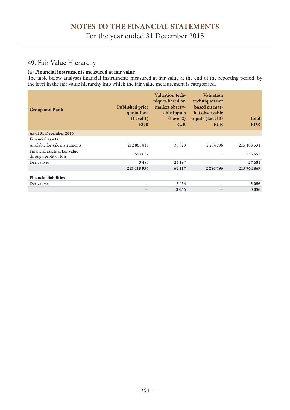# 49. Fair Value Hierarchy

#### **(a) Financial instruments measured at fair value**

The table below analyses financial instruments measured at fair value at the end of the reporting period, by the level in the fair value hierarchy into which the fair value measurement is categorised.

| <b>Group and Bank</b>                                    | <b>Published price</b><br>quotations<br>(Level 1)<br><b>EUR</b> | <b>Valuation tech-</b><br>niques based on<br>market observ-<br>able inputs<br>(Level 2)<br><b>EUR</b> | <b>Valuation</b><br>techniques not<br>based on mar-<br>ket observable<br>inputs (Level 3)<br><b>EUR</b> | <b>Total</b><br><b>EUR</b> |
|----------------------------------------------------------|-----------------------------------------------------------------|-------------------------------------------------------------------------------------------------------|---------------------------------------------------------------------------------------------------------|----------------------------|
| As of 31 December 2015                                   |                                                                 |                                                                                                       |                                                                                                         |                            |
| <b>Financial assets</b>                                  |                                                                 |                                                                                                       |                                                                                                         |                            |
| Available for sale instruments                           | 212 861 815                                                     | 36 9 20                                                                                               | 2 2 8 4 7 9 6                                                                                           | 215 183 531                |
| Financial assets at fair value<br>through profit or loss | 553 657                                                         |                                                                                                       |                                                                                                         | 553 657                    |
| Derivatives                                              | 3 4 8 4                                                         | 24 197                                                                                                |                                                                                                         | 27 681                     |
|                                                          | 213 418 956                                                     | 61 117                                                                                                | 2 2 8 4 7 9 6                                                                                           | 215 764 869                |
| <b>Financial liabilities</b>                             |                                                                 |                                                                                                       |                                                                                                         |                            |
| Derivatives                                              |                                                                 | 3 0 5 6                                                                                               |                                                                                                         | 3 0 5 6                    |
|                                                          |                                                                 | 3056                                                                                                  |                                                                                                         | 3056                       |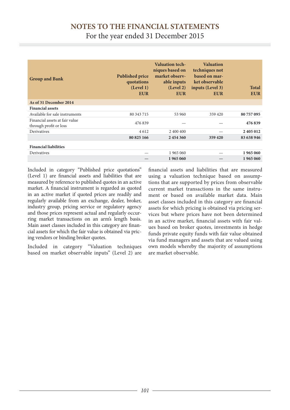| <b>Group and Bank</b>                                    | <b>Published price</b><br>quotations<br>(Level 1)<br><b>EUR</b> | Valuation tech-<br>niques based on<br>market observ-<br>able inputs<br>(Level 2)<br><b>EUR</b> | <b>Valuation</b><br>techniques not<br>based on mar-<br>ket observable<br>inputs (Level 3)<br><b>EUR</b> | <b>Total</b><br><b>EUR</b> |
|----------------------------------------------------------|-----------------------------------------------------------------|------------------------------------------------------------------------------------------------|---------------------------------------------------------------------------------------------------------|----------------------------|
| As of 31 December 2014                                   |                                                                 |                                                                                                |                                                                                                         |                            |
| <b>Financial assets</b>                                  |                                                                 |                                                                                                |                                                                                                         |                            |
| Available for sale instruments                           | 80 343 715                                                      | 53 960                                                                                         | 359 420                                                                                                 | 80 757 095                 |
| Financial assets at fair value<br>through profit or loss | 476839                                                          |                                                                                                |                                                                                                         | 476839                     |
| Derivatives                                              | 4 6 12                                                          | 2 400 400                                                                                      |                                                                                                         | 2405012                    |
|                                                          | 80 825 166                                                      | 2454360                                                                                        | 359 420                                                                                                 | 83 638 946                 |
| <b>Financial liabilities</b>                             |                                                                 |                                                                                                |                                                                                                         |                            |
| Derivatives                                              |                                                                 | 1965060                                                                                        |                                                                                                         | 1965060                    |
|                                                          |                                                                 | 1965060                                                                                        |                                                                                                         | 1965060                    |

Included in category "Published price quotations" (Level 1) are financial assets and liabilities that are measured by reference to published quotes in an active market. A financial instrument is regarded as quoted in an active market if quoted prices are readily and regularly available from an exchange, dealer, broker, industry group, pricing service or regulatory agency and those prices represent actual and regularly occurring market transactions on an arm's length basis. Main asset classes included in this category are financial assets for which the fair value is obtained via pricing vendors or binding broker quotes.

Included in category "Valuation techniques based on market observable inputs" (Level 2) are

financial assets and liabilities that are measured using a valuation technique based on assumptions that are supported by prices from observable current market transactions in the same instrument or based on available market data. Main asset classes included in this category are financial assets for which pricing is obtained via pricing services but where prices have not been determined in an active market, financial assets with fair values based on broker quotes, investments in hedge funds private equity funds with fair value obtained via fund managers and assets that are valued using own models whereby the majority of assumptions are market observable.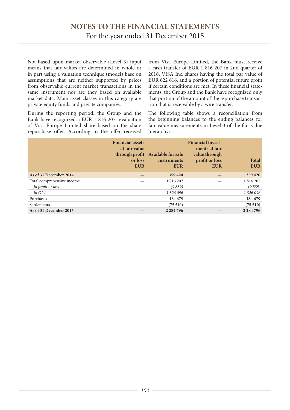Not based upon market observable (Level 3) input means that fair values are determined in whole or in part using a valuation technique (model) base on assumptions that are neither supported by prices from observable current market transactions in the same instrument nor are they based on available market data. Main asset classes in this category are private equity funds and private companies.

During the reporting period, the Group and the Bank have recognized a EUR 1 816 207 revaluation of Visa Europe Limited share based on the share repurchase offer. According to the offer received

from Visa Europe Limited, the Bank must receive a cash transfer of EUR 1 816 207 in 2nd quarter of 2016, VISA Inc. shares having the total par value of EUR 622 616, and a portion of potential future profit if certain conditions are met. In these financial statements, the Group and the Bank have recognized only that portion of the amount of the repurchase transaction that is receivable by a wire transfer.

The following table shows a reconciliation from the beginning balances to the ending balances for fair value measurements in Level 3 of the fair value hierarchy:

|                             | <b>Financial assets</b><br>at fair value<br>or loss<br><b>EUR</b> | through profit Available for sale<br>instruments<br><b>EUR</b> | <b>Financial invest-</b><br>ments at fair<br>value through<br>profit or loss<br><b>EUR</b> | <b>Total</b><br><b>EUR</b> |
|-----------------------------|-------------------------------------------------------------------|----------------------------------------------------------------|--------------------------------------------------------------------------------------------|----------------------------|
| As of 31 December 2014      |                                                                   | 359 420                                                        |                                                                                            | 359 420                    |
| Total comprehensive income: |                                                                   | 1 816 207                                                      |                                                                                            | 1816207                    |
| in profit or loss           |                                                                   | (9889)                                                         |                                                                                            | (9889)                     |
| in OCI                      |                                                                   | 1826096                                                        |                                                                                            | 1826096                    |
| Purchases                   |                                                                   | 184 679                                                        |                                                                                            | 184 679                    |
| Settlements                 |                                                                   | (75 510)                                                       |                                                                                            | (75510)                    |
| As of 31 December 2015      |                                                                   | 2 2 8 4 7 9 6                                                  |                                                                                            | 2 2 8 4 7 9 6              |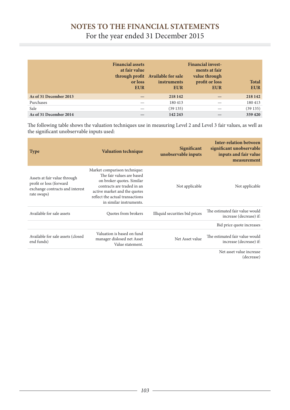|                        | <b>Financial assets</b><br>at fair value<br>or loss<br><b>EUR</b> | through profit Available for sale<br><i>instruments</i><br><b>EUR</b> | <b>Financial invest-</b><br>ments at fair<br>value through<br>profit or loss<br><b>EUR</b> | <b>Total</b><br><b>EUR</b> |
|------------------------|-------------------------------------------------------------------|-----------------------------------------------------------------------|--------------------------------------------------------------------------------------------|----------------------------|
| As of 31 December 2013 |                                                                   | 218 142                                                               |                                                                                            | 218 142                    |
| Purchases              |                                                                   | 180 413                                                               |                                                                                            | 180 413                    |
| Sale                   |                                                                   | (39135)                                                               |                                                                                            | (39135)                    |
| As of 31 December 2014 |                                                                   | 142 243                                                               |                                                                                            | 359 420                    |

The following table shows the valuation techniques use in measuring Level 2 and Level 3 fair values, as well as the significant unobservable inputs used:

| <b>Type</b>                                                                                               | <b>Valuation technique</b>                                                                                                                                                                                         | Significant<br>unobservable inputs | Inter-relation between<br>significant unobservable<br>inputs and fair value<br>measurement |
|-----------------------------------------------------------------------------------------------------------|--------------------------------------------------------------------------------------------------------------------------------------------------------------------------------------------------------------------|------------------------------------|--------------------------------------------------------------------------------------------|
| Assets at fair value through<br>profit or loss (forward<br>exchange contracts and interest<br>rate swaps) | Market comparison technique:<br>The fair values are based<br>on broker quotes. Similar<br>contracts are traded in an<br>active market and the quotes<br>reflect the actual transactions<br>in similar instruments. | Not applicable                     | Not applicable                                                                             |
| Available for sale assets                                                                                 | Quotes from brokers                                                                                                                                                                                                | Illiquid securities bid prices     | The estimated fair value would<br>increase (decrease) if:                                  |
|                                                                                                           |                                                                                                                                                                                                                    |                                    | Bid price quote increases                                                                  |
| Available for sale assets (closed<br>end funds)                                                           | Valuation is based on fund<br>manager dislosed net Asset<br>Value statement.                                                                                                                                       | Net Asset value                    | The estimated fair value would<br>increase (decrease) if:                                  |
|                                                                                                           |                                                                                                                                                                                                                    |                                    | Net asset value increase                                                                   |

(decrease)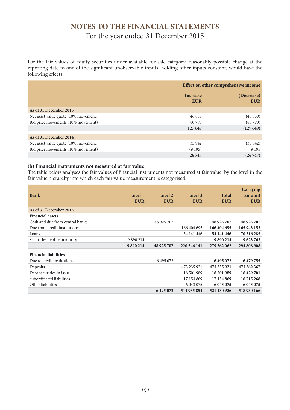For the fair values of equity securities under available for sale category, reasonably possible change at the reporting date to one of the significant unobservable inputs, holding other inputs constant, would have the following effects:

|                                      | Effect on other comprehensive income |                          |  |
|--------------------------------------|--------------------------------------|--------------------------|--|
|                                      | <b>Increase</b><br><b>EUR</b>        | (Decrease)<br><b>EUR</b> |  |
| As of 31 December 2015               |                                      |                          |  |
| Net asset value quote (10% movement) | 46859                                | (46859)                  |  |
| Bid price movements (10% movement)   | 80 790                               | (80790)                  |  |
|                                      | 127 649                              | (127649)                 |  |
| As of 31 December 2014               |                                      |                          |  |
| Net asset value quote (10% movement) | 35 942                               | (35942)                  |  |
| Bid price movements (10% movement)   | (9195)                               | 9 1 9 5                  |  |
|                                      | 26 747                               | (26747)                  |  |

#### **(b) Financial instruments not measured at fair value**

The table below analyses the fair values of financial instruments not measured at fair value, by the level in the fair value hierarchy into which each fair value measurement is categorised:

| <b>Bank</b>                     | Level 1<br><b>EUR</b> | Level 2<br><b>EUR</b> | Level 3<br><b>EUR</b> | <b>Total</b><br><b>EUR</b> | Carrying<br>amount<br><b>EUR</b> |
|---------------------------------|-----------------------|-----------------------|-----------------------|----------------------------|----------------------------------|
| As of 31 December 2015          |                       |                       |                       |                            |                                  |
| <b>Financial assets</b>         |                       |                       |                       |                            |                                  |
| Cash and due from central banks | —                     | 48 925 707            |                       | 48 925 707                 | 48 925 707                       |
| Due from credit institutions    | –                     |                       | 166 404 695           | 166 404 695                | 165 943 153                      |
| Loans                           |                       |                       | 54 141 446            | 54 141 446                 | 70 316 285                       |
| Securities held-to-maturity     | 9 890 214             |                       |                       | 9890214                    | 9623763                          |
|                                 | 9 890 214             | 48 925 707            | 220 546 141           | 279 362 062                | 294 808 908                      |
| <b>Financial liabilities</b>    |                       |                       |                       |                            |                                  |
| Due to credit institutions      |                       | 6495072               |                       | 6495072                    | 6479755                          |
| Deposits                        |                       |                       | 473 235 921           | 473 235 921                | 473 262 367                      |
| Debt securities in issue        |                       |                       | 18 501 989            | 18 501 989                 | 16 429 701                       |
| Subordinated liabilities        |                       | —                     | 17 154 869            | 17 154 869                 | 16715268                         |
| Other liabilities               |                       |                       | 6 043 075             | 6 043 075                  | 6 043 075                        |
|                                 |                       | 6495072               | 514 935 854           | 521 430 926                | 518 930 166                      |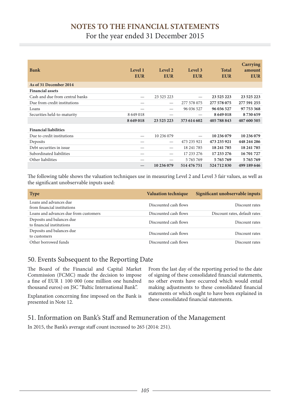| <b>Bank</b>                     | Level 1<br><b>EUR</b> | Level 2<br><b>EUR</b> | Level 3<br><b>EUR</b> | <b>Total</b><br><b>EUR</b> | Carrying<br>amount<br><b>EUR</b> |
|---------------------------------|-----------------------|-----------------------|-----------------------|----------------------------|----------------------------------|
| As of 31 December 2014          |                       |                       |                       |                            |                                  |
| <b>Financial assets</b>         |                       |                       |                       |                            |                                  |
| Cash and due from central banks | —                     | 23 525 223            |                       | 23 525 223                 | 23 5 25 2 23                     |
| Due from credit institutions    |                       |                       | 277 578 075           | 277 578 075                | 277 591 255                      |
| Loans                           |                       |                       | 96 036 527            | 96 036 527                 | 97 753 368                       |
| Securities held-to-maturity     | 8 649 018             | —                     |                       | 8649018                    | 8730659                          |
|                                 | 8649018               | 23 525 223            | 373 614 602           | 405 788 843                | 407 600 505                      |
| <b>Financial liabilities</b>    |                       |                       |                       |                            |                                  |
| Due to credit institutions      |                       | 10 236 079            |                       | 10 236 079                 | 10 236 079                       |
| Deposits                        |                       |                       | 473 235 921           | 473 235 921                | 448 244 286                      |
| Debt securities in issue        |                       |                       | 18 241 785            | 18 241 785                 | 18 241 785                       |
| Subordinated liabilities        |                       |                       | 17 233 276            | 17 233 276                 | 16701727                         |
| Other liabilities               |                       |                       | 5765769               | 5765769                    | 5765769                          |
|                                 |                       | 10 236 079            | 514 476 751           | 524 712 830                | 499 189 646                      |

The following table shows the valuation techniques use in measuring Level 2 and Level 3 fair values, as well as the significant unobservable inputs used:

| <b>Type</b>                                            | <b>Valuation technique</b> | Significant unobservable inputs |
|--------------------------------------------------------|----------------------------|---------------------------------|
| Loans and advances due<br>from financial institutions  | Discounted cash flows      | Discount rates                  |
| Loans and advances due from customers                  | Discounted cash flows      | Discount rates, default rates   |
| Deposits and balances due<br>to financial institutions | Discounted cash flows      | Discount rates                  |
| Deposits and balances due<br>to customers              | Discounted cash flows      | Discount rates                  |
| Other borrowed funds                                   | Discounted cash flows      | Discount rates                  |

### 50. Events Subsequent to the Reporting Date

The Board of the Financial and Capital Market Commission (FCMC) made the decision to impose a fine of EUR 1 100 000 (one million one hundred thousand euros) on JSC "Baltic International Bank".

Explanation concerning fine imposed on the Bank is presented in Note 12.

From the last day of the reporting period to the date of signing of these consolidated financial statements, no other events have occurred which would entail making adjustments to these consolidated financial statements or which ought to have been explained in these consolidated financial statements.

### 51. Information on Bank's Staff and Remuneration of the Management

In 2015, the Bank's average staff count increased to 265 (2014: 251).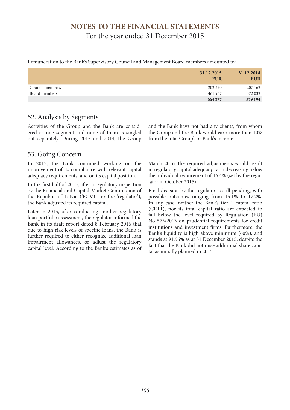|                 | 31.12.2015<br><b>EUR</b> | 31.12.2014<br><b>EUR</b> |
|-----------------|--------------------------|--------------------------|
| Council members | 202 320                  | 207 162                  |
| Board members   | 461957                   | 372 032                  |
|                 | 664 277                  | 579 194                  |

Remuneration to the Bank's Supervisory Council and Management Board members amounted to:

### 52. Analysis by Segments

Activities of the Group and the Bank are considered as one segment and none of them is singled out separately. During 2015 and 2014, the Group

### 53. Going Concern

In 2015, the Bank continued working on the improvement of its compliance with relevant capital adequacy requirements, and on its capital position.

In the first half of 2015, after a regulatory inspection by the Financial and Capital Market Commission of the Republic of Latvia ('FCMC' or the 'regulator'), the Bank adjusted its required capital.

Later in 2015, after conducting another regulatory loan portfolio assessment, the regulator informed the Bank in its draft report dated 8 February 2016 that due to high risk levels of specific loans, the Bank is further required to either recognize additional loan impairment allowances, or adjust the regulatory capital level. According to the Bank's estimates as of and the Bank have not had any clients, from whom the Group and the Bank would earn more than 10% from the total Group's or Bank's income.

March 2016, the required adjustments would result in regulatory capital adequacy ratio decreasing below the individual requirement of 16.4% (set by the regulator in October 2015).

Final decision by the regulator is still pending, with possible outcomes ranging from 15.1% to 17.2%. In any case, neither the Bank's tier 1 capital ratio (CET1), nor its total capital ratio are expected to fall below the level required by Regulation (EU) No 575/2013 on prudential requirements for credit institutions and investment firms. Furthermore, the Bank's liquidity is high above minimum (60%), and stands at 91.96% as at 31 December 2015, despite the fact that the Bank did not raise additional share capital as initially planned in 2015.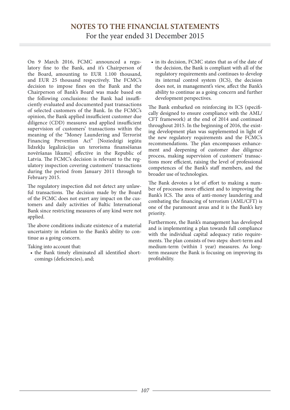On 9 March 2016, FCMC announced a regulatory fine to the Bank, and it's Chairperson of the Board, amounting to EUR 1.100 thousand, and EUR 25 thousand respectively. The FCMC's decision to impose fines on the Bank and the Chairperson of Bank's Board was made based on the following conclusions: the Bank had insufficiently evaluated and documented past transactions of selected customers of the Bank. In the FCMC's opinion, the Bank applied insufficient customer due diligence (CDD) measures and applied insufficient supervision of customers' transactions within the meaning of the "Money Laundering and Terrorist Financing Prevention Act" [Noziedzīgi iegūtu līdzekļu legalizācijas un terorisma finansēšanas novēršanas likums] effective in the Republic of Latvia. The FCMC's decision is relevant to the regulatory inspection covering customers' transactions during the period from January 2011 through to February 2015.

The regulatory inspection did not detect any unlawful transactions. The decision made by the Board of the FCMC does not exert any impact on the customers and daily activities of Baltic International Bank since restricting measures of any kind were not applied.

The above conditions indicate existence of a material uncertainty in relation to the Bank's ability to continue as a going concern.

Taking into account that:

• the Bank timely eliminated all identified shortcomings (deficiencies), and;

• in its decision, FCMC states that as of the date of the decision, the Bank is compliant with all of the regulatory requirements and continues to develop its internal control system (ICS), the decision does not, in management's view, affect the Bank's ability to continue as a going concern and further development perspectives.

The Bank embarked on reinforcing its ICS (specifically designed to ensure compliance with the AML/ CFT framework) at the end of 2014 and continued throughout 2015. In the beginning of 2016, the existing development plan was supplemented in light of the new regulatory requirements and the FCMC's recommendations. The plan encompasses enhancement and deepening of customer due diligence process, making supervision of customers' transactions more efficient, raising the level of professional competences of the Bank's staff members, and the broader use of technologies.

The Bank devotes a lot of effort to making a number of processes more efficient and to improving the Bank's ICS. The area of anti-money laundering and combating the financing of terrorism (AML/CFT) is one of the paramount areas and it is the Bank's key priority.

Furthermore, the Bank's management has developed and is implementing a plan towards full compliance with the individual capital adequacy ratio requirements. The plan consists of two steps: short-term and medium-term (within 1 year) measures. As longterm measure the Bank is focusing on improving its profitability.